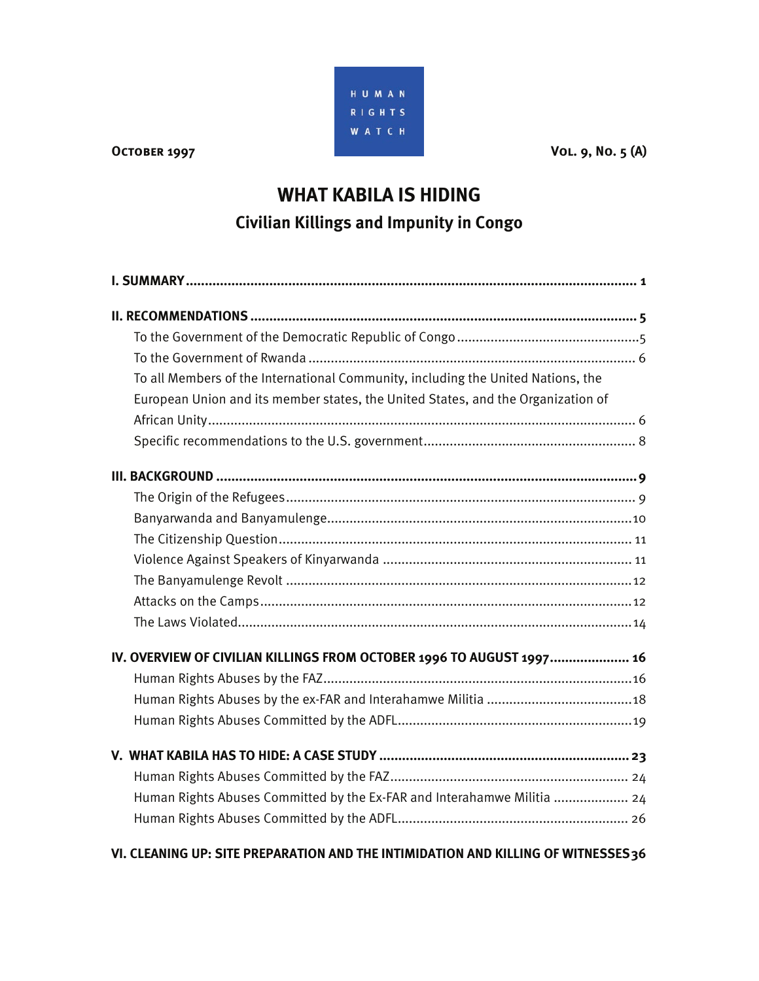

**OCTOBER 1997** VOL. 9, No. 5 (A)

# **WHAT KABILA IS HIDING Civilian Killings and Impunity in Congo**

| To all Members of the International Community, including the United Nations, the   |
|------------------------------------------------------------------------------------|
| European Union and its member states, the United States, and the Organization of   |
|                                                                                    |
|                                                                                    |
|                                                                                    |
|                                                                                    |
|                                                                                    |
|                                                                                    |
|                                                                                    |
|                                                                                    |
|                                                                                    |
|                                                                                    |
| IV. OVERVIEW OF CIVILIAN KILLINGS FROM OCTOBER 1996 TO AUGUST 1997 16              |
|                                                                                    |
|                                                                                    |
|                                                                                    |
|                                                                                    |
|                                                                                    |
| Human Rights Abuses Committed by the Ex-FAR and Interahamwe Militia  24            |
|                                                                                    |
| VI. CLEANING UP: SITE PREPARATION AND THE INTIMIDATION AND KILLING OF WITNESSES 36 |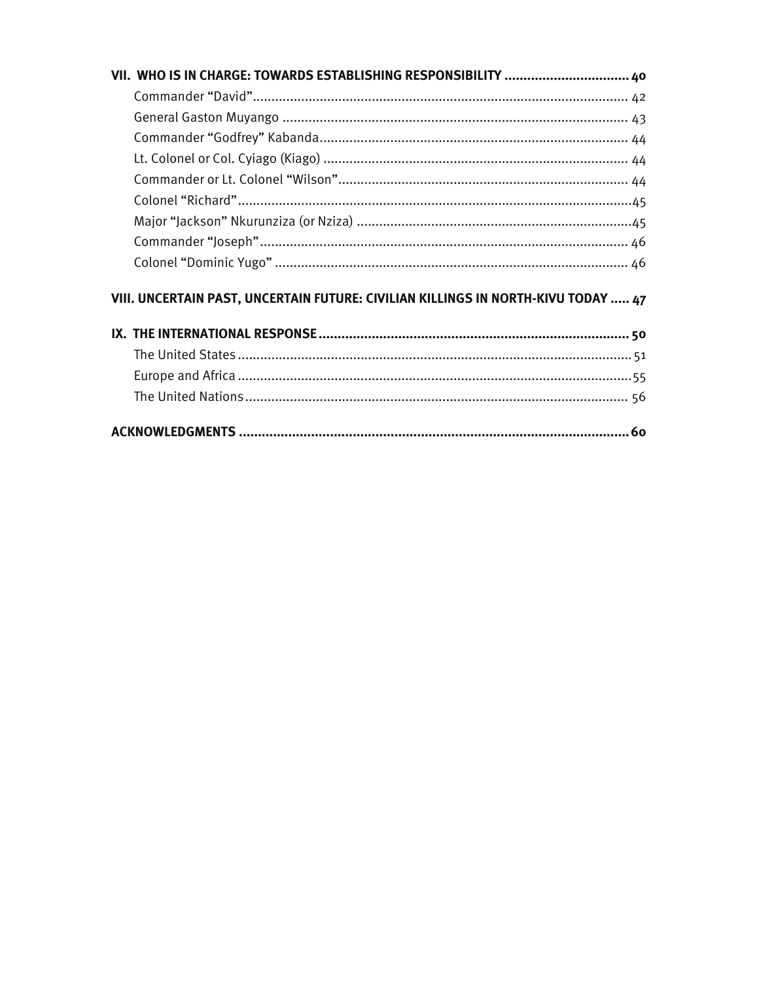| VII. WHO IS IN CHARGE: TOWARDS ESTABLISHING RESPONSIBILITY  40 |  |
|----------------------------------------------------------------|--|
|                                                                |  |
|                                                                |  |
|                                                                |  |
|                                                                |  |
|                                                                |  |
|                                                                |  |
|                                                                |  |
|                                                                |  |
|                                                                |  |

#### VIII. UNCERTAIN PAST, UNCERTAIN FUTURE: CIVILIAN KILLINGS IN NORTH-KIVU TODAY ..... 47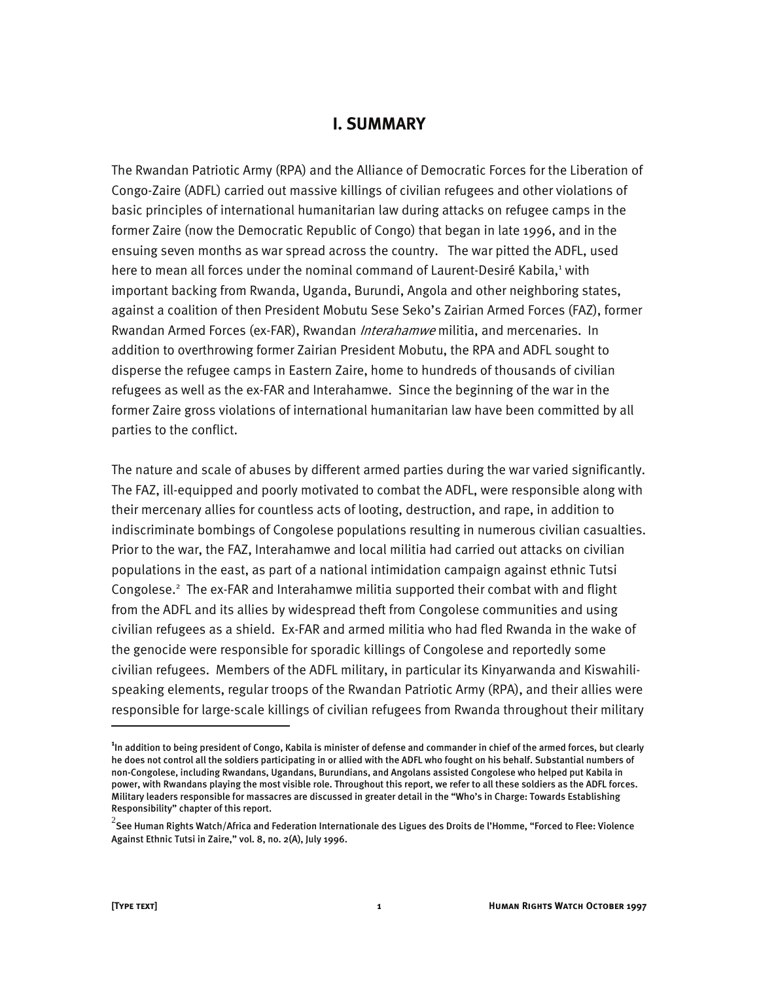#### **I. SUMMARY**

The Rwandan Patriotic Army (RPA) and the Alliance of Democratic Forces for the Liberation of Congo-Zaire (ADFL) carried out massive killings of civilian refugees and other violations of basic principles of international humanitarian law during attacks on refugee camps in the former Zaire (now the Democratic Republic of Congo) that began in late 1996, and in the ensuing seven months as war spread across the country. The war pitted the ADFL, used here to mean all forces under the nominal command of Laurent-Desiré Kabila,<sup>1</sup> with important backing from Rwanda, Uganda, Burundi, Angola and other neighboring states, against a coalition of then President Mobutu Sese Seko's Zairian Armed Forces (FAZ), former Rwandan Armed Forces (ex-FAR), Rwandan *Interahamwe* militia, and mercenaries. In addition to overthrowing former Zairian President Mobutu, the RPA and ADFL sought to disperse the refugee camps in Eastern Zaire, home to hundreds of thousands of civilian refugees as well as the ex-FAR and Interahamwe. Since the beginning of the war in the former Zaire gross violations of international humanitarian law have been committed by all parties to the conflict.

The nature and scale of abuses by different armed parties during the war varied significantly. The FAZ, ill-equipped and poorly motivated to combat the ADFL, were responsible along with their mercenary allies for countless acts of looting, destruction, and rape, in addition to indiscriminate bombings of Congolese populations resulting in numerous civilian casualties. Prior to the war, the FAZ, Interahamwe and local militia had carried out attacks on civilian populations in the east, as part of a national intimidation campaign against ethnic Tutsi Congolese.<sup>2</sup> The ex-FAR and Interahamwe militia supported their combat with and flight from the ADFL and its allies by widespread theft from Congolese communities and using civilian refugees as a shield. Ex-FAR and armed militia who had fled Rwanda in the wake of the genocide were responsible for sporadic killings of Congolese and reportedly some civilian refugees. Members of the ADFL military, in particular its Kinyarwanda and Kiswahilispeaking elements, regular troops of the Rwandan Patriotic Army (RPA), and their allies were responsible for large-scale killings of civilian refugees from Rwanda throughout their military

**<sup>1</sup>** In addition to being president of Congo, Kabila is minister of defense and commander in chief of the armed forces, but clearly he does not control all the soldiers participating in or allied with the ADFL who fought on his behalf. Substantial numbers of non-Congolese, including Rwandans, Ugandans, Burundians, and Angolans assisted Congolese who helped put Kabila in power, with Rwandans playing the most visible role. Throughout this report, we refer to all these soldiers as the ADFL forces. Military leaders responsible for massacres are discussed in greater detail in the "Who's in Charge: Towards Establishing Responsibility" chapter of this report.

 $^2$ See Human Rights Watch/Africa and Federation Internationale des Ligues des Droits de l'Homme, "Forced to Flee: Violence Against Ethnic Tutsi in Zaire," vol. 8, no. 2(A), July 1996.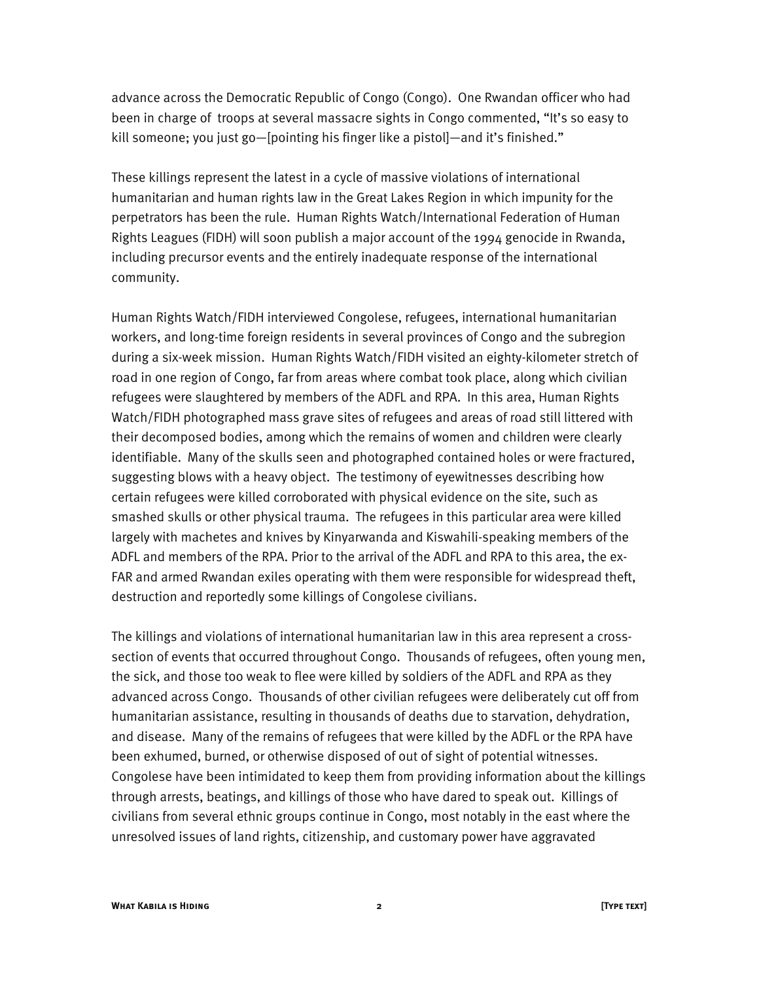advance across the Democratic Republic of Congo (Congo). One Rwandan officer who had been in charge of troops at several massacre sights in Congo commented, "It's so easy to kill someone; you just go—[pointing his finger like a pistol]—and it's finished."

These killings represent the latest in a cycle of massive violations of international humanitarian and human rights law in the Great Lakes Region in which impunity for the perpetrators has been the rule. Human Rights Watch/International Federation of Human Rights Leagues (FIDH) will soon publish a major account of the 1994 genocide in Rwanda, including precursor events and the entirely inadequate response of the international community.

Human Rights Watch/FIDH interviewed Congolese, refugees, international humanitarian workers, and long-time foreign residents in several provinces of Congo and the subregion during a six-week mission. Human Rights Watch/FIDH visited an eighty-kilometer stretch of road in one region of Congo, far from areas where combat took place, along which civilian refugees were slaughtered by members of the ADFL and RPA. In this area, Human Rights Watch/FIDH photographed mass grave sites of refugees and areas of road still littered with their decomposed bodies, among which the remains of women and children were clearly identifiable. Many of the skulls seen and photographed contained holes or were fractured, suggesting blows with a heavy object. The testimony of eyewitnesses describing how certain refugees were killed corroborated with physical evidence on the site, such as smashed skulls or other physical trauma. The refugees in this particular area were killed largely with machetes and knives by Kinyarwanda and Kiswahili-speaking members of the ADFL and members of the RPA. Prior to the arrival of the ADFL and RPA to this area, the ex-FAR and armed Rwandan exiles operating with them were responsible for widespread theft, destruction and reportedly some killings of Congolese civilians.

The killings and violations of international humanitarian law in this area represent a crosssection of events that occurred throughout Congo. Thousands of refugees, often young men, the sick, and those too weak to flee were killed by soldiers of the ADFL and RPA as they advanced across Congo. Thousands of other civilian refugees were deliberately cut off from humanitarian assistance, resulting in thousands of deaths due to starvation, dehydration, and disease. Many of the remains of refugees that were killed by the ADFL or the RPA have been exhumed, burned, or otherwise disposed of out of sight of potential witnesses. Congolese have been intimidated to keep them from providing information about the killings through arrests, beatings, and killings of those who have dared to speak out. Killings of civilians from several ethnic groups continue in Congo, most notably in the east where the unresolved issues of land rights, citizenship, and customary power have aggravated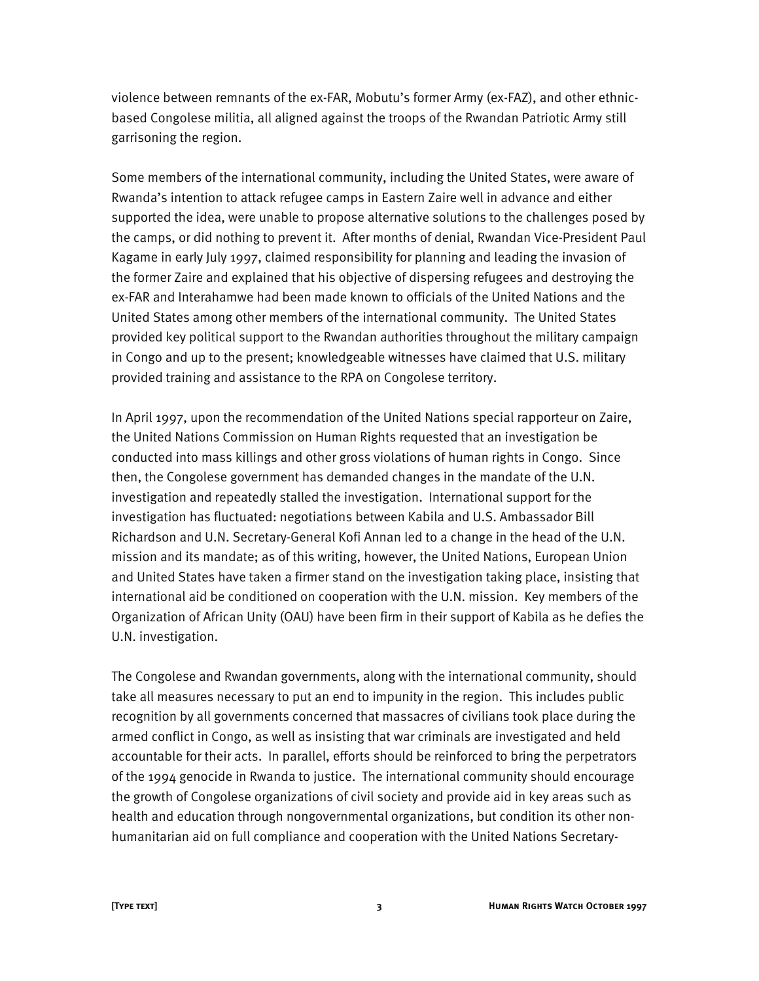violence between remnants of the ex-FAR, Mobutu's former Army (ex-FAZ), and other ethnicbased Congolese militia, all aligned against the troops of the Rwandan Patriotic Army still garrisoning the region.

Some members of the international community, including the United States, were aware of Rwanda's intention to attack refugee camps in Eastern Zaire well in advance and either supported the idea, were unable to propose alternative solutions to the challenges posed by the camps, or did nothing to prevent it. After months of denial, Rwandan Vice-President Paul Kagame in early July 1997, claimed responsibility for planning and leading the invasion of the former Zaire and explained that his objective of dispersing refugees and destroying the ex-FAR and Interahamwe had been made known to officials of the United Nations and the United States among other members of the international community. The United States provided key political support to the Rwandan authorities throughout the military campaign in Congo and up to the present; knowledgeable witnesses have claimed that U.S. military provided training and assistance to the RPA on Congolese territory.

In April 1997, upon the recommendation of the United Nations special rapporteur on Zaire, the United Nations Commission on Human Rights requested that an investigation be conducted into mass killings and other gross violations of human rights in Congo. Since then, the Congolese government has demanded changes in the mandate of the U.N. investigation and repeatedly stalled the investigation. International support for the investigation has fluctuated: negotiations between Kabila and U.S. Ambassador Bill Richardson and U.N. Secretary-General Kofi Annan led to a change in the head of the U.N. mission and its mandate; as of this writing, however, the United Nations, European Union and United States have taken a firmer stand on the investigation taking place, insisting that international aid be conditioned on cooperation with the U.N. mission. Key members of the Organization of African Unity (OAU) have been firm in their support of Kabila as he defies the U.N. investigation.

The Congolese and Rwandan governments, along with the international community, should take all measures necessary to put an end to impunity in the region. This includes public recognition by all governments concerned that massacres of civilians took place during the armed conflict in Congo, as well as insisting that war criminals are investigated and held accountable for their acts. In parallel, efforts should be reinforced to bring the perpetrators of the 1994 genocide in Rwanda to justice. The international community should encourage the growth of Congolese organizations of civil society and provide aid in key areas such as health and education through nongovernmental organizations, but condition its other nonhumanitarian aid on full compliance and cooperation with the United Nations Secretary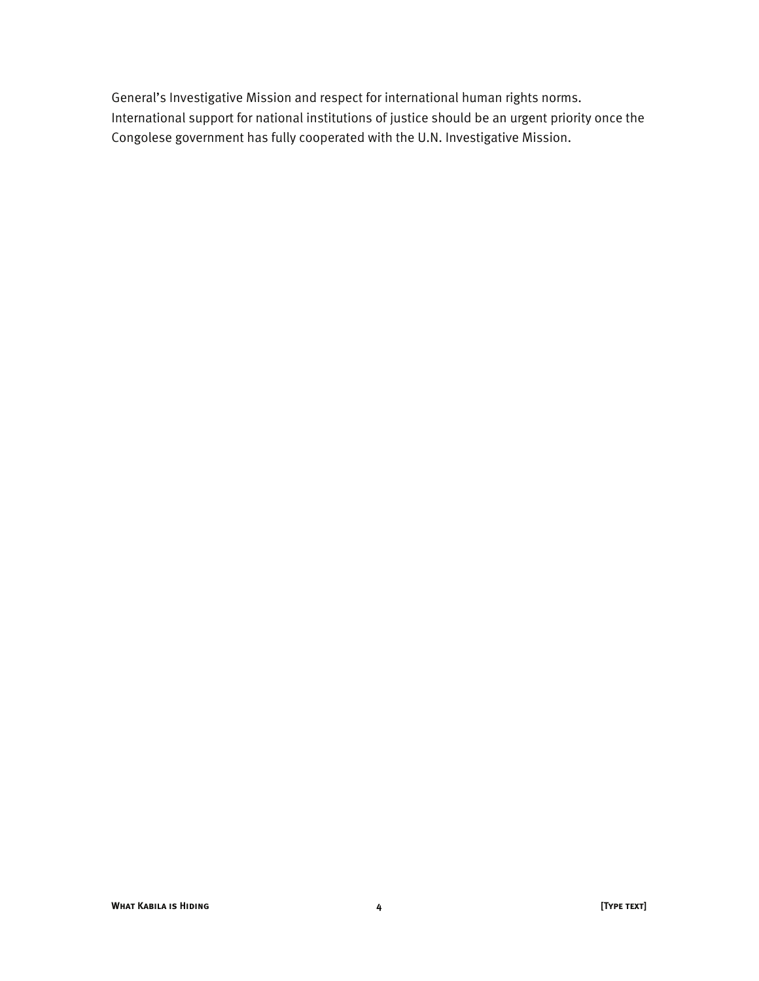General's Investigative Mission and respect for international human rights norms. International support for national institutions of justice should be an urgent priority once the Congolese government has fully cooperated with the U.N. Investigative Mission.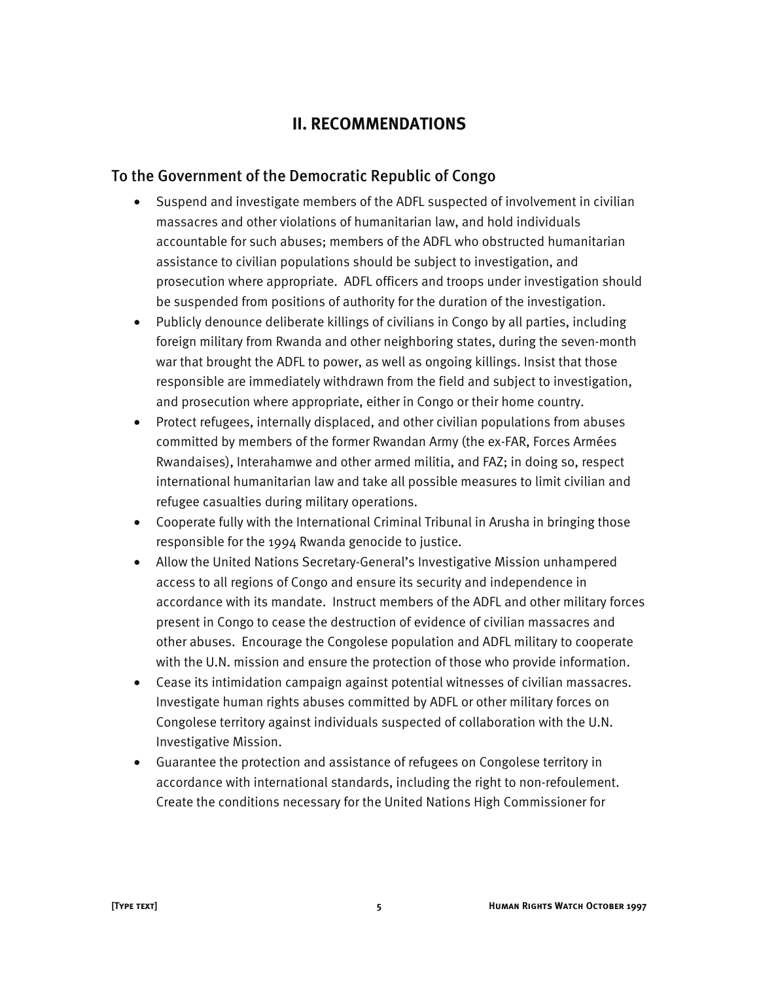## **II. RECOMMENDATIONS**

#### To the Government of the Democratic Republic of Congo

- Suspend and investigate members of the ADFL suspected of involvement in civilian massacres and other violations of humanitarian law, and hold individuals accountable for such abuses; members of the ADFL who obstructed humanitarian assistance to civilian populations should be subject to investigation, and prosecution where appropriate. ADFL officers and troops under investigation should be suspended from positions of authority for the duration of the investigation.
- Publicly denounce deliberate killings of civilians in Congo by all parties, including foreign military from Rwanda and other neighboring states, during the seven-month war that brought the ADFL to power, as well as ongoing killings. Insist that those responsible are immediately withdrawn from the field and subject to investigation, and prosecution where appropriate, either in Congo or their home country.
- Protect refugees, internally displaced, and other civilian populations from abuses committed by members of the former Rwandan Army (the ex-FAR, Forces Armées Rwandaises), Interahamwe and other armed militia, and FAZ; in doing so, respect international humanitarian law and take all possible measures to limit civilian and refugee casualties during military operations.
- Cooperate fully with the International Criminal Tribunal in Arusha in bringing those responsible for the 1994 Rwanda genocide to justice.
- Allow the United Nations Secretary-General's Investigative Mission unhampered access to all regions of Congo and ensure its security and independence in accordance with its mandate. Instruct members of the ADFL and other military forces present in Congo to cease the destruction of evidence of civilian massacres and other abuses. Encourage the Congolese population and ADFL military to cooperate with the U.N. mission and ensure the protection of those who provide information.
- Cease its intimidation campaign against potential witnesses of civilian massacres. Investigate human rights abuses committed by ADFL or other military forces on Congolese territory against individuals suspected of collaboration with the U.N. Investigative Mission.
- Guarantee the protection and assistance of refugees on Congolese territory in accordance with international standards, including the right to non-refoulement. Create the conditions necessary for the United Nations High Commissioner for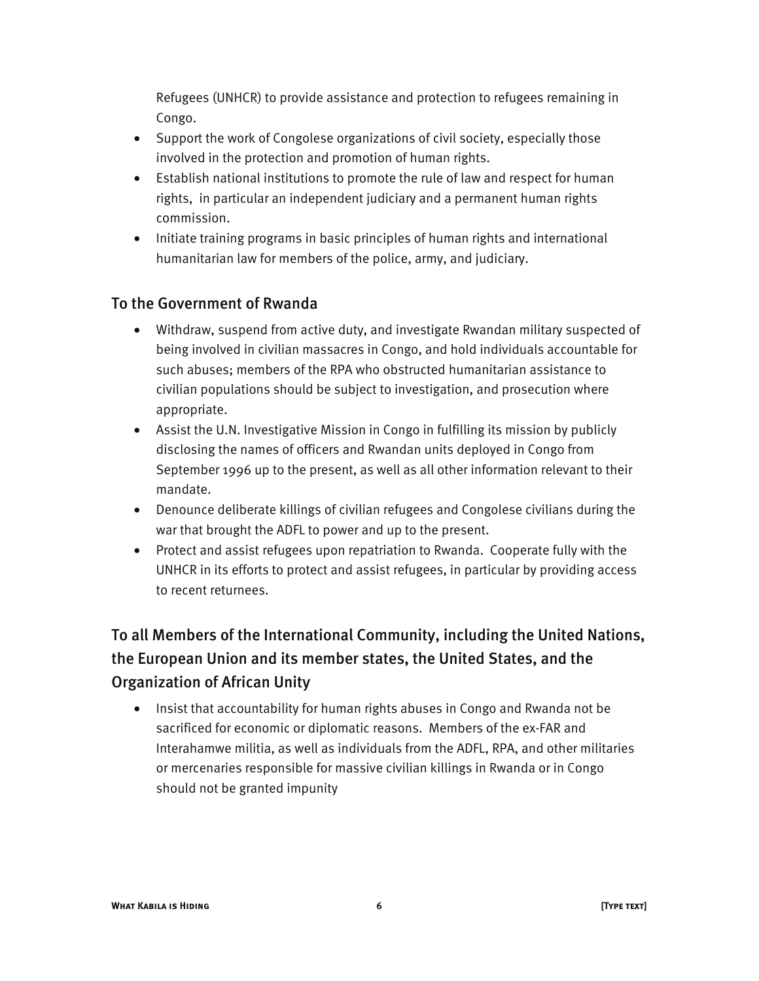Refugees (UNHCR) to provide assistance and protection to refugees remaining in Congo.

- Support the work of Congolese organizations of civil society, especially those involved in the protection and promotion of human rights.
- Establish national institutions to promote the rule of law and respect for human rights, in particular an independent judiciary and a permanent human rights commission.
- Initiate training programs in basic principles of human rights and international humanitarian law for members of the police, army, and judiciary.

#### To the Government of Rwanda

- Withdraw, suspend from active duty, and investigate Rwandan military suspected of being involved in civilian massacres in Congo, and hold individuals accountable for such abuses; members of the RPA who obstructed humanitarian assistance to civilian populations should be subject to investigation, and prosecution where appropriate.
- Assist the U.N. Investigative Mission in Congo in fulfilling its mission by publicly disclosing the names of officers and Rwandan units deployed in Congo from September 1996 up to the present, as well as all other information relevant to their mandate.
- Denounce deliberate killings of civilian refugees and Congolese civilians during the war that brought the ADFL to power and up to the present.
- Protect and assist refugees upon repatriation to Rwanda. Cooperate fully with the UNHCR in its efforts to protect and assist refugees, in particular by providing access to recent returnees.

## To all Members of the International Community, including the United Nations, the European Union and its member states, the United States, and the Organization of African Unity

• Insist that accountability for human rights abuses in Congo and Rwanda not be sacrificed for economic or diplomatic reasons. Members of the ex-FAR and Interahamwe militia, as well as individuals from the ADFL, RPA, and other militaries or mercenaries responsible for massive civilian killings in Rwanda or in Congo should not be granted impunity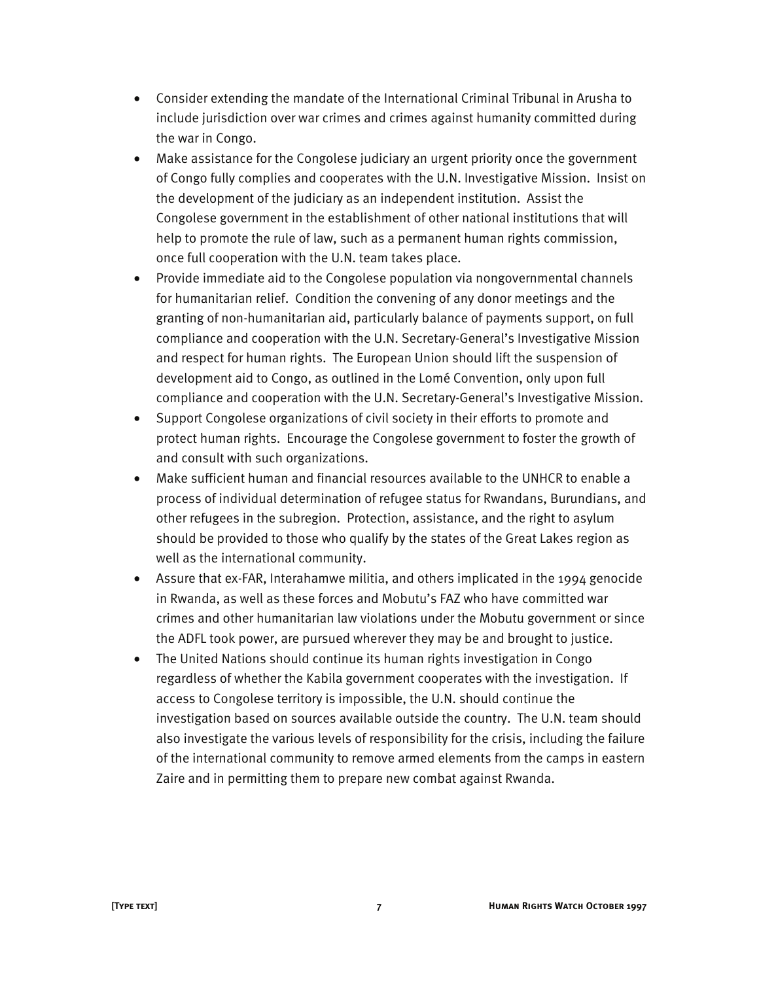- Consider extending the mandate of the International Criminal Tribunal in Arusha to include jurisdiction over war crimes and crimes against humanity committed during the war in Congo.
- Make assistance for the Congolese judiciary an urgent priority once the government of Congo fully complies and cooperates with the U.N. Investigative Mission. Insist on the development of the judiciary as an independent institution. Assist the Congolese government in the establishment of other national institutions that will help to promote the rule of law, such as a permanent human rights commission, once full cooperation with the U.N. team takes place.
- Provide immediate aid to the Congolese population via nongovernmental channels for humanitarian relief. Condition the convening of any donor meetings and the granting of non-humanitarian aid, particularly balance of payments support, on full compliance and cooperation with the U.N. Secretary-General's Investigative Mission and respect for human rights. The European Union should lift the suspension of development aid to Congo, as outlined in the Lomé Convention, only upon full compliance and cooperation with the U.N. Secretary-General's Investigative Mission.
- Support Congolese organizations of civil society in their efforts to promote and protect human rights. Encourage the Congolese government to foster the growth of and consult with such organizations.
- Make sufficient human and financial resources available to the UNHCR to enable a process of individual determination of refugee status for Rwandans, Burundians, and other refugees in the subregion. Protection, assistance, and the right to asylum should be provided to those who qualify by the states of the Great Lakes region as well as the international community.
- Assure that ex-FAR, Interahamwe militia, and others implicated in the 1994 genocide in Rwanda, as well as these forces and Mobutu's FAZ who have committed war crimes and other humanitarian law violations under the Mobutu government or since the ADFL took power, are pursued wherever they may be and brought to justice.
- The United Nations should continue its human rights investigation in Congo regardless of whether the Kabila government cooperates with the investigation. If access to Congolese territory is impossible, the U.N. should continue the investigation based on sources available outside the country. The U.N. team should also investigate the various levels of responsibility for the crisis, including the failure of the international community to remove armed elements from the camps in eastern Zaire and in permitting them to prepare new combat against Rwanda.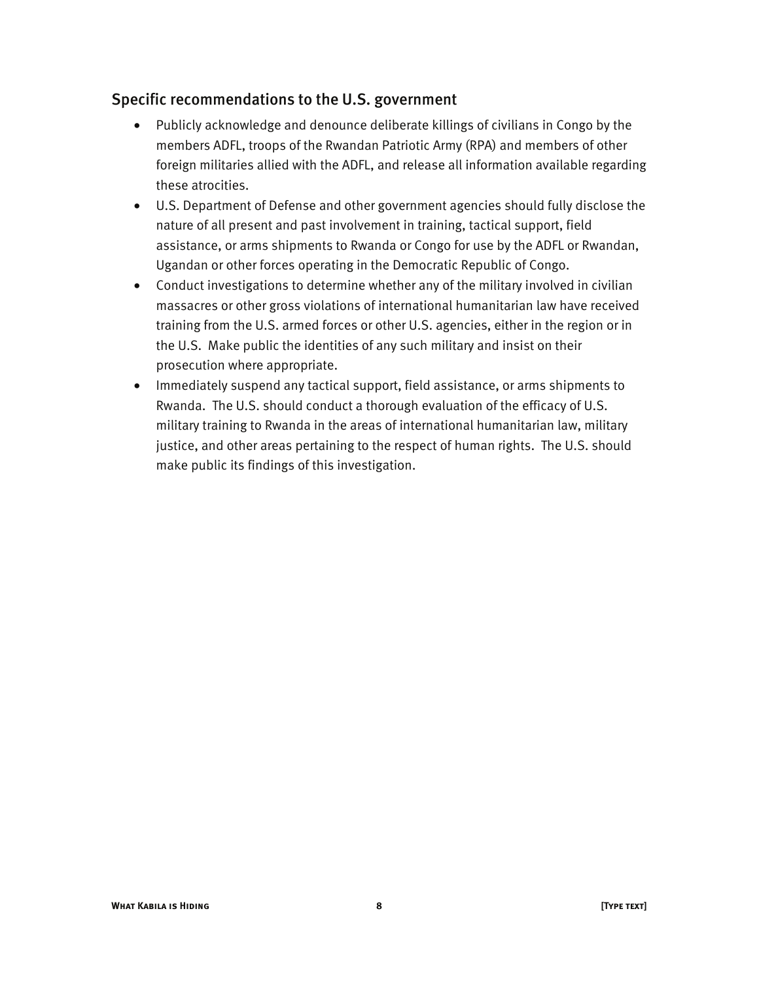#### Specific recommendations to the U.S. government

- Publicly acknowledge and denounce deliberate killings of civilians in Congo by the members ADFL, troops of the Rwandan Patriotic Army (RPA) and members of other foreign militaries allied with the ADFL, and release all information available regarding these atrocities.
- U.S. Department of Defense and other government agencies should fully disclose the nature of all present and past involvement in training, tactical support, field assistance, or arms shipments to Rwanda or Congo for use by the ADFL or Rwandan, Ugandan or other forces operating in the Democratic Republic of Congo.
- Conduct investigations to determine whether any of the military involved in civilian massacres or other gross violations of international humanitarian law have received training from the U.S. armed forces or other U.S. agencies, either in the region or in the U.S. Make public the identities of any such military and insist on their prosecution where appropriate.
- Immediately suspend any tactical support, field assistance, or arms shipments to Rwanda. The U.S. should conduct a thorough evaluation of the efficacy of U.S. military training to Rwanda in the areas of international humanitarian law, military justice, and other areas pertaining to the respect of human rights. The U.S. should make public its findings of this investigation.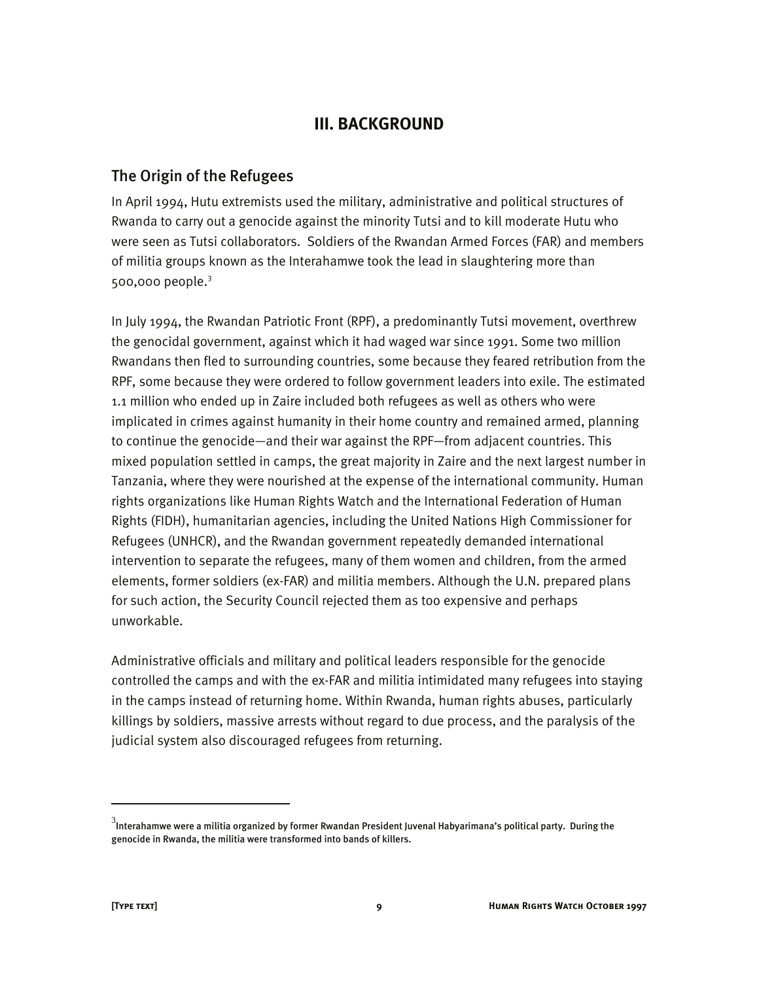#### **III. BACKGROUND**

#### The Origin of the Refugees

In April 1994, Hutu extremists used the military, administrative and political structures of Rwanda to carry out a genocide against the minority Tutsi and to kill moderate Hutu who were seen as Tutsi collaborators. Soldiers of the Rwandan Armed Forces (FAR) and members of militia groups known as the Interahamwe took the lead in slaughtering more than 500,000 people.3

In July 1994, the Rwandan Patriotic Front (RPF), a predominantly Tutsi movement, overthrew the genocidal government, against which it had waged war since 1991. Some two million Rwandans then fled to surrounding countries, some because they feared retribution from the RPF, some because they were ordered to follow government leaders into exile. The estimated 1.1 million who ended up in Zaire included both refugees as well as others who were implicated in crimes against humanity in their home country and remained armed, planning to continue the genocide—and their war against the RPF—from adjacent countries. This mixed population settled in camps, the great majority in Zaire and the next largest number in Tanzania, where they were nourished at the expense of the international community. Human rights organizations like Human Rights Watch and the International Federation of Human Rights (FIDH), humanitarian agencies, including the United Nations High Commissioner for Refugees (UNHCR), and the Rwandan government repeatedly demanded international intervention to separate the refugees, many of them women and children, from the armed elements, former soldiers (ex-FAR) and militia members. Although the U.N. prepared plans for such action, the Security Council rejected them as too expensive and perhaps unworkable.

Administrative officials and military and political leaders responsible for the genocide controlled the camps and with the ex-FAR and militia intimidated many refugees into staying in the camps instead of returning home. Within Rwanda, human rights abuses, particularly killings by soldiers, massive arrests without regard to due process, and the paralysis of the judicial system also discouraged refugees from returning.

 $^3$ Interahamwe were a militia organized by former Rwandan President Juvenal Habyarimana's political party. During the genocide in Rwanda, the militia were transformed into bands of killers.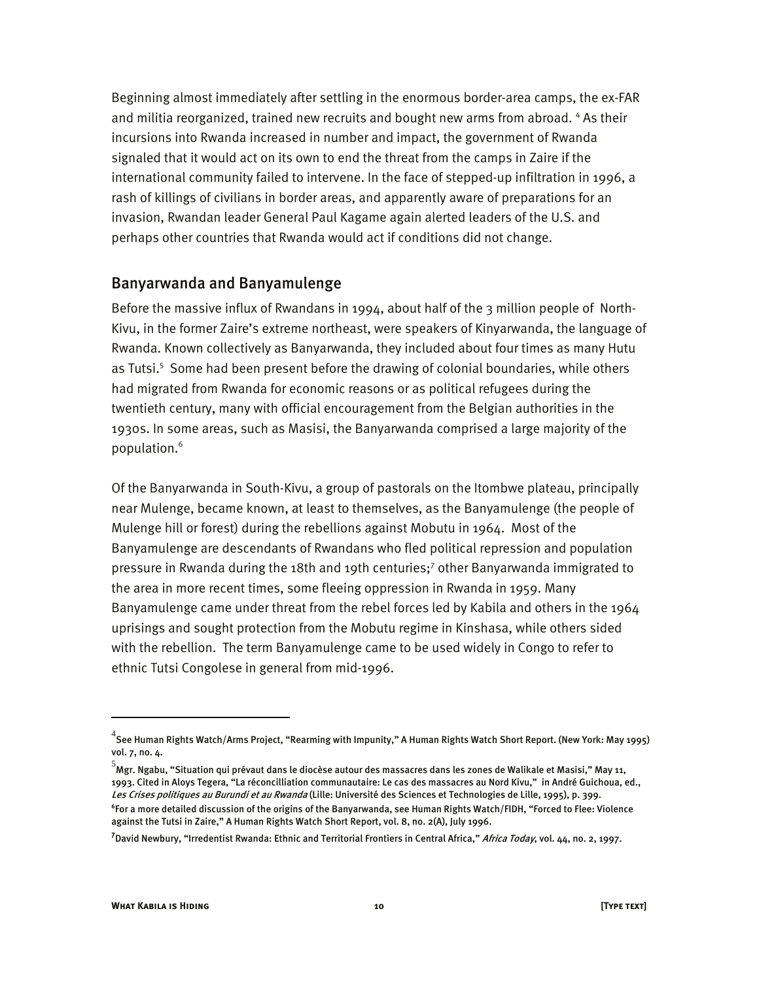Beginning almost immediately after settling in the enormous border-area camps, the ex-FAR and militia reorganized, trained new recruits and bought new arms from abroad. <sup>4</sup> As their incursions into Rwanda increased in number and impact, the government of Rwanda signaled that it would act on its own to end the threat from the camps in Zaire if the international community failed to intervene. In the face of stepped-up infiltration in 1996, a rash of killings of civilians in border areas, and apparently aware of preparations for an invasion, Rwandan leader General Paul Kagame again alerted leaders of the U.S. and perhaps other countries that Rwanda would act if conditions did not change.

#### Banyarwanda and Banyamulenge

Before the massive influx of Rwandans in 1994, about half of the 3 million people of North-Kivu, in the former Zaire's extreme northeast, were speakers of Kinyarwanda, the language of Rwanda. Known collectively as Banyarwanda, they included about four times as many Hutu as Tutsi.<sup>5</sup> Some had been present before the drawing of colonial boundaries, while others had migrated from Rwanda for economic reasons or as political refugees during the twentieth century, many with official encouragement from the Belgian authorities in the 1930s. In some areas, such as Masisi, the Banyarwanda comprised a large majority of the population.6

Of the Banyarwanda in South-Kivu, a group of pastorals on the Itombwe plateau, principally near Mulenge, became known, at least to themselves, as the Banyamulenge (the people of Mulenge hill or forest) during the rebellions against Mobutu in 1964. Most of the Banyamulenge are descendants of Rwandans who fled political repression and population pressure in Rwanda during the 18th and 19th centuries;<sup>7</sup> other Banyarwanda immigrated to the area in more recent times, some fleeing oppression in Rwanda in 1959. Many Banyamulenge came under threat from the rebel forces led by Kabila and others in the 1964 uprisings and sought protection from the Mobutu regime in Kinshasa, while others sided with the rebellion. The term Banyamulenge came to be used widely in Congo to refer to ethnic Tutsi Congolese in general from mid-1996.

1

<sup>&</sup>lt;sup>4</sup> See Human Rights Watch/Arms Project, "Rearming with Impunity," A Human Rights Watch Short Report. (New York: May 1995) vol. 7, no. 4.

 $^5$ Mgr. Ngabu, "Situation qui prévaut dans le diocèse autour des massacres dans les zones de Walikale et Masisi," May 11, 1993. Cited in Aloys Tegera, "La réconcilliation communautaire: Le cas des massacres au Nord Kivu," in André Guichoua, ed., Les Crises politiques au Burundi et au Rwanda (Lille: Université des Sciences et Technologies de Lille, 1995), p. 399. **6** For a more detailed discussion of the origins of the Banyarwanda, see Human Rights Watch/FIDH, "Forced to Flee: Violence against the Tutsi in Zaire," A Human Rights Watch Short Report, vol. 8, no. 2(A), July 1996.

<sup>&</sup>lt;sup>7</sup>David Newbury, "Irredentist Rwanda: Ethnic and Territorial Frontiers in Central Africa," *Africa Today*, vol. 44, no. 2, 1997.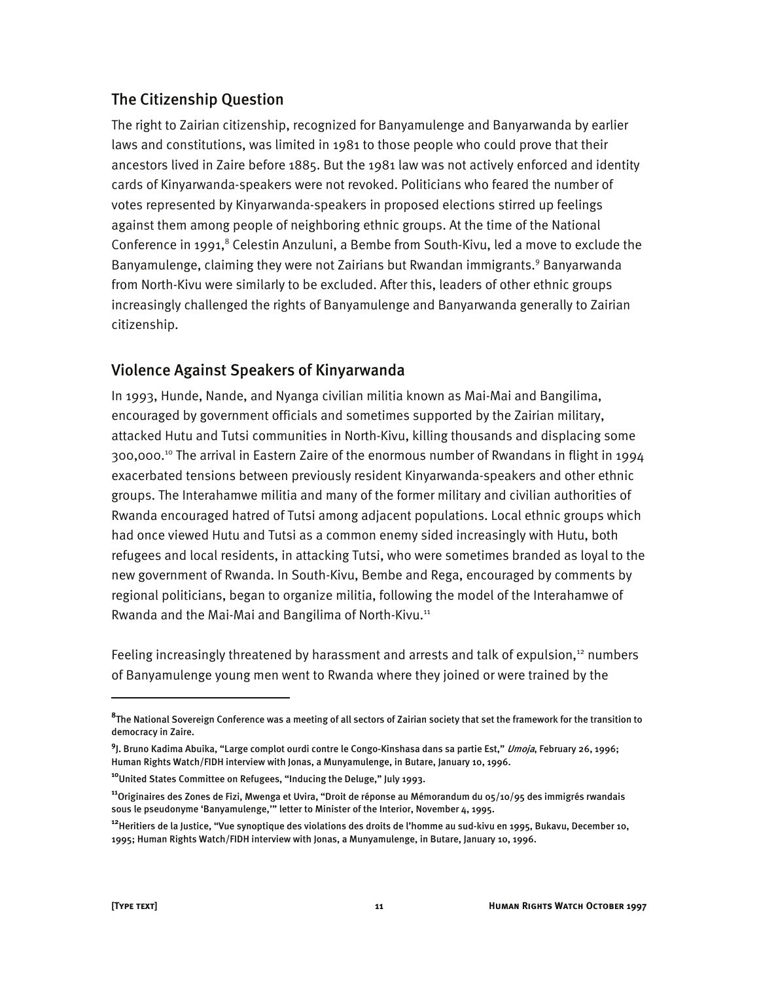### The Citizenship Question

The right to Zairian citizenship, recognized for Banyamulenge and Banyarwanda by earlier laws and constitutions, was limited in 1981 to those people who could prove that their ancestors lived in Zaire before 1885. But the 1981 law was not actively enforced and identity cards of Kinyarwanda-speakers were not revoked. Politicians who feared the number of votes represented by Kinyarwanda-speakers in proposed elections stirred up feelings against them among people of neighboring ethnic groups. At the time of the National Conference in 1991,<sup>8</sup> Celestin Anzuluni, a Bembe from South-Kivu, led a move to exclude the Banyamulenge, claiming they were not Zairians but Rwandan immigrants.<sup>9</sup> Banyarwanda from North-Kivu were similarly to be excluded. After this, leaders of other ethnic groups increasingly challenged the rights of Banyamulenge and Banyarwanda generally to Zairian citizenship.

### Violence Against Speakers of Kinyarwanda

In 1993, Hunde, Nande, and Nyanga civilian militia known as Mai-Mai and Bangilima, encouraged by government officials and sometimes supported by the Zairian military, attacked Hutu and Tutsi communities in North-Kivu, killing thousands and displacing some 300,000.10 The arrival in Eastern Zaire of the enormous number of Rwandans in flight in 1994 exacerbated tensions between previously resident Kinyarwanda-speakers and other ethnic groups. The Interahamwe militia and many of the former military and civilian authorities of Rwanda encouraged hatred of Tutsi among adjacent populations. Local ethnic groups which had once viewed Hutu and Tutsi as a common enemy sided increasingly with Hutu, both refugees and local residents, in attacking Tutsi, who were sometimes branded as loyal to the new government of Rwanda. In South-Kivu, Bembe and Rega, encouraged by comments by regional politicians, began to organize militia, following the model of the Interahamwe of Rwanda and the Mai-Mai and Bangilima of North-Kivu.<sup>11</sup>

Feeling increasingly threatened by harassment and arrests and talk of expulsion, $12$  numbers of Banyamulenge young men went to Rwanda where they joined or were trained by the

**<sup>8</sup>** The National Sovereign Conference was a meeting of all sectors of Zairian society that set the framework for the transition to democracy in Zaire.

**<sup>9</sup>** J. Bruno Kadima Abuika, "Large complot ourdi contre le Congo-Kinshasa dans sa partie Est," Umoja, February 26, 1996; Human Rights Watch/FIDH interview with Jonas, a Munyamulenge, in Butare, January 10, 1996.

**<sup>10</sup>**United States Committee on Refugees, "Inducing the Deluge," July 1993.

**<sup>11</sup>**Originaires des Zones de Fizi, Mwenga et Uvira, "Droit de réponse au Mémorandum du 05/10/95 des immigrés rwandais sous le pseudonyme 'Banyamulenge,'" letter to Minister of the Interior, November 4, 1995.

**<sup>12</sup>**Heritiers de la Justice, "Vue synoptique des violations des droits de l'homme au sud-kivu en 1995, Bukavu, December 10, 1995; Human Rights Watch/FIDH interview with Jonas, a Munyamulenge, in Butare, January 10, 1996.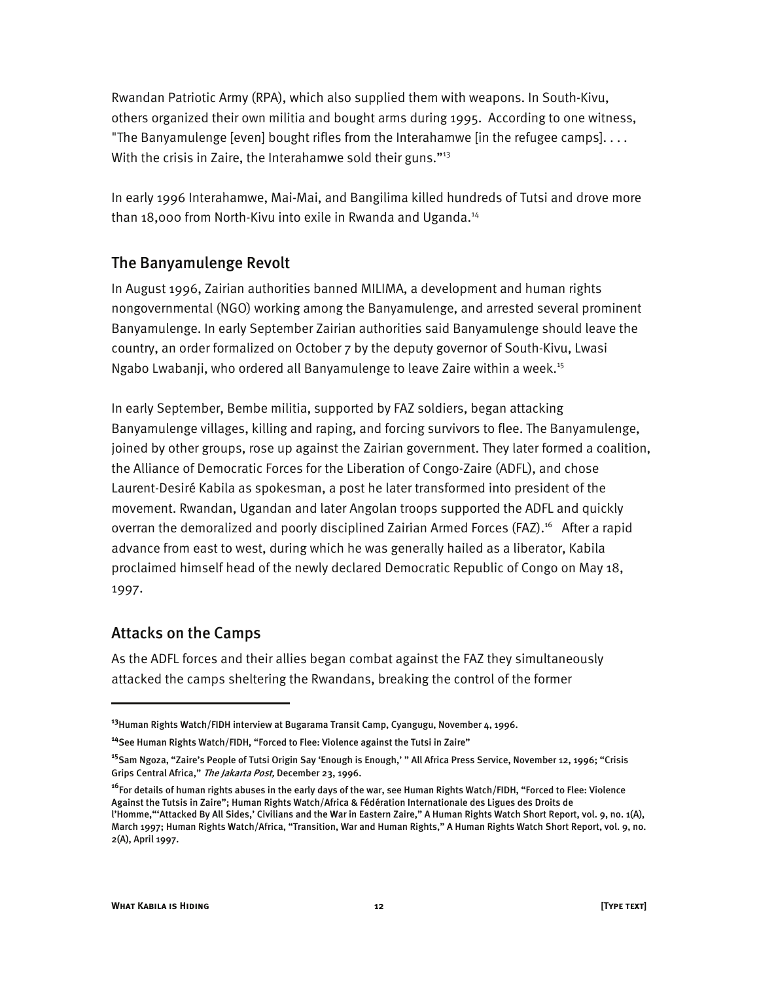Rwandan Patriotic Army (RPA), which also supplied them with weapons. In South-Kivu, others organized their own militia and bought arms during 1995. According to one witness, "The Banyamulenge [even] bought rifles from the Interahamwe [in the refugee camps]. . . . With the crisis in Zaire, the Interahamwe sold their guns."<sup>13</sup>

In early 1996 Interahamwe, Mai-Mai, and Bangilima killed hundreds of Tutsi and drove more than 18,000 from North-Kivu into exile in Rwanda and Uganda.<sup>14</sup>

#### The Banyamulenge Revolt

In August 1996, Zairian authorities banned MILIMA, a development and human rights nongovernmental (NGO) working among the Banyamulenge, and arrested several prominent Banyamulenge. In early September Zairian authorities said Banyamulenge should leave the country, an order formalized on October 7 by the deputy governor of South-Kivu, Lwasi Ngabo Lwabanji, who ordered all Banyamulenge to leave Zaire within a week.<sup>15</sup>

In early September, Bembe militia, supported by FAZ soldiers, began attacking Banyamulenge villages, killing and raping, and forcing survivors to flee. The Banyamulenge, joined by other groups, rose up against the Zairian government. They later formed a coalition, the Alliance of Democratic Forces for the Liberation of Congo-Zaire (ADFL), and chose Laurent-Desiré Kabila as spokesman, a post he later transformed into president of the movement. Rwandan, Ugandan and later Angolan troops supported the ADFL and quickly overran the demoralized and poorly disciplined Zairian Armed Forces (FAZ).<sup>16</sup> After a rapid advance from east to west, during which he was generally hailed as a liberator, Kabila proclaimed himself head of the newly declared Democratic Republic of Congo on May 18, 1997.

#### Attacks on the Camps

As the ADFL forces and their allies began combat against the FAZ they simultaneously attacked the camps sheltering the Rwandans, breaking the control of the former

**<sup>13</sup>**Human Rights Watch/FIDH interview at Bugarama Transit Camp, Cyangugu, November 4, 1996.

**<sup>14</sup>**See Human Rights Watch/FIDH, "Forced to Flee: Violence against the Tutsi in Zaire"

**<sup>15</sup>**Sam Ngoza, "Zaire's People of Tutsi Origin Say 'Enough is Enough,' " All Africa Press Service, November 12, 1996; "Crisis Grips Central Africa," The Jakarta Post, December 23, 1996.

**<sup>16</sup>**For details of human rights abuses in the early days of the war, see Human Rights Watch/FIDH, "Forced to Flee: Violence Against the Tutsis in Zaire"; Human Rights Watch/Africa & Fédération Internationale des Ligues des Droits de l'Homme,"'Attacked By All Sides,' Civilians and the War in Eastern Zaire," A Human Rights Watch Short Report, vol. 9, no. 1(A),

March 1997; Human Rights Watch/Africa, "Transition, War and Human Rights," A Human Rights Watch Short Report, vol. 9, no. 2(A), April 1997.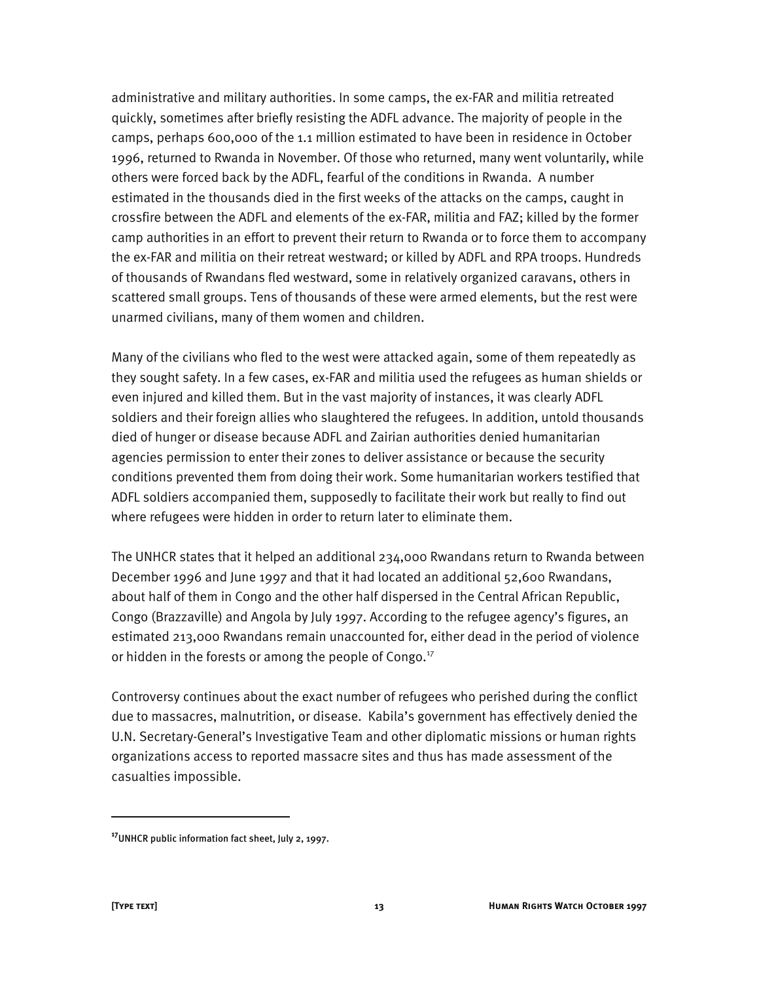administrative and military authorities. In some camps, the ex-FAR and militia retreated quickly, sometimes after briefly resisting the ADFL advance. The majority of people in the camps, perhaps 600,000 of the 1.1 million estimated to have been in residence in October 1996, returned to Rwanda in November. Of those who returned, many went voluntarily, while others were forced back by the ADFL, fearful of the conditions in Rwanda. A number estimated in the thousands died in the first weeks of the attacks on the camps, caught in crossfire between the ADFL and elements of the ex-FAR, militia and FAZ; killed by the former camp authorities in an effort to prevent their return to Rwanda or to force them to accompany the ex-FAR and militia on their retreat westward; or killed by ADFL and RPA troops. Hundreds of thousands of Rwandans fled westward, some in relatively organized caravans, others in scattered small groups. Tens of thousands of these were armed elements, but the rest were unarmed civilians, many of them women and children.

Many of the civilians who fled to the west were attacked again, some of them repeatedly as they sought safety. In a few cases, ex-FAR and militia used the refugees as human shields or even injured and killed them. But in the vast majority of instances, it was clearly ADFL soldiers and their foreign allies who slaughtered the refugees. In addition, untold thousands died of hunger or disease because ADFL and Zairian authorities denied humanitarian agencies permission to enter their zones to deliver assistance or because the security conditions prevented them from doing their work. Some humanitarian workers testified that ADFL soldiers accompanied them, supposedly to facilitate their work but really to find out where refugees were hidden in order to return later to eliminate them.

The UNHCR states that it helped an additional 234,000 Rwandans return to Rwanda between December 1996 and June 1997 and that it had located an additional 52,600 Rwandans, about half of them in Congo and the other half dispersed in the Central African Republic, Congo (Brazzaville) and Angola by July 1997. According to the refugee agency's figures, an estimated 213,000 Rwandans remain unaccounted for, either dead in the period of violence or hidden in the forests or among the people of Congo. $17$ 

Controversy continues about the exact number of refugees who perished during the conflict due to massacres, malnutrition, or disease. Kabila's government has effectively denied the U.N. Secretary-General's Investigative Team and other diplomatic missions or human rights organizations access to reported massacre sites and thus has made assessment of the casualties impossible.

**<sup>17</sup>**UNHCR public information fact sheet, July 2, 1997.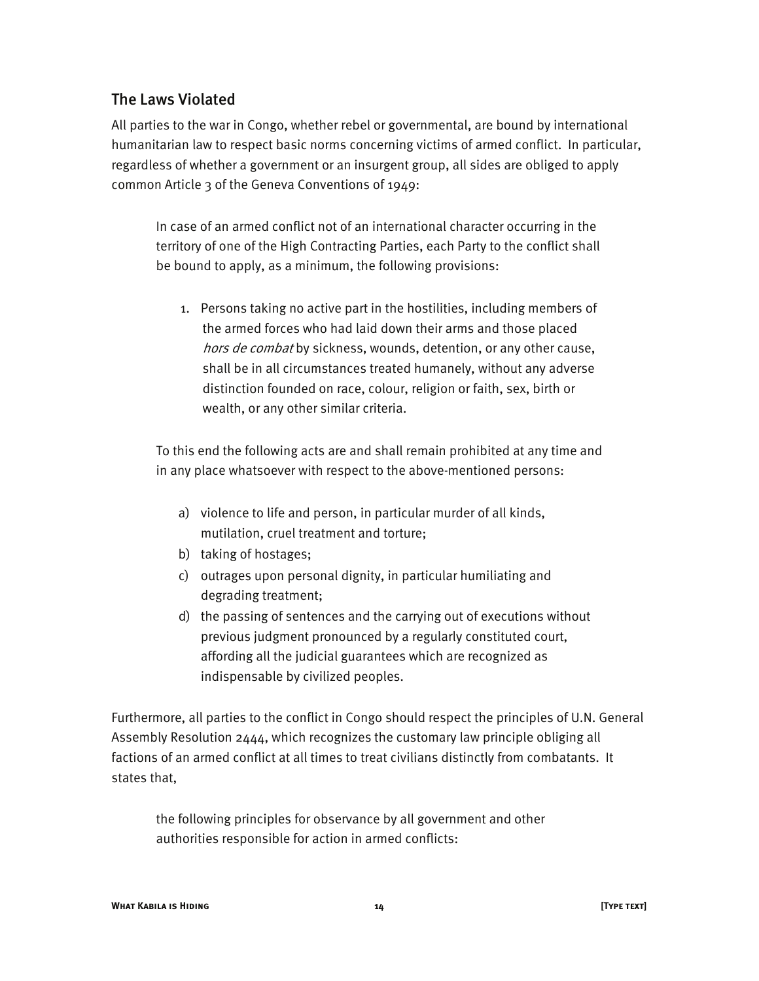#### The Laws Violated

All parties to the war in Congo, whether rebel or governmental, are bound by international humanitarian law to respect basic norms concerning victims of armed conflict. In particular, regardless of whether a government or an insurgent group, all sides are obliged to apply common Article 3 of the Geneva Conventions of 1949:

In case of an armed conflict not of an international character occurring in the territory of one of the High Contracting Parties, each Party to the conflict shall be bound to apply, as a minimum, the following provisions:

1. Persons taking no active part in the hostilities, including members of the armed forces who had laid down their arms and those placed hors de combat by sickness, wounds, detention, or any other cause, shall be in all circumstances treated humanely, without any adverse distinction founded on race, colour, religion or faith, sex, birth or wealth, or any other similar criteria.

To this end the following acts are and shall remain prohibited at any time and in any place whatsoever with respect to the above-mentioned persons:

- a) violence to life and person, in particular murder of all kinds, mutilation, cruel treatment and torture;
- b) taking of hostages;
- c) outrages upon personal dignity, in particular humiliating and degrading treatment;
- d) the passing of sentences and the carrying out of executions without previous judgment pronounced by a regularly constituted court, affording all the judicial guarantees which are recognized as indispensable by civilized peoples.

Furthermore, all parties to the conflict in Congo should respect the principles of U.N. General Assembly Resolution 2444, which recognizes the customary law principle obliging all factions of an armed conflict at all times to treat civilians distinctly from combatants. It states that,

the following principles for observance by all government and other authorities responsible for action in armed conflicts: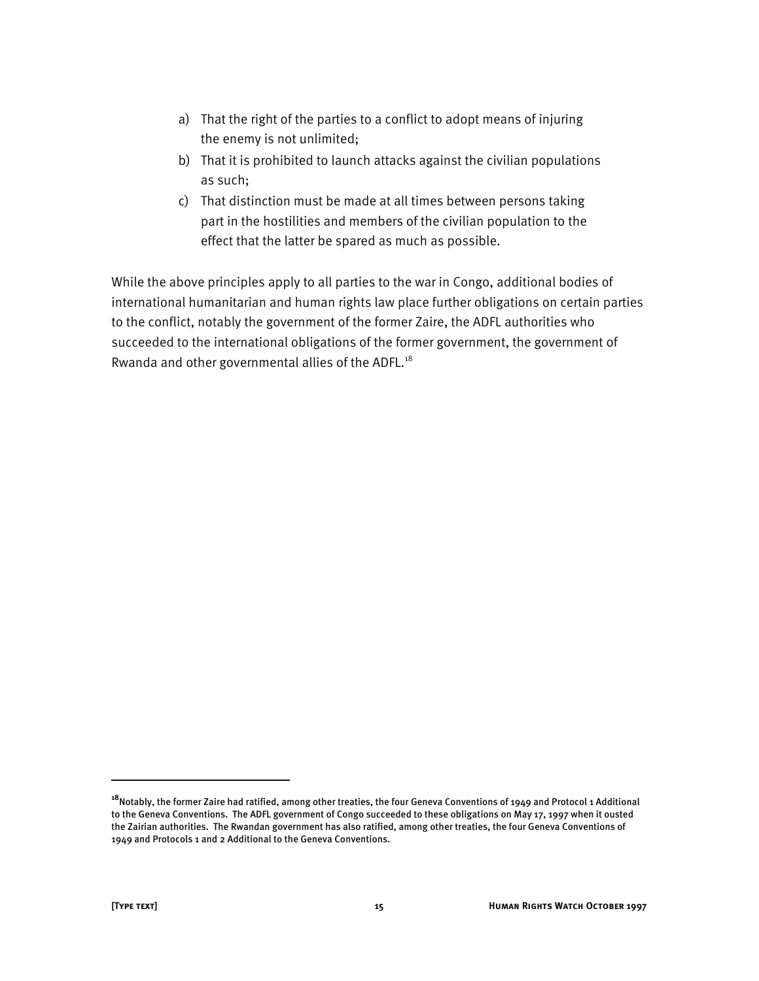- a) That the right of the parties to a conflict to adopt means of injuring the enemy is not unlimited;
- b) That it is prohibited to launch attacks against the civilian populations as such;
- c) That distinction must be made at all times between persons taking part in the hostilities and members of the civilian population to the effect that the latter be spared as much as possible.

While the above principles apply to all parties to the war in Congo, additional bodies of international humanitarian and human rights law place further obligations on certain parties to the conflict, notably the government of the former Zaire, the ADFL authorities who succeeded to the international obligations of the former government, the government of Rwanda and other governmental allies of the ADFL.<sup>18</sup>

**<sup>18</sup>**Notably, the former Zaire had ratified, among other treaties, the four Geneva Conventions of 1949 and Protocol 1 Additional to the Geneva Conventions. The ADFL government of Congo succeeded to these obligations on May 17, 1997 when it ousted the Zairian authorities. The Rwandan government has also ratified, among other treaties, the four Geneva Conventions of 1949 and Protocols 1 and 2 Additional to the Geneva Conventions.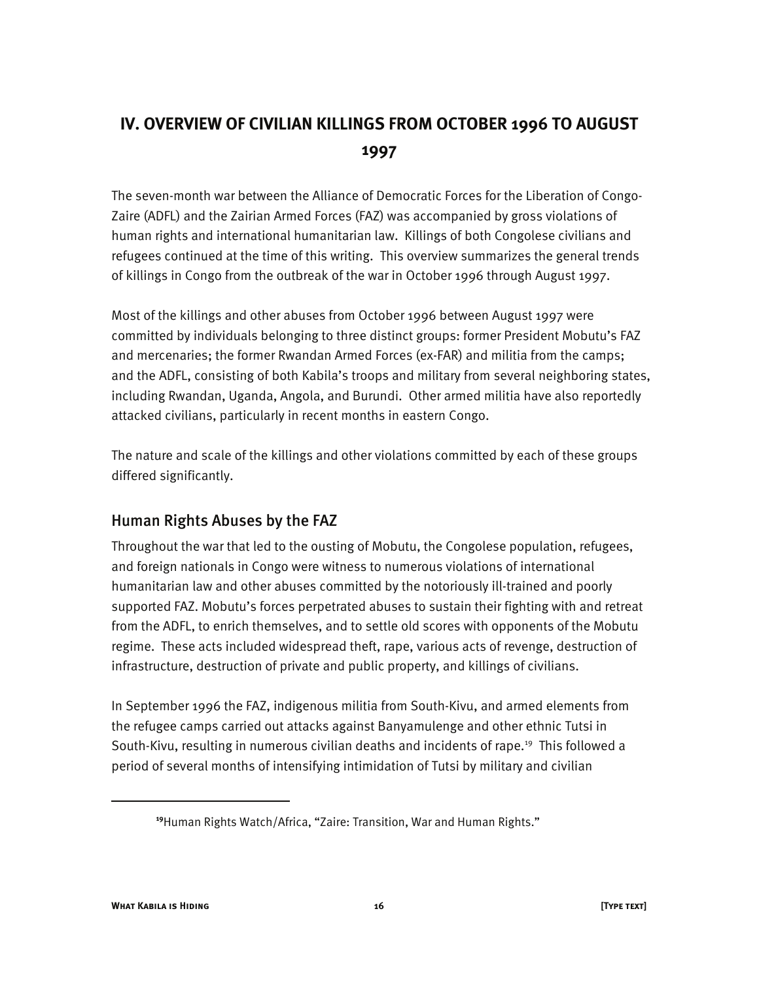## **IV. OVERVIEW OF CIVILIAN KILLINGS FROM OCTOBER 1996 TO AUGUST 1997**

The seven-month war between the Alliance of Democratic Forces for the Liberation of Congo-Zaire (ADFL) and the Zairian Armed Forces (FAZ) was accompanied by gross violations of human rights and international humanitarian law. Killings of both Congolese civilians and refugees continued at the time of this writing. This overview summarizes the general trends of killings in Congo from the outbreak of the war in October 1996 through August 1997.

Most of the killings and other abuses from October 1996 between August 1997 were committed by individuals belonging to three distinct groups: former President Mobutu's FAZ and mercenaries; the former Rwandan Armed Forces (ex-FAR) and militia from the camps; and the ADFL, consisting of both Kabila's troops and military from several neighboring states, including Rwandan, Uganda, Angola, and Burundi. Other armed militia have also reportedly attacked civilians, particularly in recent months in eastern Congo.

The nature and scale of the killings and other violations committed by each of these groups differed significantly.

#### Human Rights Abuses by the FAZ

Throughout the war that led to the ousting of Mobutu, the Congolese population, refugees, and foreign nationals in Congo were witness to numerous violations of international humanitarian law and other abuses committed by the notoriously ill-trained and poorly supported FAZ. Mobutu's forces perpetrated abuses to sustain their fighting with and retreat from the ADFL, to enrich themselves, and to settle old scores with opponents of the Mobutu regime. These acts included widespread theft, rape, various acts of revenge, destruction of infrastructure, destruction of private and public property, and killings of civilians.

In September 1996 the FAZ, indigenous militia from South-Kivu, and armed elements from the refugee camps carried out attacks against Banyamulenge and other ethnic Tutsi in South-Kivu, resulting in numerous civilian deaths and incidents of rape.19 This followed a period of several months of intensifying intimidation of Tutsi by military and civilian

**<sup>19</sup>**Human Rights Watch/Africa, "Zaire: Transition, War and Human Rights."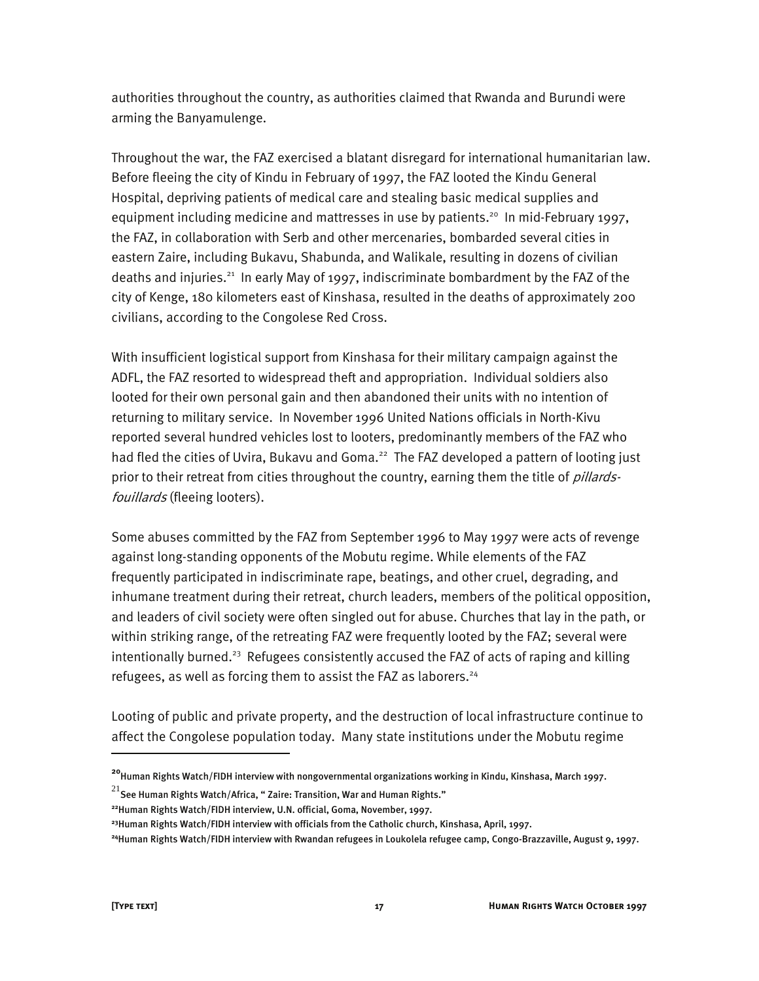authorities throughout the country, as authorities claimed that Rwanda and Burundi were arming the Banyamulenge.

Throughout the war, the FAZ exercised a blatant disregard for international humanitarian law. Before fleeing the city of Kindu in February of 1997, the FAZ looted the Kindu General Hospital, depriving patients of medical care and stealing basic medical supplies and equipment including medicine and mattresses in use by patients.<sup>20</sup> In mid-February 1997, the FAZ, in collaboration with Serb and other mercenaries, bombarded several cities in eastern Zaire, including Bukavu, Shabunda, and Walikale, resulting in dozens of civilian deaths and injuries.<sup>21</sup> In early May of 1997, indiscriminate bombardment by the FAZ of the city of Kenge, 180 kilometers east of Kinshasa, resulted in the deaths of approximately 200 civilians, according to the Congolese Red Cross.

With insufficient logistical support from Kinshasa for their military campaign against the ADFL, the FAZ resorted to widespread theft and appropriation. Individual soldiers also looted for their own personal gain and then abandoned their units with no intention of returning to military service. In November 1996 United Nations officials in North-Kivu reported several hundred vehicles lost to looters, predominantly members of the FAZ who had fled the cities of Uvira, Bukavu and Goma.<sup>22</sup> The FAZ developed a pattern of looting just prior to their retreat from cities throughout the country, earning them the title of *pillards*fouillards (fleeing looters).

Some abuses committed by the FAZ from September 1996 to May 1997 were acts of revenge against long-standing opponents of the Mobutu regime. While elements of the FAZ frequently participated in indiscriminate rape, beatings, and other cruel, degrading, and inhumane treatment during their retreat, church leaders, members of the political opposition, and leaders of civil society were often singled out for abuse. Churches that lay in the path, or within striking range, of the retreating FAZ were frequently looted by the FAZ; several were intentionally burned.<sup>23</sup> Refugees consistently accused the FAZ of acts of raping and killing refugees, as well as forcing them to assist the FAZ as laborers. $24$ 

Looting of public and private property, and the destruction of local infrastructure continue to affect the Congolese population today. Many state institutions under the Mobutu regime

:

**<sup>20</sup>**Human Rights Watch/FIDH interview with nongovernmental organizations working in Kindu, Kinshasa, March 1997.

 $^{21}$ See Human Rights Watch/Africa, " Zaire: Transition, War and Human Rights."

**<sup>22</sup>**Human Rights Watch/FIDH interview, U.N. official, Goma, November, 1997.

**<sup>23</sup>**Human Rights Watch/FIDH interview with officials from the Catholic church, Kinshasa, April, 1997.

**<sup>24</sup>**Human Rights Watch/FIDH interview with Rwandan refugees in Loukolela refugee camp, Congo-Brazzaville, August 9, 1997.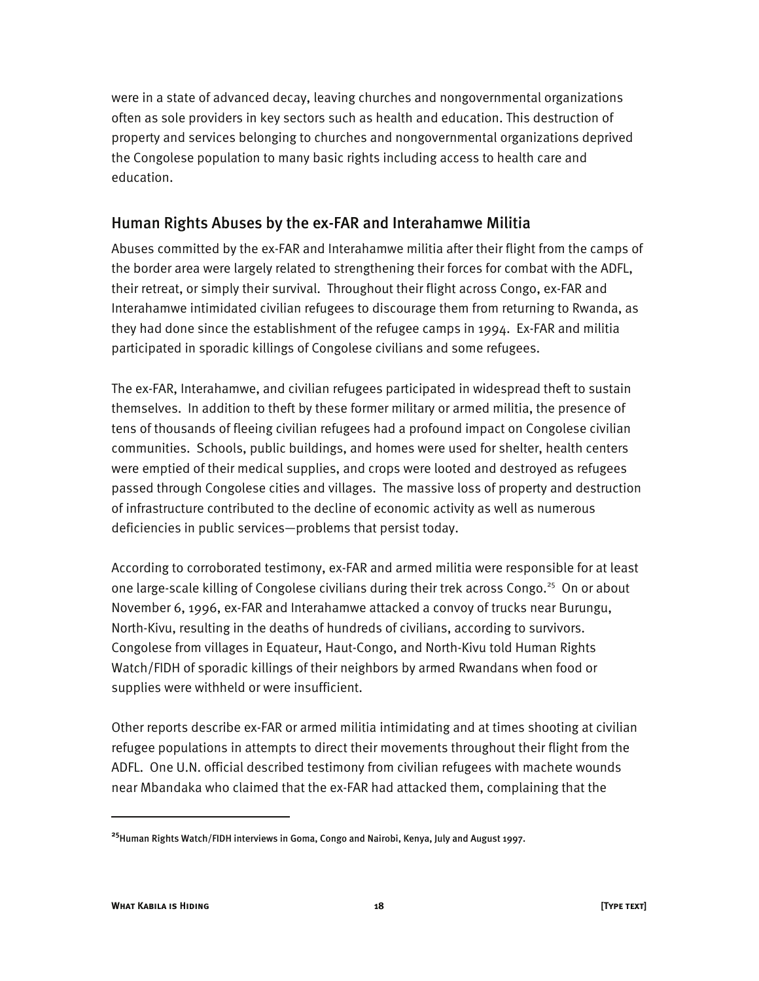were in a state of advanced decay, leaving churches and nongovernmental organizations often as sole providers in key sectors such as health and education. This destruction of property and services belonging to churches and nongovernmental organizations deprived the Congolese population to many basic rights including access to health care and education.

#### Human Rights Abuses by the ex-FAR and Interahamwe Militia

Abuses committed by the ex-FAR and Interahamwe militia after their flight from the camps of the border area were largely related to strengthening their forces for combat with the ADFL, their retreat, or simply their survival. Throughout their flight across Congo, ex-FAR and Interahamwe intimidated civilian refugees to discourage them from returning to Rwanda, as they had done since the establishment of the refugee camps in 1994. Ex-FAR and militia participated in sporadic killings of Congolese civilians and some refugees.

The ex-FAR, Interahamwe, and civilian refugees participated in widespread theft to sustain themselves. In addition to theft by these former military or armed militia, the presence of tens of thousands of fleeing civilian refugees had a profound impact on Congolese civilian communities. Schools, public buildings, and homes were used for shelter, health centers were emptied of their medical supplies, and crops were looted and destroyed as refugees passed through Congolese cities and villages. The massive loss of property and destruction of infrastructure contributed to the decline of economic activity as well as numerous deficiencies in public services—problems that persist today.

According to corroborated testimony, ex-FAR and armed militia were responsible for at least one large-scale killing of Congolese civilians during their trek across Congo.<sup>25</sup> On or about November 6, 1996, ex-FAR and Interahamwe attacked a convoy of trucks near Burungu, North-Kivu, resulting in the deaths of hundreds of civilians, according to survivors. Congolese from villages in Equateur, Haut-Congo, and North-Kivu told Human Rights Watch/FIDH of sporadic killings of their neighbors by armed Rwandans when food or supplies were withheld or were insufficient.

Other reports describe ex-FAR or armed militia intimidating and at times shooting at civilian refugee populations in attempts to direct their movements throughout their flight from the ADFL. One U.N. official described testimony from civilian refugees with machete wounds near Mbandaka who claimed that the ex-FAR had attacked them, complaining that the

**<sup>25</sup>**Human Rights Watch/FIDH interviews in Goma, Congo and Nairobi, Kenya, July and August 1997.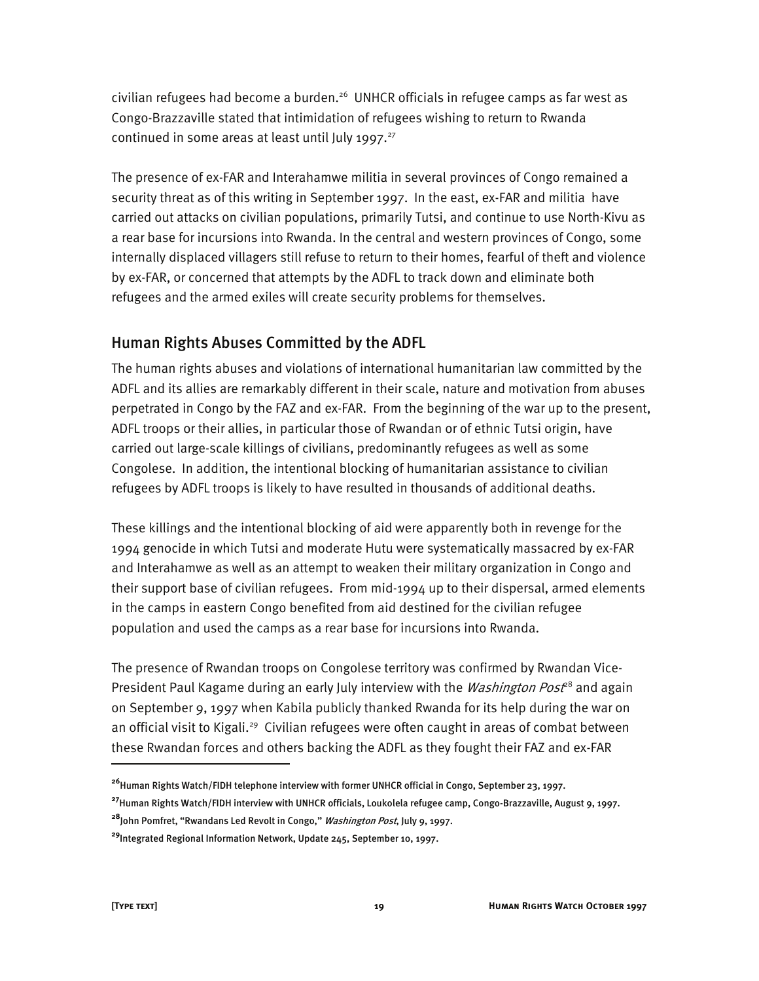civilian refugees had become a burden.<sup>26</sup> UNHCR officials in refugee camps as far west as Congo-Brazzaville stated that intimidation of refugees wishing to return to Rwanda continued in some areas at least until July 1997. $27$ 

The presence of ex-FAR and Interahamwe militia in several provinces of Congo remained a security threat as of this writing in September 1997. In the east, ex-FAR and militia have carried out attacks on civilian populations, primarily Tutsi, and continue to use North-Kivu as a rear base for incursions into Rwanda. In the central and western provinces of Congo, some internally displaced villagers still refuse to return to their homes, fearful of theft and violence by ex-FAR, or concerned that attempts by the ADFL to track down and eliminate both refugees and the armed exiles will create security problems for themselves.

### Human Rights Abuses Committed by the ADFL

The human rights abuses and violations of international humanitarian law committed by the ADFL and its allies are remarkably different in their scale, nature and motivation from abuses perpetrated in Congo by the FAZ and ex-FAR. From the beginning of the war up to the present, ADFL troops or their allies, in particular those of Rwandan or of ethnic Tutsi origin, have carried out large-scale killings of civilians, predominantly refugees as well as some Congolese. In addition, the intentional blocking of humanitarian assistance to civilian refugees by ADFL troops is likely to have resulted in thousands of additional deaths.

These killings and the intentional blocking of aid were apparently both in revenge for the 1994 genocide in which Tutsi and moderate Hutu were systematically massacred by ex-FAR and Interahamwe as well as an attempt to weaken their military organization in Congo and their support base of civilian refugees. From mid-1994 up to their dispersal, armed elements in the camps in eastern Congo benefited from aid destined for the civilian refugee population and used the camps as a rear base for incursions into Rwanda.

The presence of Rwandan troops on Congolese territory was confirmed by Rwandan Vice-President Paul Kagame during an early July interview with the *Washington Post<sup>e8</sup>* and again on September 9, 1997 when Kabila publicly thanked Rwanda for its help during the war on an official visit to Kigali.<sup>29</sup> Civilian refugees were often caught in areas of combat between these Rwandan forces and others backing the ADFL as they fought their FAZ and ex-FAR

1

**<sup>26</sup>**Human Rights Watch/FIDH telephone interview with former UNHCR official in Congo, September 23, 1997.

**<sup>27</sup>**Human Rights Watch/FIDH interview with UNHCR officials, Loukolela refugee camp, Congo-Brazzaville, August 9, 1997. **<sup>28</sup>**John Pomfret, "Rwandans Led Revolt in Congo," Washington Post, July 9, 1997.

**<sup>29</sup>**Integrated Regional Information Network, Update 245, September 10, 1997.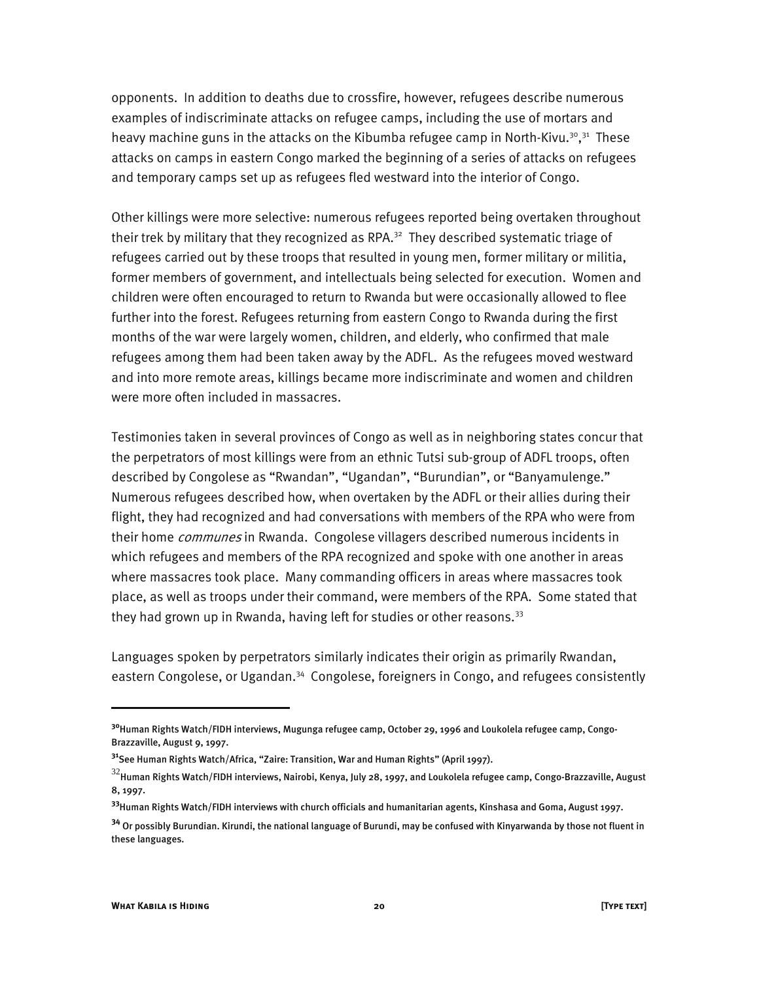opponents. In addition to deaths due to crossfire, however, refugees describe numerous examples of indiscriminate attacks on refugee camps, including the use of mortars and heavy machine guns in the attacks on the Kibumba refugee camp in North-Kivu.<sup>30</sup>,<sup>31</sup> These attacks on camps in eastern Congo marked the beginning of a series of attacks on refugees and temporary camps set up as refugees fled westward into the interior of Congo.

Other killings were more selective: numerous refugees reported being overtaken throughout their trek by military that they recognized as  $RPA.<sup>32</sup>$  They described systematic triage of refugees carried out by these troops that resulted in young men, former military or militia, former members of government, and intellectuals being selected for execution. Women and children were often encouraged to return to Rwanda but were occasionally allowed to flee further into the forest. Refugees returning from eastern Congo to Rwanda during the first months of the war were largely women, children, and elderly, who confirmed that male refugees among them had been taken away by the ADFL. As the refugees moved westward and into more remote areas, killings became more indiscriminate and women and children were more often included in massacres.

Testimonies taken in several provinces of Congo as well as in neighboring states concur that the perpetrators of most killings were from an ethnic Tutsi sub-group of ADFL troops, often described by Congolese as "Rwandan", "Ugandan", "Burundian", or "Banyamulenge." Numerous refugees described how, when overtaken by the ADFL or their allies during their flight, they had recognized and had conversations with members of the RPA who were from their home *communes* in Rwanda. Congolese villagers described numerous incidents in which refugees and members of the RPA recognized and spoke with one another in areas where massacres took place. Many commanding officers in areas where massacres took place, as well as troops under their command, were members of the RPA. Some stated that they had grown up in Rwanda, having left for studies or other reasons.<sup>33</sup>

Languages spoken by perpetrators similarly indicates their origin as primarily Rwandan, eastern Congolese, or Ugandan.<sup>34</sup> Congolese, foreigners in Congo, and refugees consistently

**<sup>30</sup>**Human Rights Watch/FIDH interviews, Mugunga refugee camp, October 29, 1996 and Loukolela refugee camp, Congo-Brazzaville, August 9, 1997.

**<sup>31</sup>**See Human Rights Watch/Africa, "Zaire: Transition, War and Human Rights" (April 1997).

 $^{32}$ Human Rights Watch/FIDH interviews, Nairobi, Kenya, July 28, 1997, and Loukolela refugee camp, Congo-Brazzaville, August 8, 1997.

**<sup>33</sup>**Human Rights Watch/FIDH interviews with church officials and humanitarian agents, Kinshasa and Goma, August 1997.

**<sup>34</sup>** Or possibly Burundian. Kirundi, the national language of Burundi, may be confused with Kinyarwanda by those not fluent in these languages.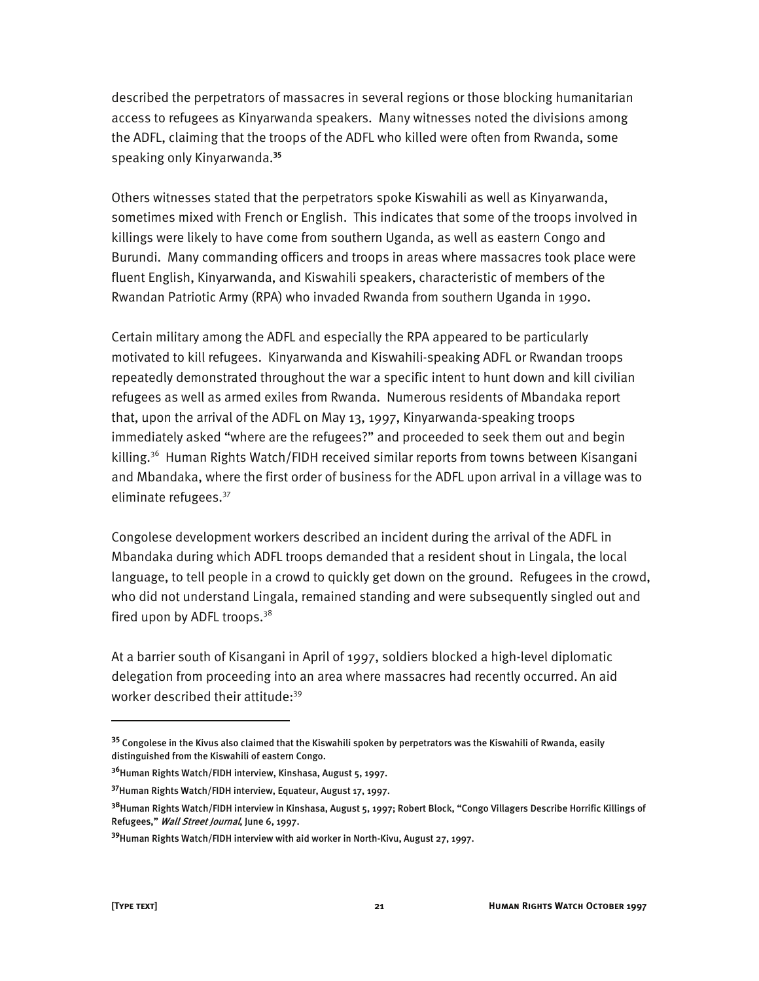described the perpetrators of massacres in several regions or those blocking humanitarian access to refugees as Kinyarwanda speakers. Many witnesses noted the divisions among the ADFL, claiming that the troops of the ADFL who killed were often from Rwanda, some speaking only Kinyarwanda.**<sup>35</sup>**

Others witnesses stated that the perpetrators spoke Kiswahili as well as Kinyarwanda, sometimes mixed with French or English. This indicates that some of the troops involved in killings were likely to have come from southern Uganda, as well as eastern Congo and Burundi. Many commanding officers and troops in areas where massacres took place were fluent English, Kinyarwanda, and Kiswahili speakers, characteristic of members of the Rwandan Patriotic Army (RPA) who invaded Rwanda from southern Uganda in 1990.

Certain military among the ADFL and especially the RPA appeared to be particularly motivated to kill refugees. Kinyarwanda and Kiswahili-speaking ADFL or Rwandan troops repeatedly demonstrated throughout the war a specific intent to hunt down and kill civilian refugees as well as armed exiles from Rwanda. Numerous residents of Mbandaka report that, upon the arrival of the ADFL on May 13, 1997, Kinyarwanda-speaking troops immediately asked "where are the refugees?" and proceeded to seek them out and begin killing.<sup>36</sup> Human Rights Watch/FIDH received similar reports from towns between Kisangani and Mbandaka, where the first order of business for the ADFL upon arrival in a village was to eliminate refugees.37

Congolese development workers described an incident during the arrival of the ADFL in Mbandaka during which ADFL troops demanded that a resident shout in Lingala, the local language, to tell people in a crowd to quickly get down on the ground. Refugees in the crowd, who did not understand Lingala, remained standing and were subsequently singled out and fired upon by ADFL troops.<sup>38</sup>

At a barrier south of Kisangani in April of 1997, soldiers blocked a high-level diplomatic delegation from proceeding into an area where massacres had recently occurred. An aid worker described their attitude:<sup>39</sup>

**<sup>35</sup>** Congolese in the Kivus also claimed that the Kiswahili spoken by perpetrators was the Kiswahili of Rwanda, easily distinguished from the Kiswahili of eastern Congo.

**<sup>36</sup>**Human Rights Watch/FIDH interview, Kinshasa, August 5, 1997.

**<sup>37</sup>**Human Rights Watch/FIDH interview, Equateur, August 17, 1997.

**<sup>38</sup>**Human Rights Watch/FIDH interview in Kinshasa, August 5, 1997; Robert Block, "Congo Villagers Describe Horrific Killings of Refugees," Wall Street Journal, June 6, 1997.

**<sup>39</sup>**Human Rights Watch/FIDH interview with aid worker in North-Kivu, August 27, 1997.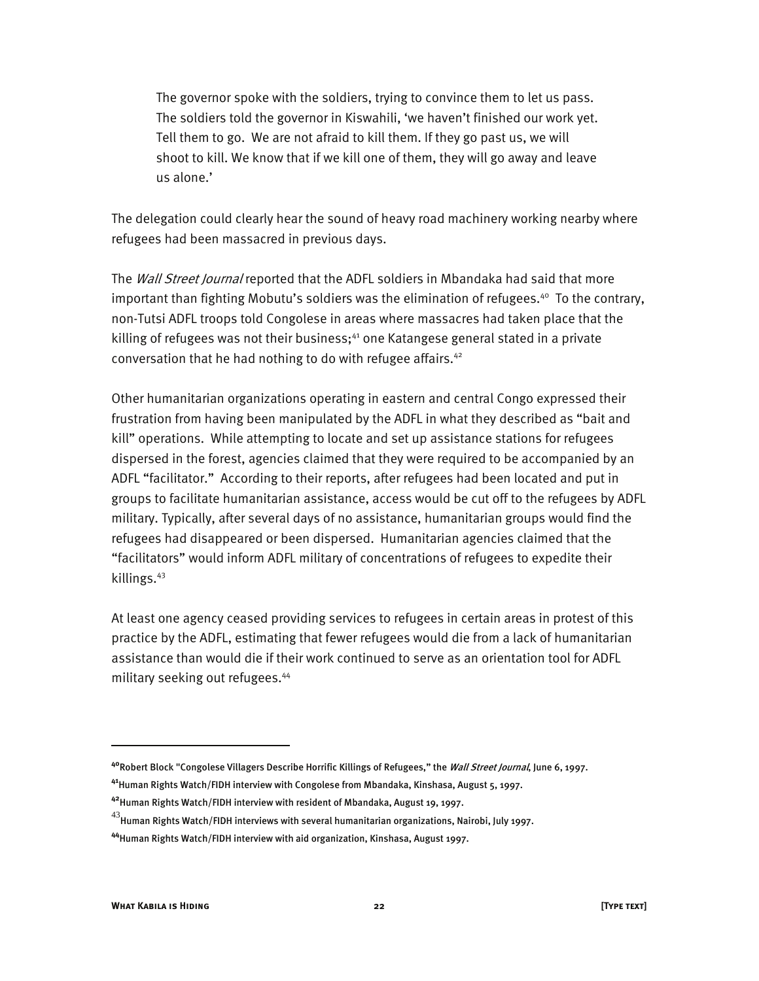The governor spoke with the soldiers, trying to convince them to let us pass. The soldiers told the governor in Kiswahili, 'we haven't finished our work yet. Tell them to go. We are not afraid to kill them. If they go past us, we will shoot to kill. We know that if we kill one of them, they will go away and leave us alone.'

The delegation could clearly hear the sound of heavy road machinery working nearby where refugees had been massacred in previous days.

The *Wall Street Journal* reported that the ADFL soldiers in Mbandaka had said that more important than fighting Mobutu's soldiers was the elimination of refugees.<sup>40</sup> To the contrary, non-Tutsi ADFL troops told Congolese in areas where massacres had taken place that the killing of refugees was not their business; $41$  one Katangese general stated in a private conversation that he had nothing to do with refugee affairs.<sup>42</sup>

Other humanitarian organizations operating in eastern and central Congo expressed their frustration from having been manipulated by the ADFL in what they described as "bait and kill" operations. While attempting to locate and set up assistance stations for refugees dispersed in the forest, agencies claimed that they were required to be accompanied by an ADFL "facilitator." According to their reports, after refugees had been located and put in groups to facilitate humanitarian assistance, access would be cut off to the refugees by ADFL military. Typically, after several days of no assistance, humanitarian groups would find the refugees had disappeared or been dispersed. Humanitarian agencies claimed that the "facilitators" would inform ADFL military of concentrations of refugees to expedite their killings.43

At least one agency ceased providing services to refugees in certain areas in protest of this practice by the ADFL, estimating that fewer refugees would die from a lack of humanitarian assistance than would die if their work continued to serve as an orientation tool for ADFL military seeking out refugees.44

1

**<sup>40</sup>**Robert Block "Congolese Villagers Describe Horrific Killings of Refugees," the Wall Street Journal, June 6, 1997.

**<sup>41</sup>**Human Rights Watch/FIDH interview with Congolese from Mbandaka, Kinshasa, August 5, 1997.

**<sup>42</sup>**Human Rights Watch/FIDH interview with resident of Mbandaka, August 19, 1997.

 $^{43}$ Human Rights Watch/FIDH interviews with several humanitarian organizations, Nairobi, July 1997.

**<sup>44</sup>**Human Rights Watch/FIDH interview with aid organization, Kinshasa, August 1997.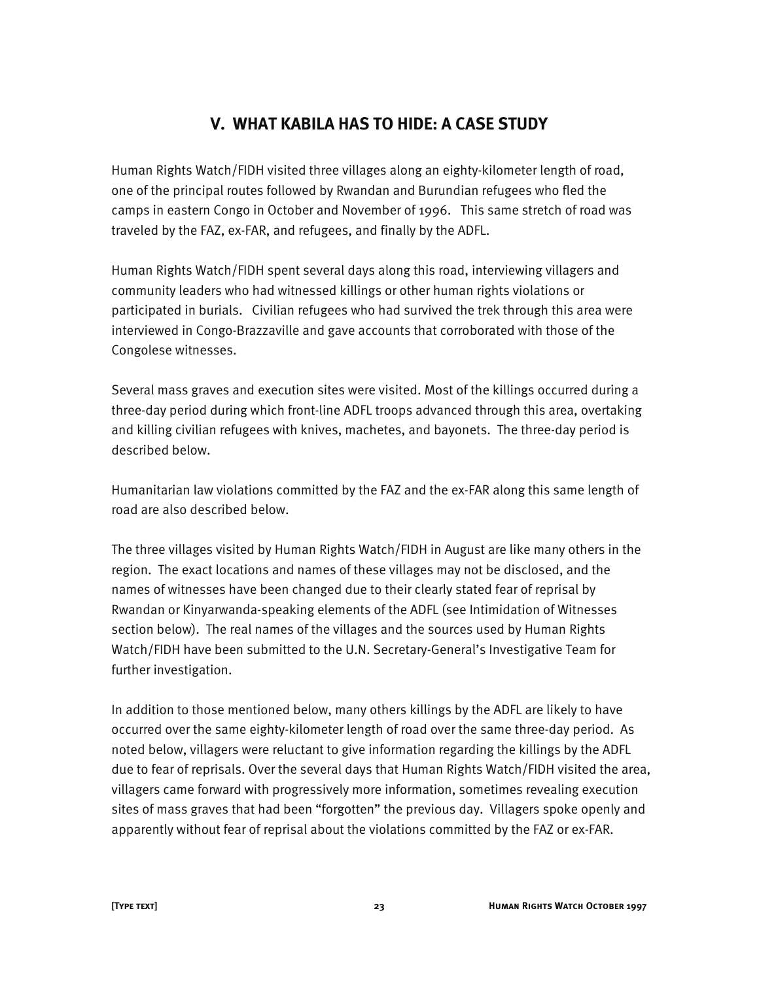## **V. WHAT KABILA HAS TO HIDE: A CASE STUDY**

Human Rights Watch/FIDH visited three villages along an eighty-kilometer length of road, one of the principal routes followed by Rwandan and Burundian refugees who fled the camps in eastern Congo in October and November of 1996. This same stretch of road was traveled by the FAZ, ex-FAR, and refugees, and finally by the ADFL.

Human Rights Watch/FIDH spent several days along this road, interviewing villagers and community leaders who had witnessed killings or other human rights violations or participated in burials. Civilian refugees who had survived the trek through this area were interviewed in Congo-Brazzaville and gave accounts that corroborated with those of the Congolese witnesses.

Several mass graves and execution sites were visited. Most of the killings occurred during a three-day period during which front-line ADFL troops advanced through this area, overtaking and killing civilian refugees with knives, machetes, and bayonets. The three-day period is described below.

Humanitarian law violations committed by the FAZ and the ex-FAR along this same length of road are also described below.

The three villages visited by Human Rights Watch/FIDH in August are like many others in the region. The exact locations and names of these villages may not be disclosed, and the names of witnesses have been changed due to their clearly stated fear of reprisal by Rwandan or Kinyarwanda-speaking elements of the ADFL (see Intimidation of Witnesses section below). The real names of the villages and the sources used by Human Rights Watch/FIDH have been submitted to the U.N. Secretary-General's Investigative Team for further investigation.

In addition to those mentioned below, many others killings by the ADFL are likely to have occurred over the same eighty-kilometer length of road over the same three-day period. As noted below, villagers were reluctant to give information regarding the killings by the ADFL due to fear of reprisals. Over the several days that Human Rights Watch/FIDH visited the area, villagers came forward with progressively more information, sometimes revealing execution sites of mass graves that had been "forgotten" the previous day. Villagers spoke openly and apparently without fear of reprisal about the violations committed by the FAZ or ex-FAR.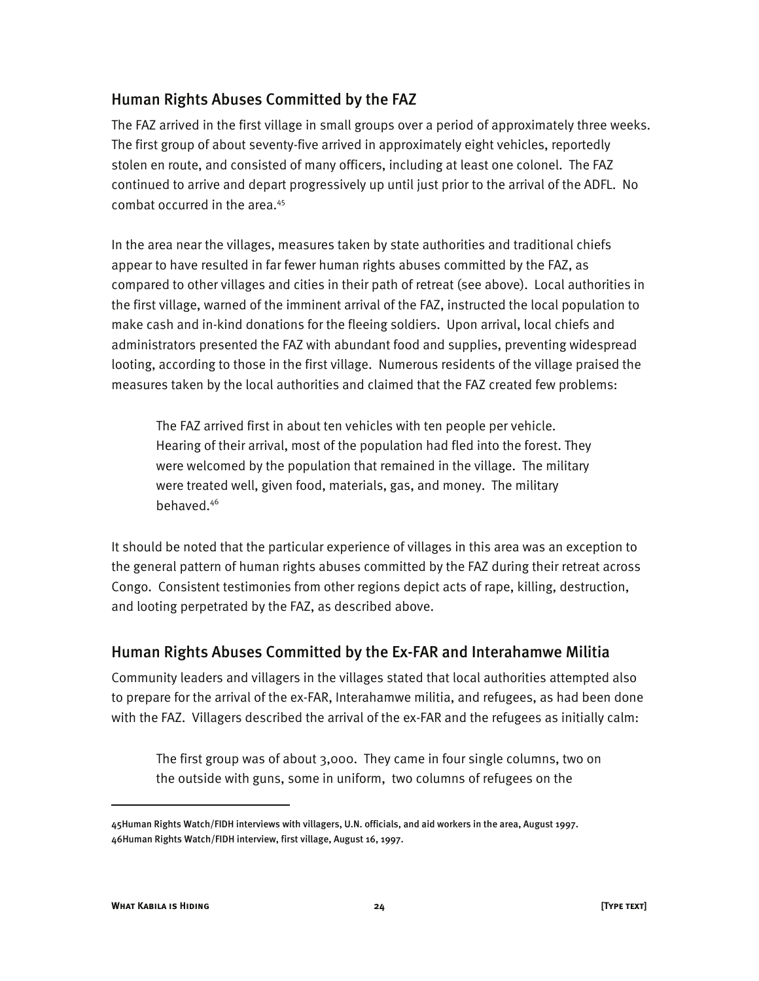#### Human Rights Abuses Committed by the FAZ

The FAZ arrived in the first village in small groups over a period of approximately three weeks. The first group of about seventy-five arrived in approximately eight vehicles, reportedly stolen en route, and consisted of many officers, including at least one colonel. The FAZ continued to arrive and depart progressively up until just prior to the arrival of the ADFL. No combat occurred in the area.<sup>45</sup>

In the area near the villages, measures taken by state authorities and traditional chiefs appear to have resulted in far fewer human rights abuses committed by the FAZ, as compared to other villages and cities in their path of retreat (see above). Local authorities in the first village, warned of the imminent arrival of the FAZ, instructed the local population to make cash and in-kind donations for the fleeing soldiers. Upon arrival, local chiefs and administrators presented the FAZ with abundant food and supplies, preventing widespread looting, according to those in the first village. Numerous residents of the village praised the measures taken by the local authorities and claimed that the FAZ created few problems:

The FAZ arrived first in about ten vehicles with ten people per vehicle. Hearing of their arrival, most of the population had fled into the forest. They were welcomed by the population that remained in the village. The military were treated well, given food, materials, gas, and money. The military behaved.46

It should be noted that the particular experience of villages in this area was an exception to the general pattern of human rights abuses committed by the FAZ during their retreat across Congo. Consistent testimonies from other regions depict acts of rape, killing, destruction, and looting perpetrated by the FAZ, as described above.

#### Human Rights Abuses Committed by the Ex-FAR and Interahamwe Militia

Community leaders and villagers in the villages stated that local authorities attempted also to prepare for the arrival of the ex-FAR, Interahamwe militia, and refugees, as had been done with the FAZ. Villagers described the arrival of the ex-FAR and the refugees as initially calm:

The first group was of about 3,000. They came in four single columns, two on the outside with guns, some in uniform, two columns of refugees on the

<sup>45</sup>Human Rights Watch/FIDH interviews with villagers, U.N. officials, and aid workers in the area, August 1997. 46Human Rights Watch/FIDH interview, first village, August 16, 1997.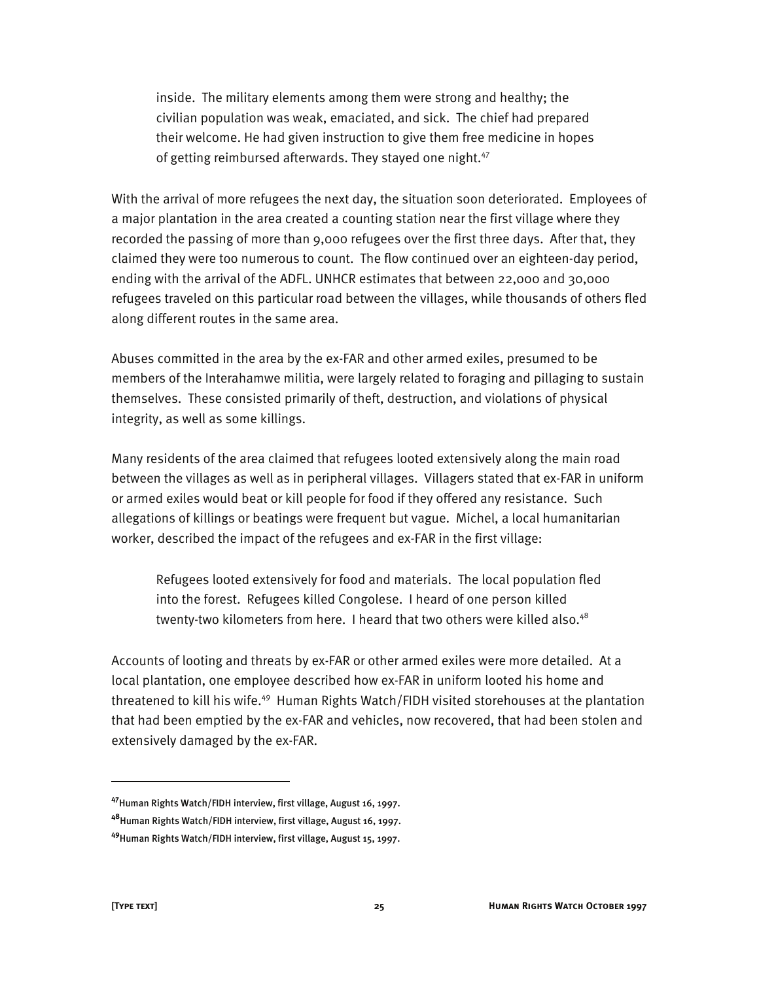inside. The military elements among them were strong and healthy; the civilian population was weak, emaciated, and sick. The chief had prepared their welcome. He had given instruction to give them free medicine in hopes of getting reimbursed afterwards. They stayed one night.<sup>47</sup>

With the arrival of more refugees the next day, the situation soon deteriorated. Employees of a major plantation in the area created a counting station near the first village where they recorded the passing of more than 9,000 refugees over the first three days. After that, they claimed they were too numerous to count. The flow continued over an eighteen-day period, ending with the arrival of the ADFL. UNHCR estimates that between 22,000 and 30,000 refugees traveled on this particular road between the villages, while thousands of others fled along different routes in the same area.

Abuses committed in the area by the ex-FAR and other armed exiles, presumed to be members of the Interahamwe militia, were largely related to foraging and pillaging to sustain themselves. These consisted primarily of theft, destruction, and violations of physical integrity, as well as some killings.

Many residents of the area claimed that refugees looted extensively along the main road between the villages as well as in peripheral villages. Villagers stated that ex-FAR in uniform or armed exiles would beat or kill people for food if they offered any resistance. Such allegations of killings or beatings were frequent but vague. Michel, a local humanitarian worker, described the impact of the refugees and ex-FAR in the first village:

Refugees looted extensively for food and materials. The local population fled into the forest. Refugees killed Congolese. I heard of one person killed twenty-two kilometers from here. I heard that two others were killed also.<sup>48</sup>

Accounts of looting and threats by ex-FAR or other armed exiles were more detailed. At a local plantation, one employee described how ex-FAR in uniform looted his home and threatened to kill his wife.49 Human Rights Watch/FIDH visited storehouses at the plantation that had been emptied by the ex-FAR and vehicles, now recovered, that had been stolen and extensively damaged by the ex-FAR.

**<sup>47</sup>**Human Rights Watch/FIDH interview, first village, August 16, 1997.

**<sup>48</sup>**Human Rights Watch/FIDH interview, first village, August 16, 1997.

**<sup>49</sup>**Human Rights Watch/FIDH interview, first village, August 15, 1997.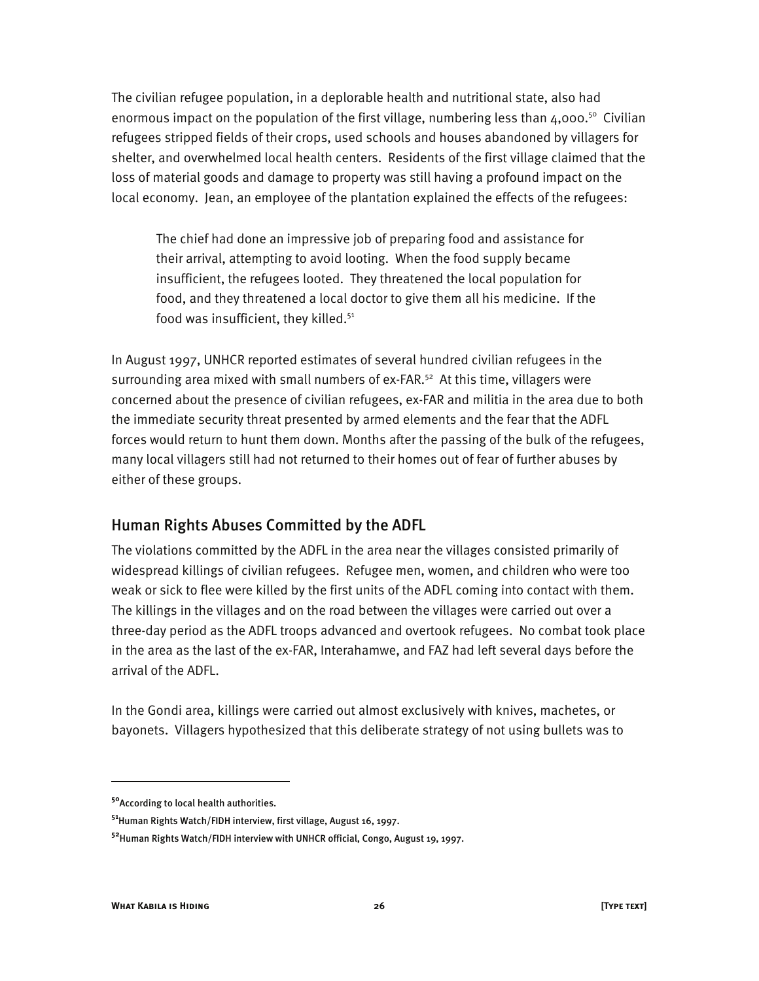The civilian refugee population, in a deplorable health and nutritional state, also had enormous impact on the population of the first village, numbering less than  $4,000.^{50}$  Civilian refugees stripped fields of their crops, used schools and houses abandoned by villagers for shelter, and overwhelmed local health centers. Residents of the first village claimed that the loss of material goods and damage to property was still having a profound impact on the local economy. Jean, an employee of the plantation explained the effects of the refugees:

The chief had done an impressive job of preparing food and assistance for their arrival, attempting to avoid looting. When the food supply became insufficient, the refugees looted. They threatened the local population for food, and they threatened a local doctor to give them all his medicine. If the food was insufficient, they killed. $51$ 

In August 1997, UNHCR reported estimates of several hundred civilian refugees in the surrounding area mixed with small numbers of ex-FAR.<sup>52</sup> At this time, villagers were concerned about the presence of civilian refugees, ex-FAR and militia in the area due to both the immediate security threat presented by armed elements and the fear that the ADFL forces would return to hunt them down. Months after the passing of the bulk of the refugees, many local villagers still had not returned to their homes out of fear of further abuses by either of these groups.

#### Human Rights Abuses Committed by the ADFL

The violations committed by the ADFL in the area near the villages consisted primarily of widespread killings of civilian refugees. Refugee men, women, and children who were too weak or sick to flee were killed by the first units of the ADFL coming into contact with them. The killings in the villages and on the road between the villages were carried out over a three-day period as the ADFL troops advanced and overtook refugees. No combat took place in the area as the last of the ex-FAR, Interahamwe, and FAZ had left several days before the arrival of the ADFL.

In the Gondi area, killings were carried out almost exclusively with knives, machetes, or bayonets. Villagers hypothesized that this deliberate strategy of not using bullets was to

**<sup>50</sup>**According to local health authorities.

**<sup>51</sup>**Human Rights Watch/FIDH interview, first village, August 16, 1997.

**<sup>52</sup>**Human Rights Watch/FIDH interview with UNHCR official, Congo, August 19, 1997.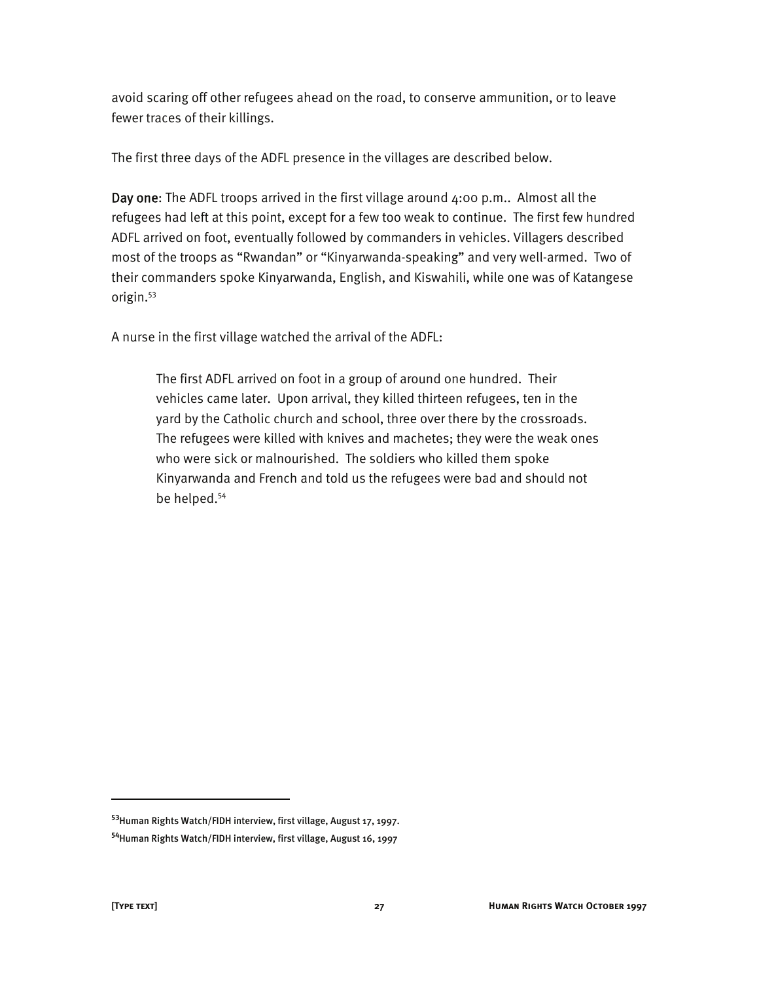avoid scaring off other refugees ahead on the road, to conserve ammunition, or to leave fewer traces of their killings.

The first three days of the ADFL presence in the villages are described below.

Day one: The ADFL troops arrived in the first village around 4:00 p.m.. Almost all the refugees had left at this point, except for a few too weak to continue. The first few hundred ADFL arrived on foot, eventually followed by commanders in vehicles. Villagers described most of the troops as "Rwandan" or "Kinyarwanda-speaking" and very well-armed. Two of their commanders spoke Kinyarwanda, English, and Kiswahili, while one was of Katangese origin.<sup>53</sup>

A nurse in the first village watched the arrival of the ADFL:

The first ADFL arrived on foot in a group of around one hundred. Their vehicles came later. Upon arrival, they killed thirteen refugees, ten in the yard by the Catholic church and school, three over there by the crossroads. The refugees were killed with knives and machetes; they were the weak ones who were sick or malnourished. The soldiers who killed them spoke Kinyarwanda and French and told us the refugees were bad and should not be helped.54

**<sup>53</sup>**Human Rights Watch/FIDH interview, first village, August 17, 1997.

**<sup>54</sup>**Human Rights Watch/FIDH interview, first village, August 16, 1997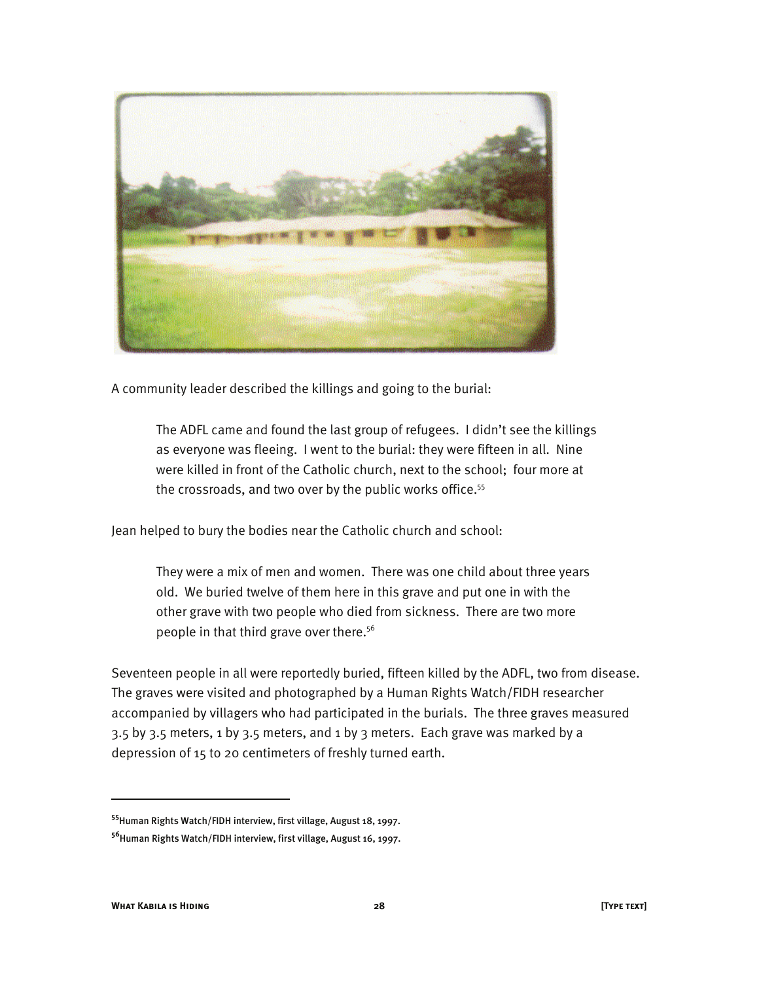

A community leader described the killings and going to the burial:

The ADFL came and found the last group of refugees. I didn't see the killings as everyone was fleeing. I went to the burial: they were fifteen in all. Nine were killed in front of the Catholic church, next to the school; four more at the crossroads, and two over by the public works office.<sup>55</sup>

Jean helped to bury the bodies near the Catholic church and school:

They were a mix of men and women. There was one child about three years old. We buried twelve of them here in this grave and put one in with the other grave with two people who died from sickness. There are two more people in that third grave over there.<sup>56</sup>

Seventeen people in all were reportedly buried, fifteen killed by the ADFL, two from disease. The graves were visited and photographed by a Human Rights Watch/FIDH researcher accompanied by villagers who had participated in the burials. The three graves measured 3.5 by 3.5 meters, 1 by 3.5 meters, and 1 by 3 meters. Each grave was marked by a depression of 15 to 20 centimeters of freshly turned earth.

**<sup>55</sup>**Human Rights Watch/FIDH interview, first village, August 18, 1997.

**<sup>56</sup>**Human Rights Watch/FIDH interview, first village, August 16, 1997.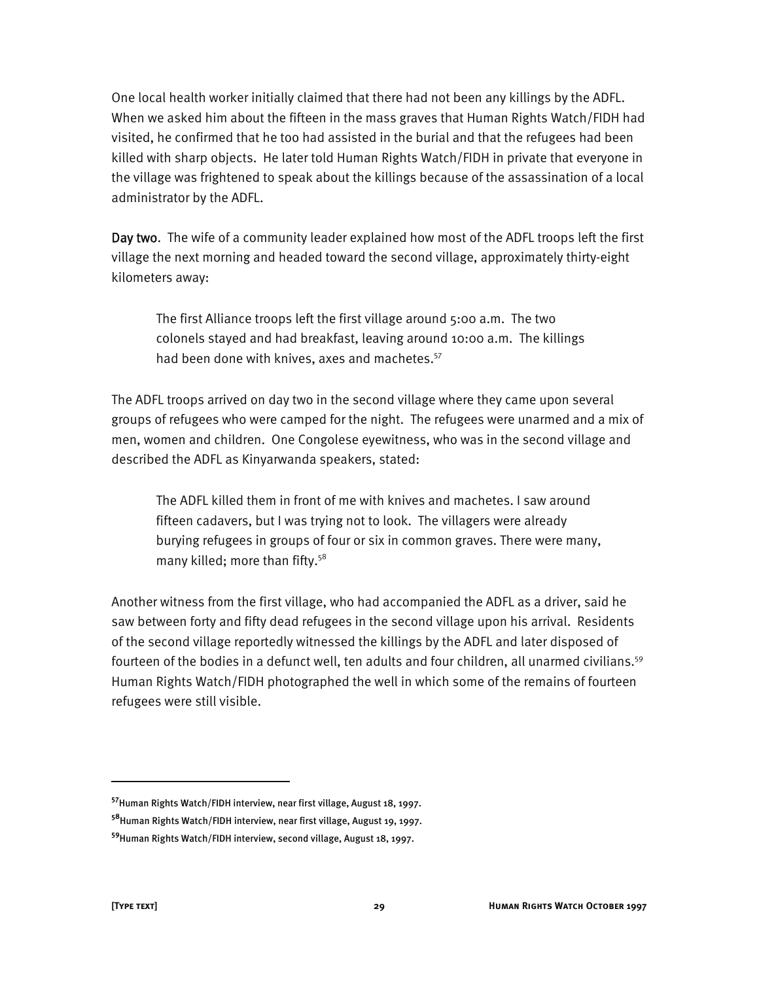One local health worker initially claimed that there had not been any killings by the ADFL. When we asked him about the fifteen in the mass graves that Human Rights Watch/FIDH had visited, he confirmed that he too had assisted in the burial and that the refugees had been killed with sharp objects. He later told Human Rights Watch/FIDH in private that everyone in the village was frightened to speak about the killings because of the assassination of a local administrator by the ADFL.

Day two. The wife of a community leader explained how most of the ADFL troops left the first village the next morning and headed toward the second village, approximately thirty-eight kilometers away:

The first Alliance troops left the first village around 5:00 a.m. The two colonels stayed and had breakfast, leaving around 10:00 a.m. The killings had been done with knives, axes and machetes.<sup>57</sup>

The ADFL troops arrived on day two in the second village where they came upon several groups of refugees who were camped for the night. The refugees were unarmed and a mix of men, women and children. One Congolese eyewitness, who was in the second village and described the ADFL as Kinyarwanda speakers, stated:

The ADFL killed them in front of me with knives and machetes. I saw around fifteen cadavers, but I was trying not to look. The villagers were already burying refugees in groups of four or six in common graves. There were many, many killed; more than fifty.<sup>58</sup>

Another witness from the first village, who had accompanied the ADFL as a driver, said he saw between forty and fifty dead refugees in the second village upon his arrival. Residents of the second village reportedly witnessed the killings by the ADFL and later disposed of fourteen of the bodies in a defunct well, ten adults and four children, all unarmed civilians.<sup>59</sup> Human Rights Watch/FIDH photographed the well in which some of the remains of fourteen refugees were still visible.

**<sup>57</sup>**Human Rights Watch/FIDH interview, near first village, August 18, 1997.

**<sup>58</sup>**Human Rights Watch/FIDH interview, near first village, August 19, 1997.

**<sup>59</sup>**Human Rights Watch/FIDH interview, second village, August 18, 1997.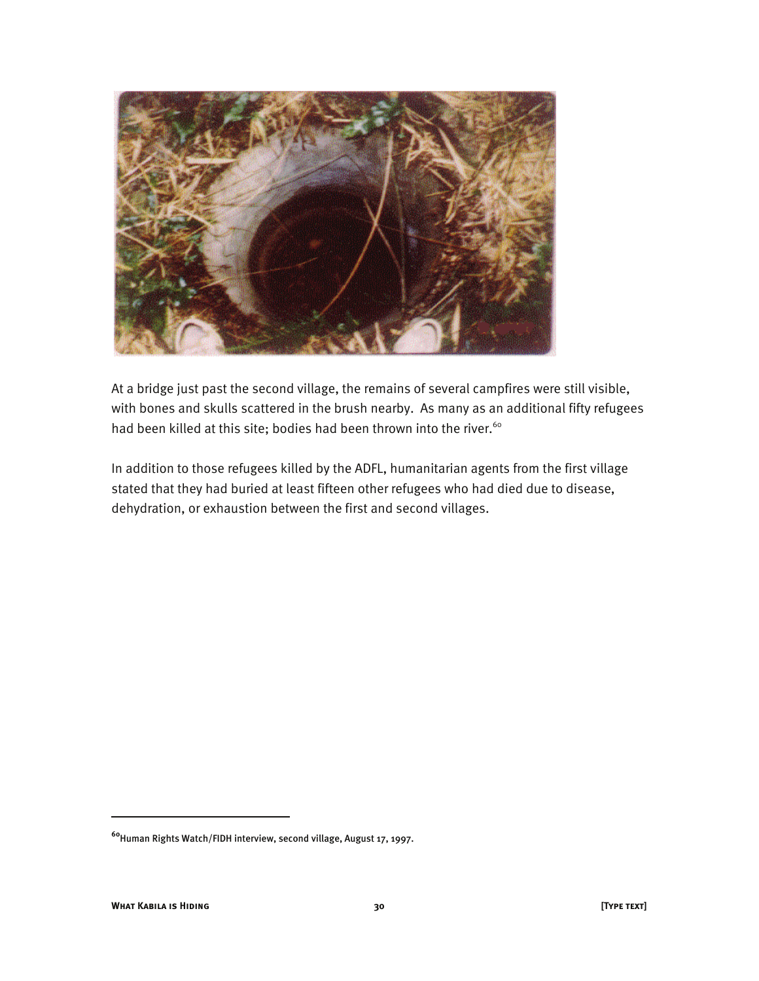

At a bridge just past the second village, the remains of several campfires were still visible, with bones and skulls scattered in the brush nearby. As many as an additional fifty refugees had been killed at this site; bodies had been thrown into the river.<sup>60</sup>

In addition to those refugees killed by the ADFL, humanitarian agents from the first village stated that they had buried at least fifteen other refugees who had died due to disease, dehydration, or exhaustion between the first and second villages.

**<sup>60</sup>**Human Rights Watch/FIDH interview, second village, August 17, 1997.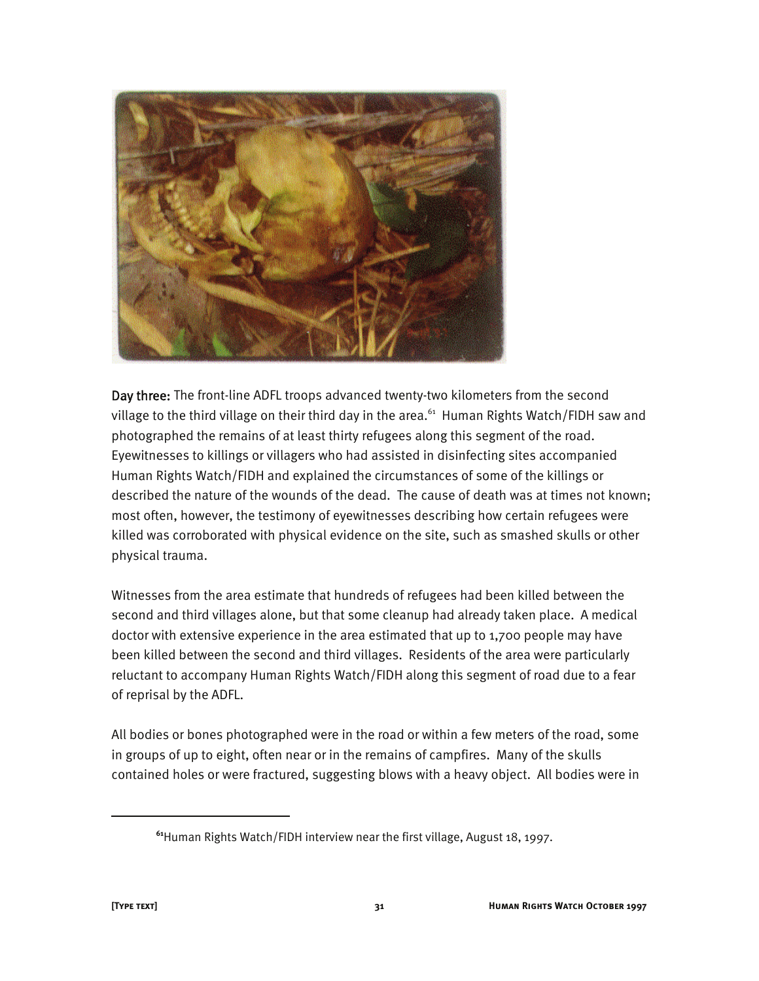

Day three: The front-line ADFL troops advanced twenty-two kilometers from the second village to the third village on their third day in the area.<sup>61</sup> Human Rights Watch/FIDH saw and photographed the remains of at least thirty refugees along this segment of the road. Eyewitnesses to killings or villagers who had assisted in disinfecting sites accompanied Human Rights Watch/FIDH and explained the circumstances of some of the killings or described the nature of the wounds of the dead. The cause of death was at times not known; most often, however, the testimony of eyewitnesses describing how certain refugees were killed was corroborated with physical evidence on the site, such as smashed skulls or other physical trauma.

Witnesses from the area estimate that hundreds of refugees had been killed between the second and third villages alone, but that some cleanup had already taken place. A medical doctor with extensive experience in the area estimated that up to 1,700 people may have been killed between the second and third villages. Residents of the area were particularly reluctant to accompany Human Rights Watch/FIDH along this segment of road due to a fear of reprisal by the ADFL.

All bodies or bones photographed were in the road or within a few meters of the road, some in groups of up to eight, often near or in the remains of campfires. Many of the skulls contained holes or were fractured, suggesting blows with a heavy object. All bodies were in

**<sup>61</sup>**Human Rights Watch/FIDH interview near the first village, August 18, 1997.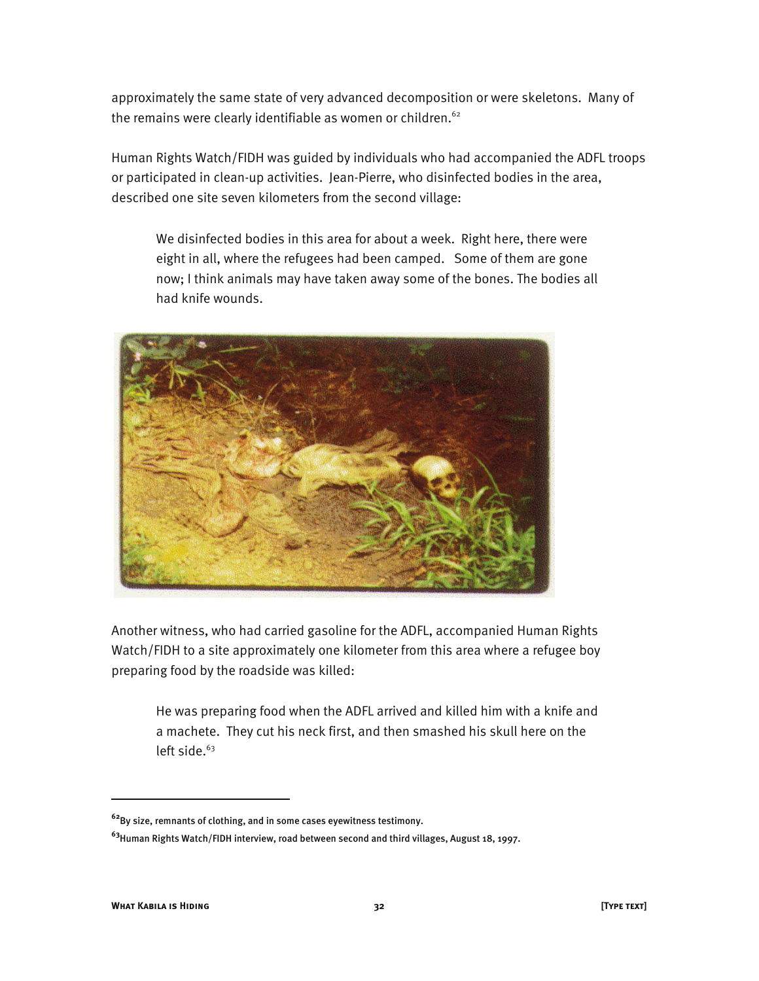approximately the same state of very advanced decomposition or were skeletons. Many of the remains were clearly identifiable as women or children.<sup>62</sup>

Human Rights Watch/FIDH was guided by individuals who had accompanied the ADFL troops or participated in clean-up activities. Jean-Pierre, who disinfected bodies in the area, described one site seven kilometers from the second village:

We disinfected bodies in this area for about a week. Right here, there were eight in all, where the refugees had been camped. Some of them are gone now; I think animals may have taken away some of the bones. The bodies all had knife wounds.



Another witness, who had carried gasoline for the ADFL, accompanied Human Rights Watch/FIDH to a site approximately one kilometer from this area where a refugee boy preparing food by the roadside was killed:

He was preparing food when the ADFL arrived and killed him with a knife and a machete. They cut his neck first, and then smashed his skull here on the left side. $63$ 

**<sup>62</sup>**By size, remnants of clothing, and in some cases eyewitness testimony.

**<sup>63</sup>**Human Rights Watch/FIDH interview, road between second and third villages, August 18, 1997.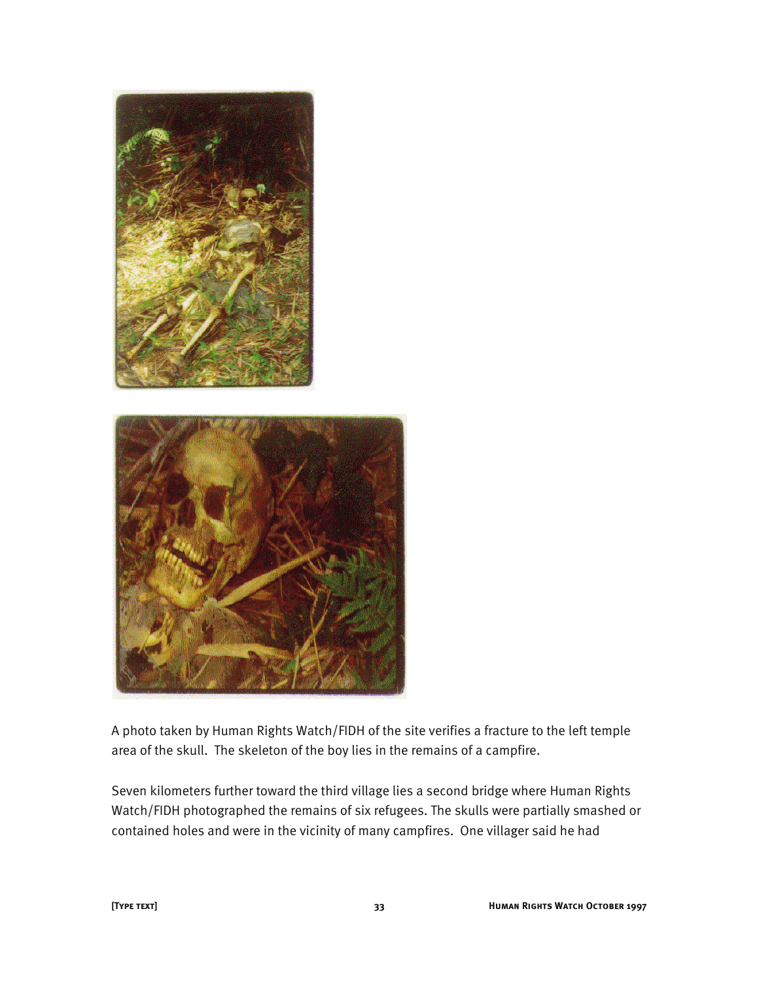

A photo taken by Human Rights Watch/FIDH of the site verifies a fracture to the left temple area of the skull. The skeleton of the boy lies in the remains of a campfire.

Seven kilometers further toward the third village lies a second bridge where Human Rights Watch/FIDH photographed the remains of six refugees. The skulls were partially smashed or contained holes and were in the vicinity of many campfires. One villager said he had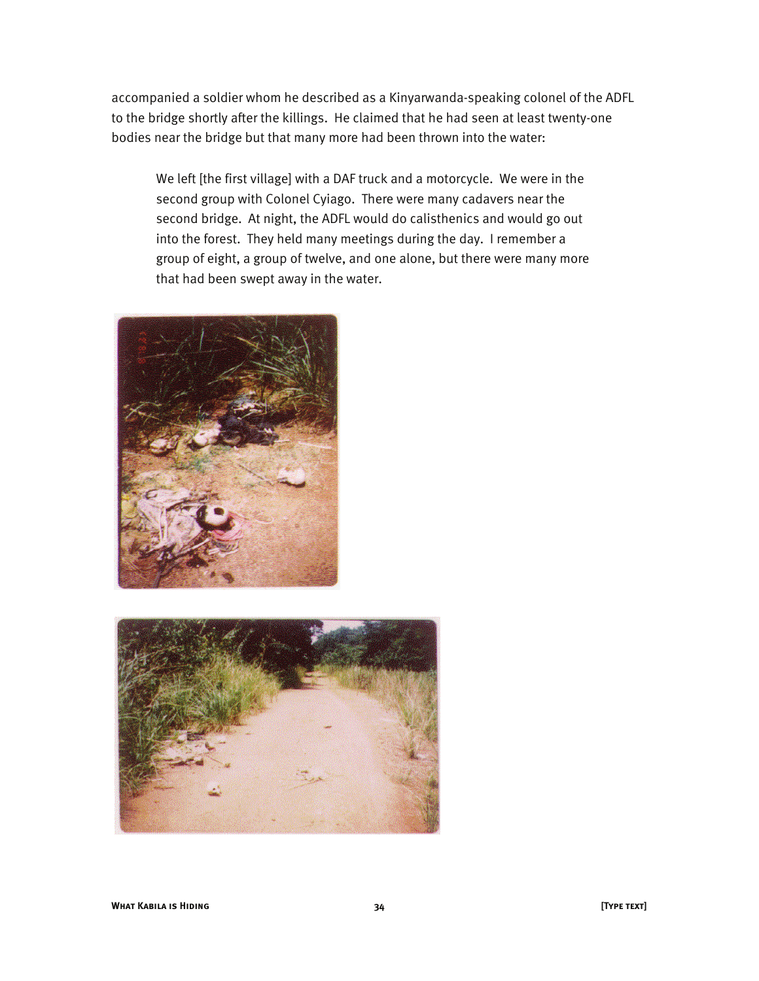accompanied a soldier whom he described as a Kinyarwanda-speaking colonel of the ADFL to the bridge shortly after the killings. He claimed that he had seen at least twenty-one bodies near the bridge but that many more had been thrown into the water:

We left [the first village] with a DAF truck and a motorcycle. We were in the second group with Colonel Cyiago. There were many cadavers near the second bridge. At night, the ADFL would do calisthenics and would go out into the forest. They held many meetings during the day. I remember a group of eight, a group of twelve, and one alone, but there were many more that had been swept away in the water.



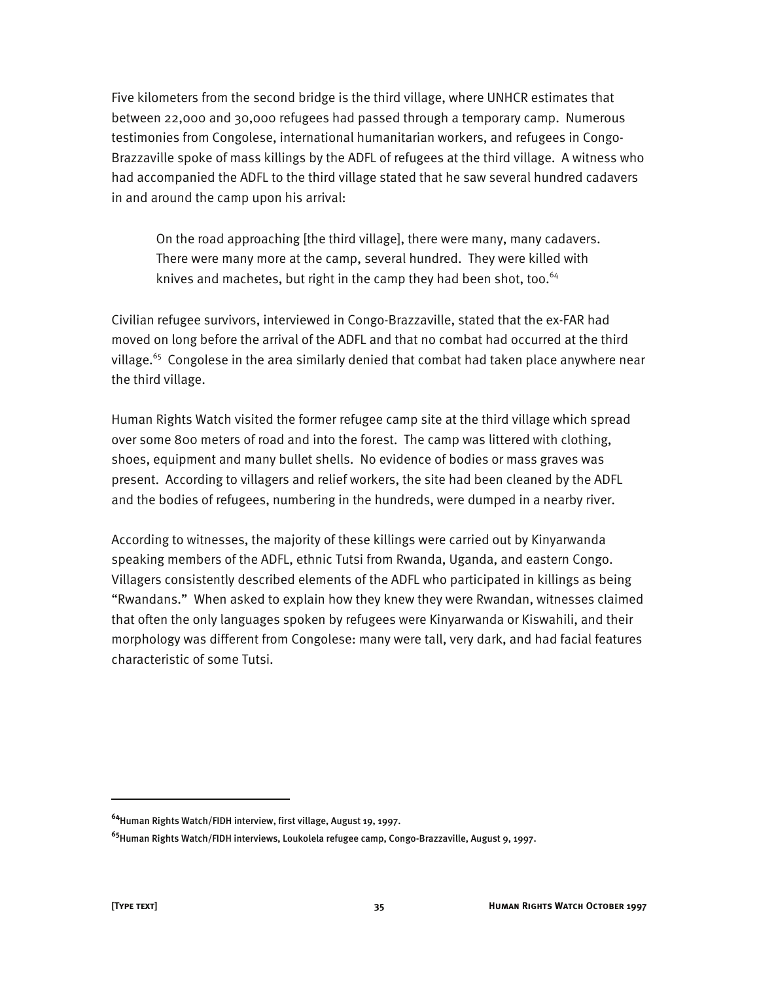Five kilometers from the second bridge is the third village, where UNHCR estimates that between 22,000 and 30,000 refugees had passed through a temporary camp. Numerous testimonies from Congolese, international humanitarian workers, and refugees in Congo-Brazzaville spoke of mass killings by the ADFL of refugees at the third village. A witness who had accompanied the ADFL to the third village stated that he saw several hundred cadavers in and around the camp upon his arrival:

On the road approaching [the third village], there were many, many cadavers. There were many more at the camp, several hundred. They were killed with knives and machetes, but right in the camp they had been shot, too.<sup>64</sup>

Civilian refugee survivors, interviewed in Congo-Brazzaville, stated that the ex-FAR had moved on long before the arrival of the ADFL and that no combat had occurred at the third village.65 Congolese in the area similarly denied that combat had taken place anywhere near the third village.

Human Rights Watch visited the former refugee camp site at the third village which spread over some 800 meters of road and into the forest. The camp was littered with clothing, shoes, equipment and many bullet shells. No evidence of bodies or mass graves was present. According to villagers and relief workers, the site had been cleaned by the ADFL and the bodies of refugees, numbering in the hundreds, were dumped in a nearby river.

According to witnesses, the majority of these killings were carried out by Kinyarwanda speaking members of the ADFL, ethnic Tutsi from Rwanda, Uganda, and eastern Congo. Villagers consistently described elements of the ADFL who participated in killings as being "Rwandans." When asked to explain how they knew they were Rwandan, witnesses claimed that often the only languages spoken by refugees were Kinyarwanda or Kiswahili, and their morphology was different from Congolese: many were tall, very dark, and had facial features characteristic of some Tutsi.

**<sup>64</sup>**Human Rights Watch/FIDH interview, first village, August 19, 1997.

**<sup>65</sup>**Human Rights Watch/FIDH interviews, Loukolela refugee camp, Congo-Brazzaville, August 9, 1997.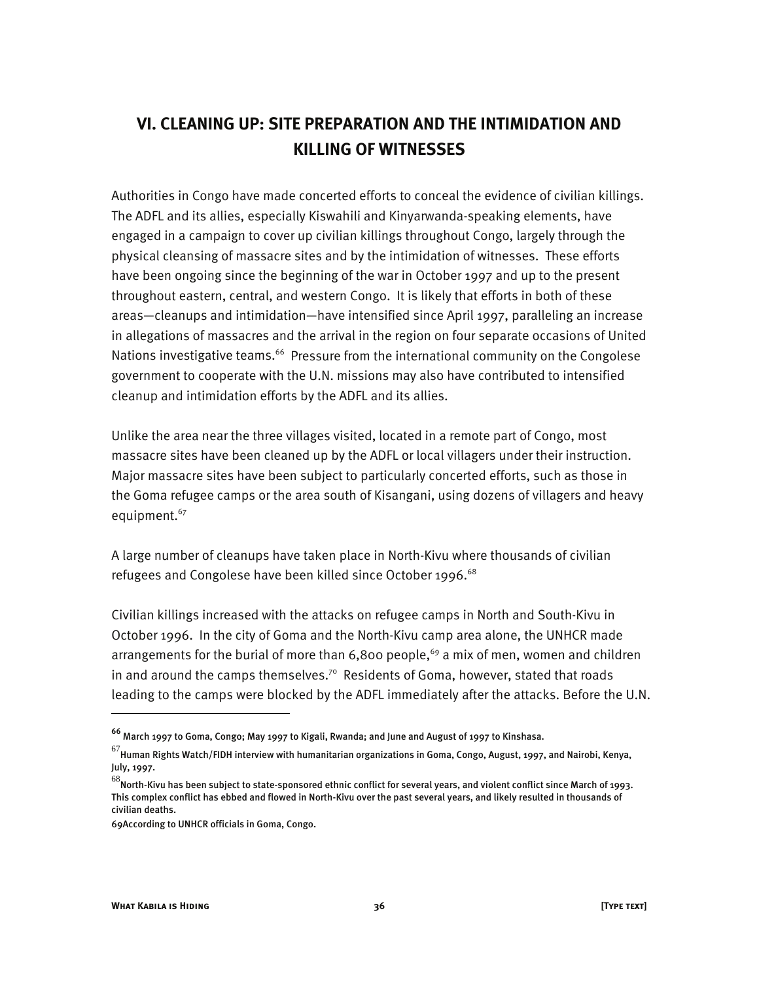## **VI. CLEANING UP: SITE PREPARATION AND THE INTIMIDATION AND KILLING OF WITNESSES**

Authorities in Congo have made concerted efforts to conceal the evidence of civilian killings. The ADFL and its allies, especially Kiswahili and Kinyarwanda-speaking elements, have engaged in a campaign to cover up civilian killings throughout Congo, largely through the physical cleansing of massacre sites and by the intimidation of witnesses. These efforts have been ongoing since the beginning of the war in October 1997 and up to the present throughout eastern, central, and western Congo. It is likely that efforts in both of these areas—cleanups and intimidation—have intensified since April 1997, paralleling an increase in allegations of massacres and the arrival in the region on four separate occasions of United Nations investigative teams.<sup>66</sup> Pressure from the international community on the Congolese government to cooperate with the U.N. missions may also have contributed to intensified cleanup and intimidation efforts by the ADFL and its allies.

Unlike the area near the three villages visited, located in a remote part of Congo, most massacre sites have been cleaned up by the ADFL or local villagers under their instruction. Major massacre sites have been subject to particularly concerted efforts, such as those in the Goma refugee camps or the area south of Kisangani, using dozens of villagers and heavy equipment.<sup>67</sup>

A large number of cleanups have taken place in North-Kivu where thousands of civilian refugees and Congolese have been killed since October 1996.<sup>68</sup>

Civilian killings increased with the attacks on refugee camps in North and South-Kivu in October 1996. In the city of Goma and the North-Kivu camp area alone, the UNHCR made arrangements for the burial of more than  $6,800$  people,<sup>69</sup> a mix of men, women and children in and around the camps themselves.<sup>70</sup> Residents of Goma, however, stated that roads leading to the camps were blocked by the ADFL immediately after the attacks. Before the U.N.

**<sup>66</sup>** March 1997 to Goma, Congo; May 1997 to Kigali, Rwanda; and June and August of 1997 to Kinshasa.

 $^{67}$ Human Rights Watch/FIDH interview with humanitarian organizations in Goma, Congo, August, 1997, and Nairobi, Kenya, July, 1997.

 $^{68}$ North-Kivu has been subject to state-sponsored ethnic conflict for several years, and violent conflict since March of 1993. This complex conflict has ebbed and flowed in North-Kivu over the past several years, and likely resulted in thousands of civilian deaths.

<sup>69</sup>According to UNHCR officials in Goma, Congo.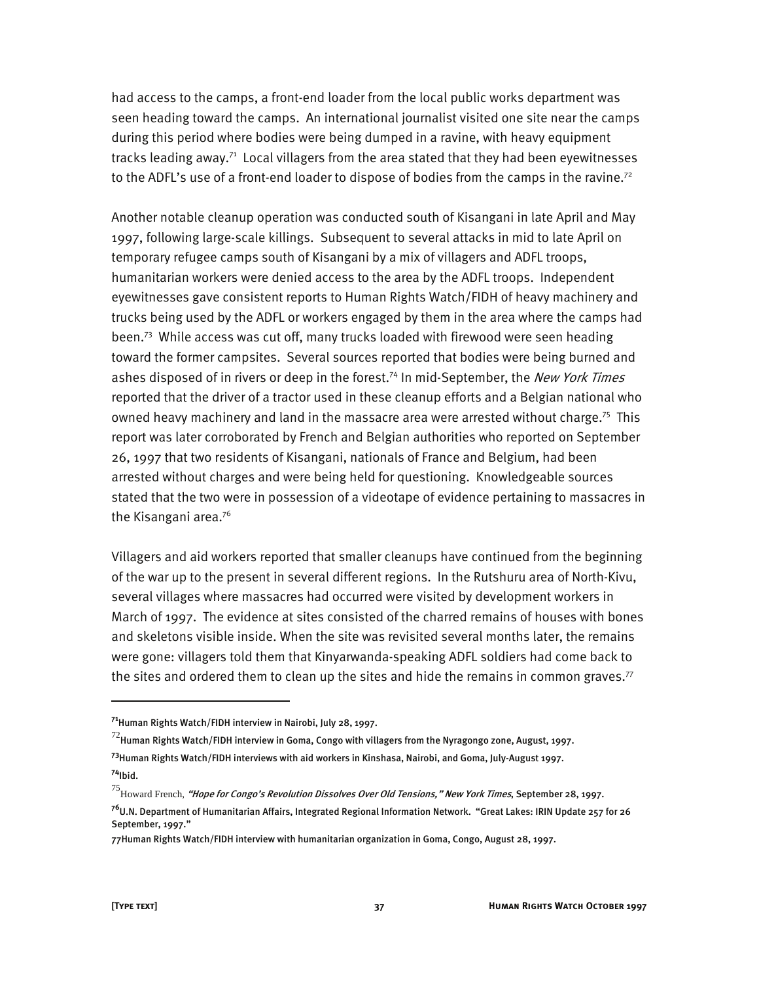had access to the camps, a front-end loader from the local public works department was seen heading toward the camps. An international journalist visited one site near the camps during this period where bodies were being dumped in a ravine, with heavy equipment tracks leading away.<sup>71</sup> Local villagers from the area stated that they had been eyewitnesses to the ADFL's use of a front-end loader to dispose of bodies from the camps in the ravine.<sup>72</sup>

Another notable cleanup operation was conducted south of Kisangani in late April and May 1997, following large-scale killings. Subsequent to several attacks in mid to late April on temporary refugee camps south of Kisangani by a mix of villagers and ADFL troops, humanitarian workers were denied access to the area by the ADFL troops. Independent eyewitnesses gave consistent reports to Human Rights Watch/FIDH of heavy machinery and trucks being used by the ADFL or workers engaged by them in the area where the camps had been.73 While access was cut off, many trucks loaded with firewood were seen heading toward the former campsites. Several sources reported that bodies were being burned and ashes disposed of in rivers or deep in the forest.<sup>74</sup> In mid-September, the *New York Times* reported that the driver of a tractor used in these cleanup efforts and a Belgian national who owned heavy machinery and land in the massacre area were arrested without charge.<sup>75</sup> This report was later corroborated by French and Belgian authorities who reported on September 26, 1997 that two residents of Kisangani, nationals of France and Belgium, had been arrested without charges and were being held for questioning. Knowledgeable sources stated that the two were in possession of a videotape of evidence pertaining to massacres in the Kisangani area.<sup>76</sup>

Villagers and aid workers reported that smaller cleanups have continued from the beginning of the war up to the present in several different regions. In the Rutshuru area of North-Kivu, several villages where massacres had occurred were visited by development workers in March of 1997. The evidence at sites consisted of the charred remains of houses with bones and skeletons visible inside. When the site was revisited several months later, the remains were gone: villagers told them that Kinyarwanda-speaking ADFL soldiers had come back to the sites and ordered them to clean up the sites and hide the remains in common graves. $77$ 

**<sup>71</sup>**Human Rights Watch/FIDH interview in Nairobi, July 28, 1997.

 $^{72}$ Human Rights Watch/FIDH interview in Goma, Congo with villagers from the Nyragongo zone, August, 1997.

**<sup>73</sup>**Human Rights Watch/FIDH interviews with aid workers in Kinshasa, Nairobi, and Goma, July-August 1997. **<sup>74</sup>**Ibid.

 $^{75}$ Howard French, "Hope for Congo's Revolution Dissolves Over Old Tensions," New York Times, September 28, 1997.

**<sup>76</sup>**U.N. Department of Humanitarian Affairs, Integrated Regional Information Network. "Great Lakes: IRIN Update 257 for 26 September, 1997."

<sup>77</sup>Human Rights Watch/FIDH interview with humanitarian organization in Goma, Congo, August 28, 1997.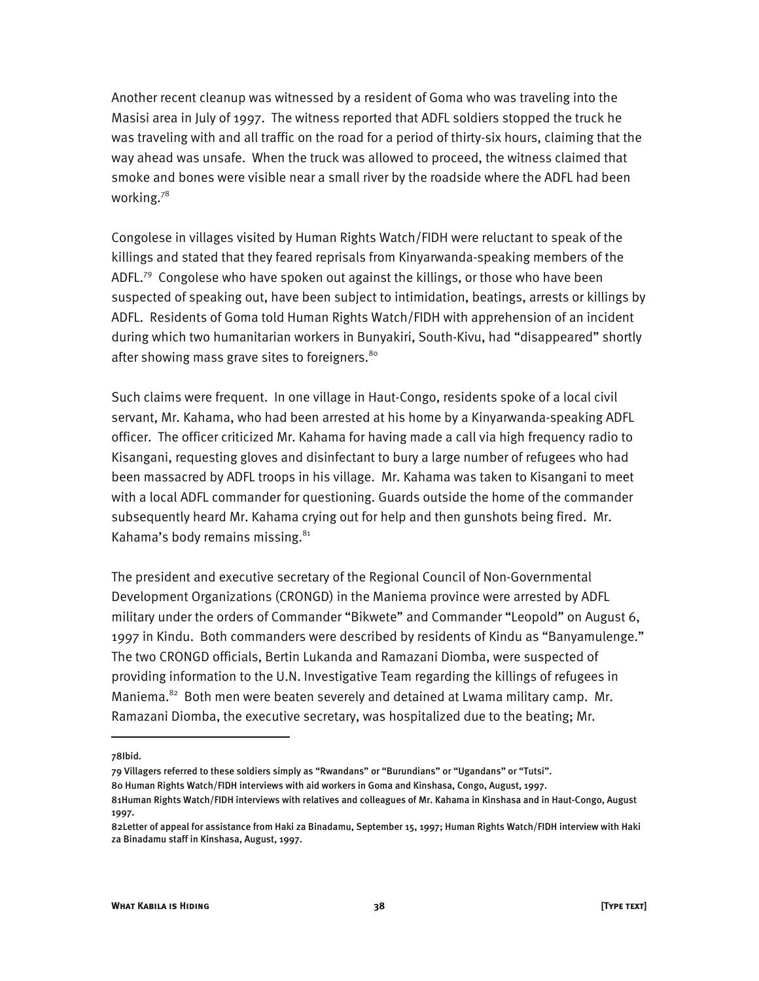Another recent cleanup was witnessed by a resident of Goma who was traveling into the Masisi area in July of 1997. The witness reported that ADFL soldiers stopped the truck he was traveling with and all traffic on the road for a period of thirty-six hours, claiming that the way ahead was unsafe. When the truck was allowed to proceed, the witness claimed that smoke and bones were visible near a small river by the roadside where the ADFL had been working.78

Congolese in villages visited by Human Rights Watch/FIDH were reluctant to speak of the killings and stated that they feared reprisals from Kinyarwanda-speaking members of the ADFL.<sup>79</sup> Congolese who have spoken out against the killings, or those who have been suspected of speaking out, have been subject to intimidation, beatings, arrests or killings by ADFL. Residents of Goma told Human Rights Watch/FIDH with apprehension of an incident during which two humanitarian workers in Bunyakiri, South-Kivu, had "disappeared" shortly after showing mass grave sites to foreigners.<sup>80</sup>

Such claims were frequent. In one village in Haut-Congo, residents spoke of a local civil servant, Mr. Kahama, who had been arrested at his home by a Kinyarwanda-speaking ADFL officer. The officer criticized Mr. Kahama for having made a call via high frequency radio to Kisangani, requesting gloves and disinfectant to bury a large number of refugees who had been massacred by ADFL troops in his village. Mr. Kahama was taken to Kisangani to meet with a local ADFL commander for questioning. Guards outside the home of the commander subsequently heard Mr. Kahama crying out for help and then gunshots being fired. Mr. Kahama's body remains missing.<sup>81</sup>

The president and executive secretary of the Regional Council of Non-Governmental Development Organizations (CRONGD) in the Maniema province were arrested by ADFL military under the orders of Commander "Bikwete" and Commander "Leopold" on August 6, 1997 in Kindu. Both commanders were described by residents of Kindu as "Banyamulenge." The two CRONGD officials, Bertin Lukanda and Ramazani Diomba, were suspected of providing information to the U.N. Investigative Team regarding the killings of refugees in Maniema.<sup>82</sup> Both men were beaten severely and detained at Lwama military camp. Mr. Ramazani Diomba, the executive secretary, was hospitalized due to the beating; Mr.

78Ibid.

<sup>79</sup> Villagers referred to these soldiers simply as "Rwandans" or "Burundians" or "Ugandans" or "Tutsi". 80 Human Rights Watch/FIDH interviews with aid workers in Goma and Kinshasa, Congo, August, 1997.

<sup>81</sup>Human Rights Watch/FIDH interviews with relatives and colleagues of Mr. Kahama in Kinshasa and in Haut-Congo, August 1997.

<sup>82</sup>Letter of appeal for assistance from Haki za Binadamu, September 15, 1997; Human Rights Watch/FIDH interview with Haki za Binadamu staff in Kinshasa, August, 1997.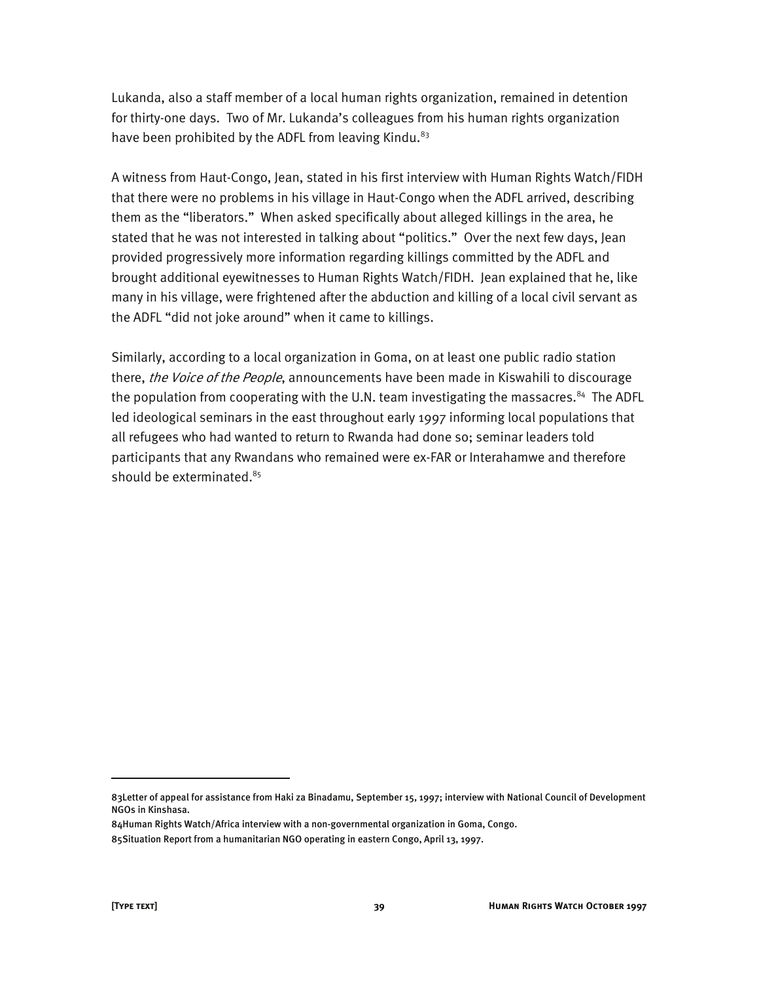Lukanda, also a staff member of a local human rights organization, remained in detention for thirty-one days. Two of Mr. Lukanda's colleagues from his human rights organization have been prohibited by the ADFL from leaving Kindu. $83$ 

A witness from Haut-Congo, Jean, stated in his first interview with Human Rights Watch/FIDH that there were no problems in his village in Haut-Congo when the ADFL arrived, describing them as the "liberators." When asked specifically about alleged killings in the area, he stated that he was not interested in talking about "politics." Over the next few days, Jean provided progressively more information regarding killings committed by the ADFL and brought additional eyewitnesses to Human Rights Watch/FIDH. Jean explained that he, like many in his village, were frightened after the abduction and killing of a local civil servant as the ADFL "did not joke around" when it came to killings.

Similarly, according to a local organization in Goma, on at least one public radio station there, *the Voice of the People*, announcements have been made in Kiswahili to discourage the population from cooperating with the U.N. team investigating the massacres. $84$  The ADFL led ideological seminars in the east throughout early 1997 informing local populations that all refugees who had wanted to return to Rwanda had done so; seminar leaders told participants that any Rwandans who remained were ex-FAR or Interahamwe and therefore should be exterminated.<sup>85</sup>

<sup>83</sup>Letter of appeal for assistance from Haki za Binadamu, September 15, 1997; interview with National Council of Development NGOs in Kinshasa.

<sup>84</sup>Human Rights Watch/Africa interview with a non-governmental organization in Goma, Congo.

<sup>85</sup>Situation Report from a humanitarian NGO operating in eastern Congo, April 13, 1997.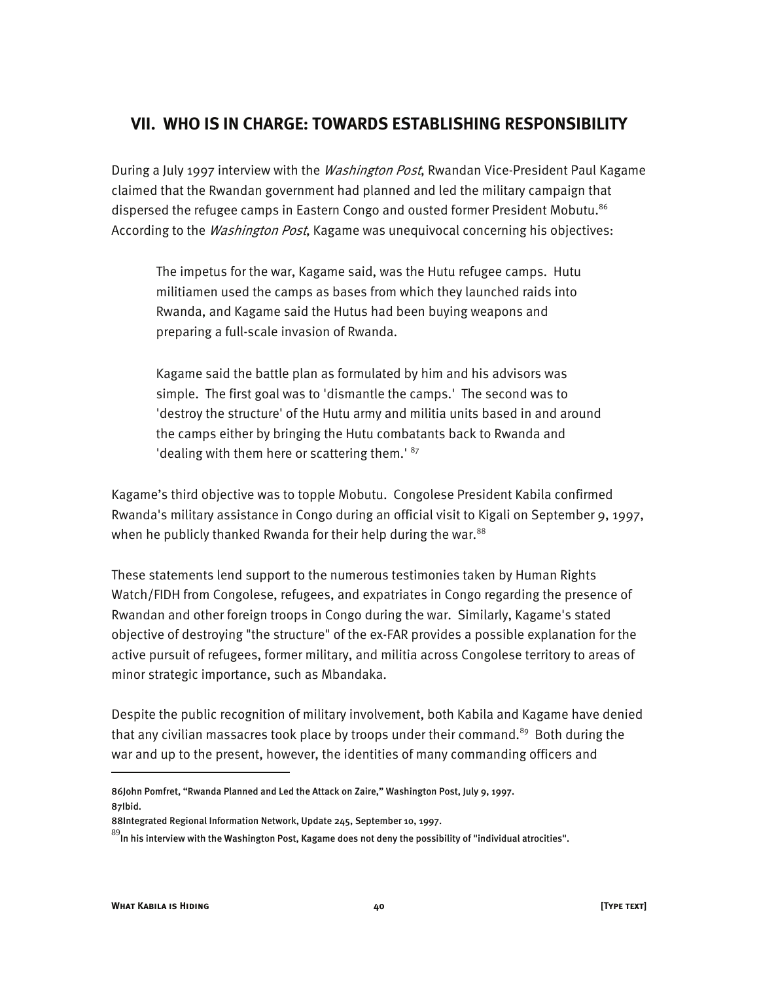#### **VII. WHO IS IN CHARGE: TOWARDS ESTABLISHING RESPONSIBILITY**

During a July 1997 interview with the *Washington Post*, Rwandan Vice-President Paul Kagame claimed that the Rwandan government had planned and led the military campaign that dispersed the refugee camps in Eastern Congo and ousted former President Mobutu.<sup>86</sup> According to the *Washington Post*, Kagame was unequivocal concerning his objectives:

The impetus for the war, Kagame said, was the Hutu refugee camps. Hutu militiamen used the camps as bases from which they launched raids into Rwanda, and Kagame said the Hutus had been buying weapons and preparing a full-scale invasion of Rwanda.

Kagame said the battle plan as formulated by him and his advisors was simple. The first goal was to 'dismantle the camps.' The second was to 'destroy the structure' of the Hutu army and militia units based in and around the camps either by bringing the Hutu combatants back to Rwanda and 'dealing with them here or scattering them.'  $87$ 

Kagame's third objective was to topple Mobutu. Congolese President Kabila confirmed Rwanda's military assistance in Congo during an official visit to Kigali on September 9, 1997, when he publicly thanked Rwanda for their help during the war.<sup>88</sup>

These statements lend support to the numerous testimonies taken by Human Rights Watch/FIDH from Congolese, refugees, and expatriates in Congo regarding the presence of Rwandan and other foreign troops in Congo during the war. Similarly, Kagame's stated objective of destroying "the structure" of the ex-FAR provides a possible explanation for the active pursuit of refugees, former military, and militia across Congolese territory to areas of minor strategic importance, such as Mbandaka.

Despite the public recognition of military involvement, both Kabila and Kagame have denied that any civilian massacres took place by troops under their command.<sup>89</sup> Both during the war and up to the present, however, the identities of many commanding officers and

<sup>86</sup>John Pomfret, "Rwanda Planned and Led the Attack on Zaire," Washington Post, July 9, 1997. 87Ibid.

<sup>88</sup>Integrated Regional Information Network, Update 245, September 10, 1997.

 $^{89}$ In his interview with the Washington Post, Kagame does not deny the possibility of "individual atrocities".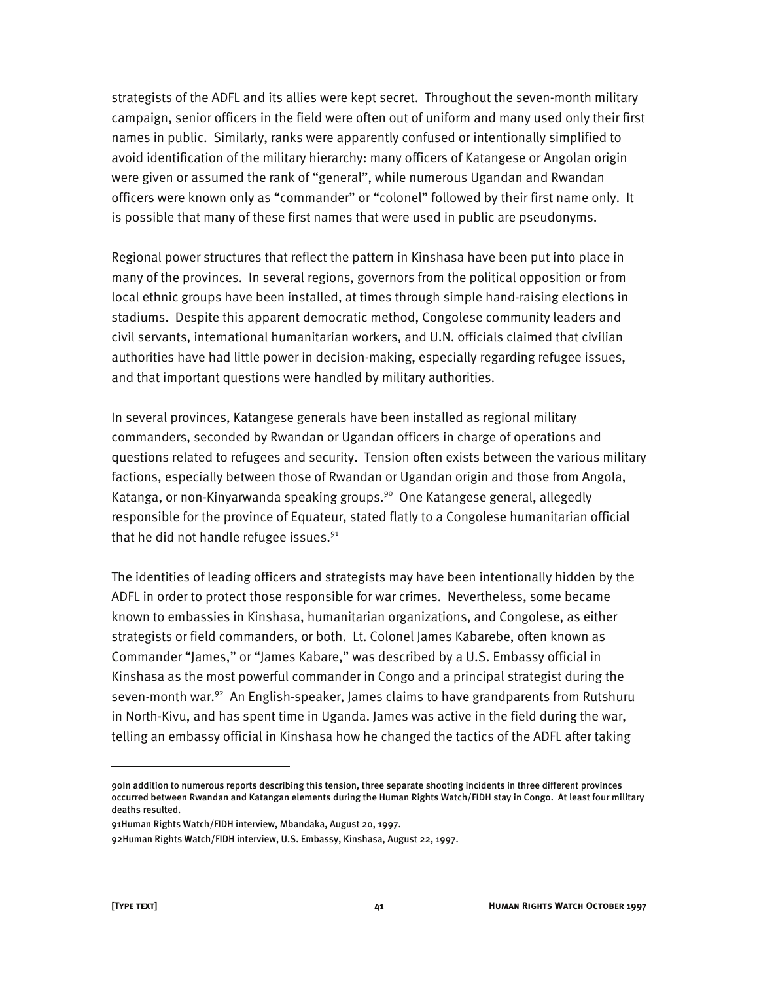strategists of the ADFL and its allies were kept secret. Throughout the seven-month military campaign, senior officers in the field were often out of uniform and many used only their first names in public. Similarly, ranks were apparently confused or intentionally simplified to avoid identification of the military hierarchy: many officers of Katangese or Angolan origin were given or assumed the rank of "general", while numerous Ugandan and Rwandan officers were known only as "commander" or "colonel" followed by their first name only. It is possible that many of these first names that were used in public are pseudonyms.

Regional power structures that reflect the pattern in Kinshasa have been put into place in many of the provinces. In several regions, governors from the political opposition or from local ethnic groups have been installed, at times through simple hand-raising elections in stadiums. Despite this apparent democratic method, Congolese community leaders and civil servants, international humanitarian workers, and U.N. officials claimed that civilian authorities have had little power in decision-making, especially regarding refugee issues, and that important questions were handled by military authorities.

In several provinces, Katangese generals have been installed as regional military commanders, seconded by Rwandan or Ugandan officers in charge of operations and questions related to refugees and security. Tension often exists between the various military factions, especially between those of Rwandan or Ugandan origin and those from Angola, Katanga, or non-Kinyarwanda speaking groups.<sup>90</sup> One Katangese general, allegedly responsible for the province of Equateur, stated flatly to a Congolese humanitarian official that he did not handle refugee issues.<sup>91</sup>

The identities of leading officers and strategists may have been intentionally hidden by the ADFL in order to protect those responsible for war crimes. Nevertheless, some became known to embassies in Kinshasa, humanitarian organizations, and Congolese, as either strategists or field commanders, or both. Lt. Colonel James Kabarebe, often known as Commander "James," or "James Kabare," was described by a U.S. Embassy official in Kinshasa as the most powerful commander in Congo and a principal strategist during the seven-month war.<sup>92</sup> An English-speaker, James claims to have grandparents from Rutshuru in North-Kivu, and has spent time in Uganda. James was active in the field during the war, telling an embassy official in Kinshasa how he changed the tactics of the ADFL after taking

ֺ

<sup>90</sup>In addition to numerous reports describing this tension, three separate shooting incidents in three different provinces occurred between Rwandan and Katangan elements during the Human Rights Watch/FIDH stay in Congo. At least four military deaths resulted.

<sup>91</sup>Human Rights Watch/FIDH interview, Mbandaka, August 20, 1997.

<sup>92</sup>Human Rights Watch/FIDH interview, U.S. Embassy, Kinshasa, August 22, 1997.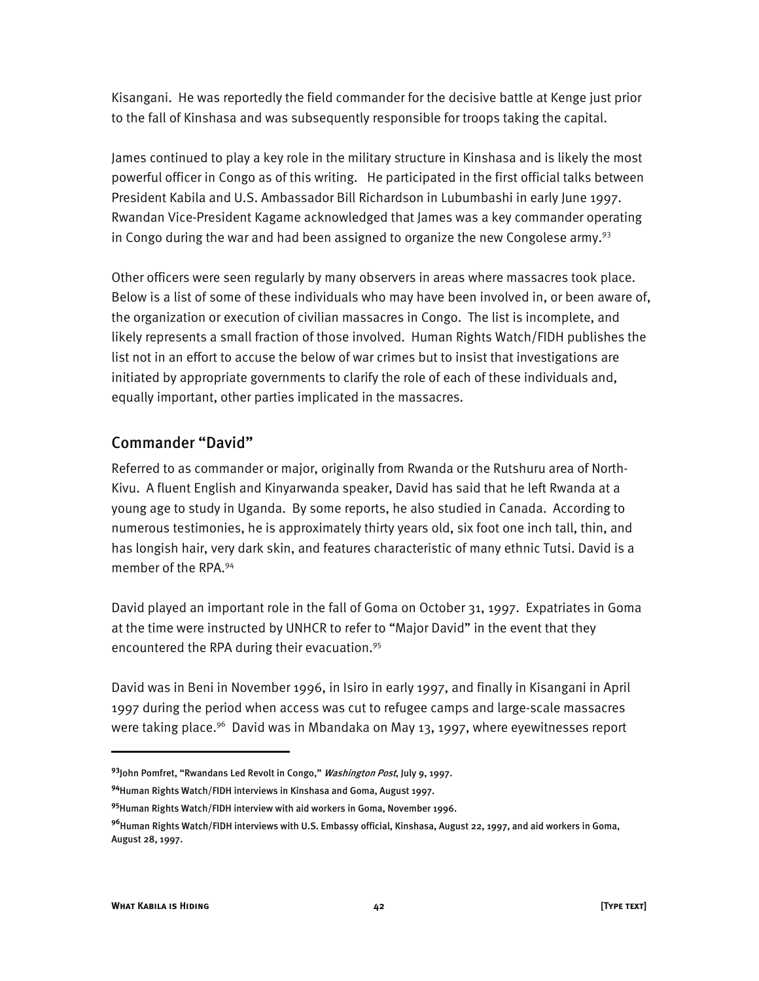Kisangani. He was reportedly the field commander for the decisive battle at Kenge just prior to the fall of Kinshasa and was subsequently responsible for troops taking the capital.

James continued to play a key role in the military structure in Kinshasa and is likely the most powerful officer in Congo as of this writing. He participated in the first official talks between President Kabila and U.S. Ambassador Bill Richardson in Lubumbashi in early June 1997. Rwandan Vice-President Kagame acknowledged that James was a key commander operating in Congo during the war and had been assigned to organize the new Congolese army. $93$ 

Other officers were seen regularly by many observers in areas where massacres took place. Below is a list of some of these individuals who may have been involved in, or been aware of, the organization or execution of civilian massacres in Congo. The list is incomplete, and likely represents a small fraction of those involved. Human Rights Watch/FIDH publishes the list not in an effort to accuse the below of war crimes but to insist that investigations are initiated by appropriate governments to clarify the role of each of these individuals and, equally important, other parties implicated in the massacres.

#### Commander "David"

Referred to as commander or major, originally from Rwanda or the Rutshuru area of North-Kivu. A fluent English and Kinyarwanda speaker, David has said that he left Rwanda at a young age to study in Uganda. By some reports, he also studied in Canada. According to numerous testimonies, he is approximately thirty years old, six foot one inch tall, thin, and has longish hair, very dark skin, and features characteristic of many ethnic Tutsi. David is a member of the RPA.94

David played an important role in the fall of Goma on October 31, 1997. Expatriates in Goma at the time were instructed by UNHCR to refer to "Major David" in the event that they encountered the RPA during their evacuation.<sup>95</sup>

David was in Beni in November 1996, in Isiro in early 1997, and finally in Kisangani in April 1997 during the period when access was cut to refugee camps and large-scale massacres were taking place.<sup>96</sup> David was in Mbandaka on May 13, 1997, where eyewitnesses report

**<sup>93</sup>**John Pomfret, "Rwandans Led Revolt in Congo," Washington Post, July 9, 1997.

**<sup>94</sup>**Human Rights Watch/FIDH interviews in Kinshasa and Goma, August 1997.

**<sup>95</sup>**Human Rights Watch/FIDH interview with aid workers in Goma, November 1996.

**<sup>96</sup>**Human Rights Watch/FIDH interviews with U.S. Embassy official, Kinshasa, August 22, 1997, and aid workers in Goma, August 28, 1997.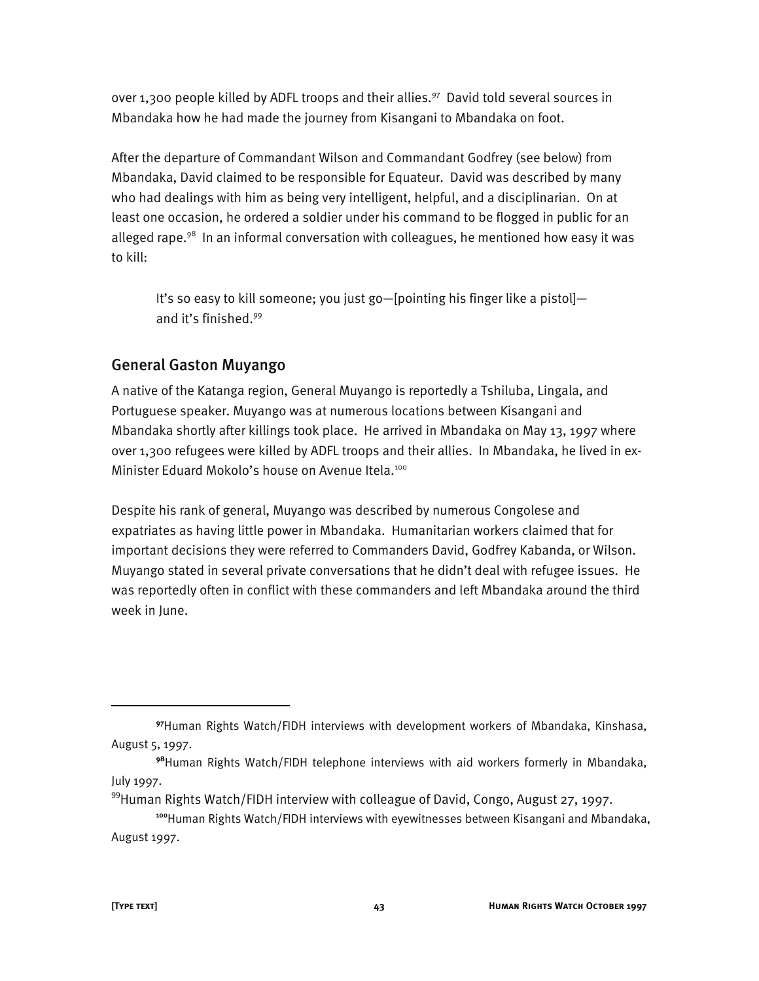over 1,300 people killed by ADFL troops and their allies.<sup>97</sup> David told several sources in Mbandaka how he had made the journey from Kisangani to Mbandaka on foot.

After the departure of Commandant Wilson and Commandant Godfrey (see below) from Mbandaka, David claimed to be responsible for Equateur. David was described by many who had dealings with him as being very intelligent, helpful, and a disciplinarian. On at least one occasion, he ordered a soldier under his command to be flogged in public for an alleged rape.<sup>98</sup> In an informal conversation with colleagues, he mentioned how easy it was to kill:

It's so easy to kill someone; you just go—[pointing his finger like a pistol] and it's finished.99

#### General Gaston Muyango

A native of the Katanga region, General Muyango is reportedly a Tshiluba, Lingala, and Portuguese speaker. Muyango was at numerous locations between Kisangani and Mbandaka shortly after killings took place. He arrived in Mbandaka on May 13, 1997 where over 1,300 refugees were killed by ADFL troops and their allies. In Mbandaka, he lived in ex-Minister Eduard Mokolo's house on Avenue Itela.<sup>100</sup>

Despite his rank of general, Muyango was described by numerous Congolese and expatriates as having little power in Mbandaka. Humanitarian workers claimed that for important decisions they were referred to Commanders David, Godfrey Kabanda, or Wilson. Muyango stated in several private conversations that he didn't deal with refugee issues. He was reportedly often in conflict with these commanders and left Mbandaka around the third week in June.

ֺ

**<sup>97</sup>**Human Rights Watch/FIDH interviews with development workers of Mbandaka, Kinshasa, August 5, 1997.

**<sup>98</sup>**Human Rights Watch/FIDH telephone interviews with aid workers formerly in Mbandaka, July 1997.

 $99$ Human Rights Watch/FIDH interview with colleague of David, Congo, August 27, 1997.

**<sup>100</sup>**Human Rights Watch/FIDH interviews with eyewitnesses between Kisangani and Mbandaka, August 1997.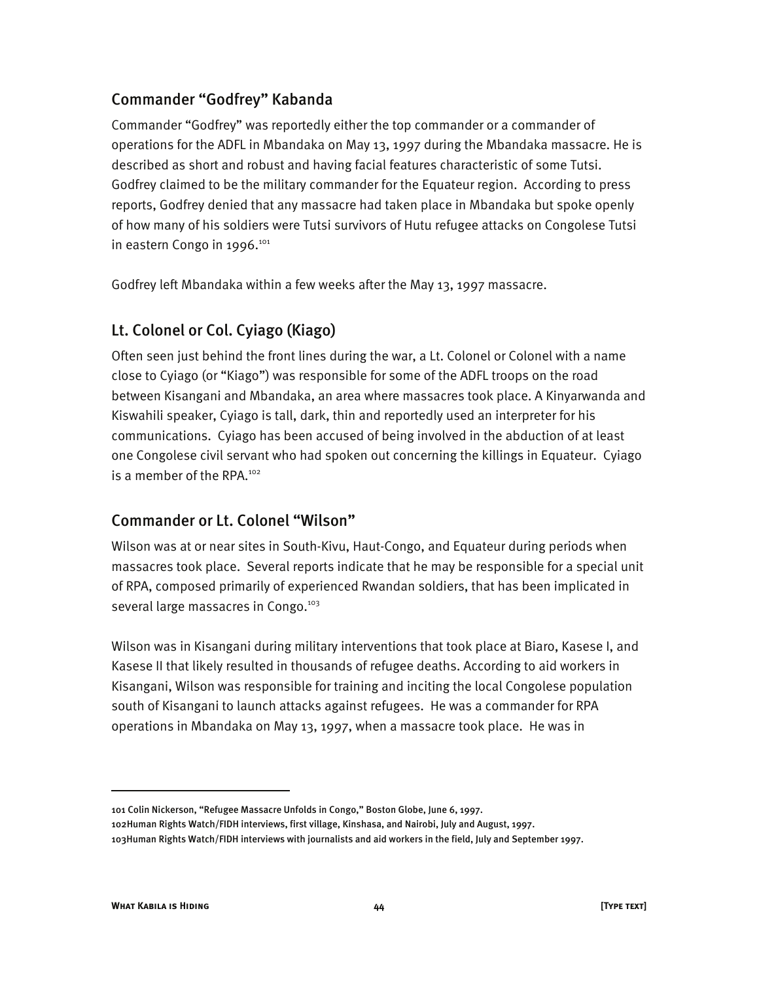#### Commander "Godfrey" Kabanda

Commander "Godfrey" was reportedly either the top commander or a commander of operations for the ADFL in Mbandaka on May 13, 1997 during the Mbandaka massacre. He is described as short and robust and having facial features characteristic of some Tutsi. Godfrey claimed to be the military commander for the Equateur region. According to press reports, Godfrey denied that any massacre had taken place in Mbandaka but spoke openly of how many of his soldiers were Tutsi survivors of Hutu refugee attacks on Congolese Tutsi in eastern Congo in 1996.<sup>101</sup>

Godfrey left Mbandaka within a few weeks after the May 13, 1997 massacre.

## Lt. Colonel or Col. Cyiago (Kiago)

Often seen just behind the front lines during the war, a Lt. Colonel or Colonel with a name close to Cyiago (or "Kiago") was responsible for some of the ADFL troops on the road between Kisangani and Mbandaka, an area where massacres took place. A Kinyarwanda and Kiswahili speaker, Cyiago is tall, dark, thin and reportedly used an interpreter for his communications. Cyiago has been accused of being involved in the abduction of at least one Congolese civil servant who had spoken out concerning the killings in Equateur. Cyiago is a member of the RPA.<sup>102</sup>

## Commander or Lt. Colonel "Wilson"

Wilson was at or near sites in South-Kivu, Haut-Congo, and Equateur during periods when massacres took place. Several reports indicate that he may be responsible for a special unit of RPA, composed primarily of experienced Rwandan soldiers, that has been implicated in several large massacres in Congo.<sup>103</sup>

Wilson was in Kisangani during military interventions that took place at Biaro, Kasese I, and Kasese II that likely resulted in thousands of refugee deaths. According to aid workers in Kisangani, Wilson was responsible for training and inciting the local Congolese population south of Kisangani to launch attacks against refugees. He was a commander for RPA operations in Mbandaka on May 13, 1997, when a massacre took place. He was in

<sup>101</sup> Colin Nickerson, "Refugee Massacre Unfolds in Congo," Boston Globe, June 6, 1997. 102Human Rights Watch/FIDH interviews, first village, Kinshasa, and Nairobi, July and August, 1997. 103Human Rights Watch/FIDH interviews with journalists and aid workers in the field, July and September 1997.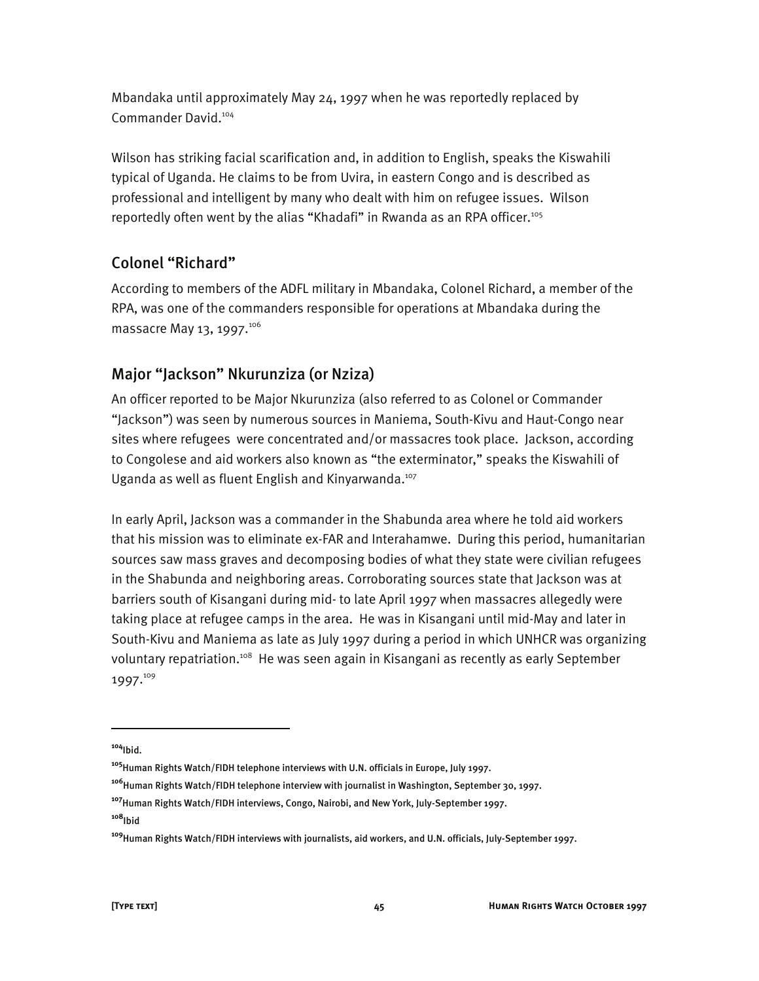Mbandaka until approximately May 24, 1997 when he was reportedly replaced by Commander David.104

Wilson has striking facial scarification and, in addition to English, speaks the Kiswahili typical of Uganda. He claims to be from Uvira, in eastern Congo and is described as professional and intelligent by many who dealt with him on refugee issues. Wilson reportedly often went by the alias "Khadafi" in Rwanda as an RPA officer.<sup>105</sup>

## Colonel "Richard"

According to members of the ADFL military in Mbandaka, Colonel Richard, a member of the RPA, was one of the commanders responsible for operations at Mbandaka during the massacre May 13, 1997.<sup>106</sup>

## Major "Jackson" Nkurunziza (or Nziza)

An officer reported to be Major Nkurunziza (also referred to as Colonel or Commander "Jackson") was seen by numerous sources in Maniema, South-Kivu and Haut-Congo near sites where refugees were concentrated and/or massacres took place. Jackson, according to Congolese and aid workers also known as "the exterminator," speaks the Kiswahili of Uganda as well as fluent English and Kinyarwanda.<sup>107</sup>

In early April, Jackson was a commander in the Shabunda area where he told aid workers that his mission was to eliminate ex-FAR and Interahamwe. During this period, humanitarian sources saw mass graves and decomposing bodies of what they state were civilian refugees in the Shabunda and neighboring areas. Corroborating sources state that Jackson was at barriers south of Kisangani during mid- to late April 1997 when massacres allegedly were taking place at refugee camps in the area. He was in Kisangani until mid-May and later in South-Kivu and Maniema as late as July 1997 during a period in which UNHCR was organizing voluntary repatriation.108 He was seen again in Kisangani as recently as early September 1997.109

ֺ

**<sup>108</sup>**Ibid

**<sup>104</sup>**Ibid.

**<sup>105</sup>**Human Rights Watch/FIDH telephone interviews with U.N. officials in Europe, July 1997.

**<sup>106</sup>**Human Rights Watch/FIDH telephone interview with journalist in Washington, September 30, 1997.

**<sup>107</sup>**Human Rights Watch/FIDH interviews, Congo, Nairobi, and New York, July-September 1997.

**<sup>109</sup>**Human Rights Watch/FIDH interviews with journalists, aid workers, and U.N. officials, July-September 1997.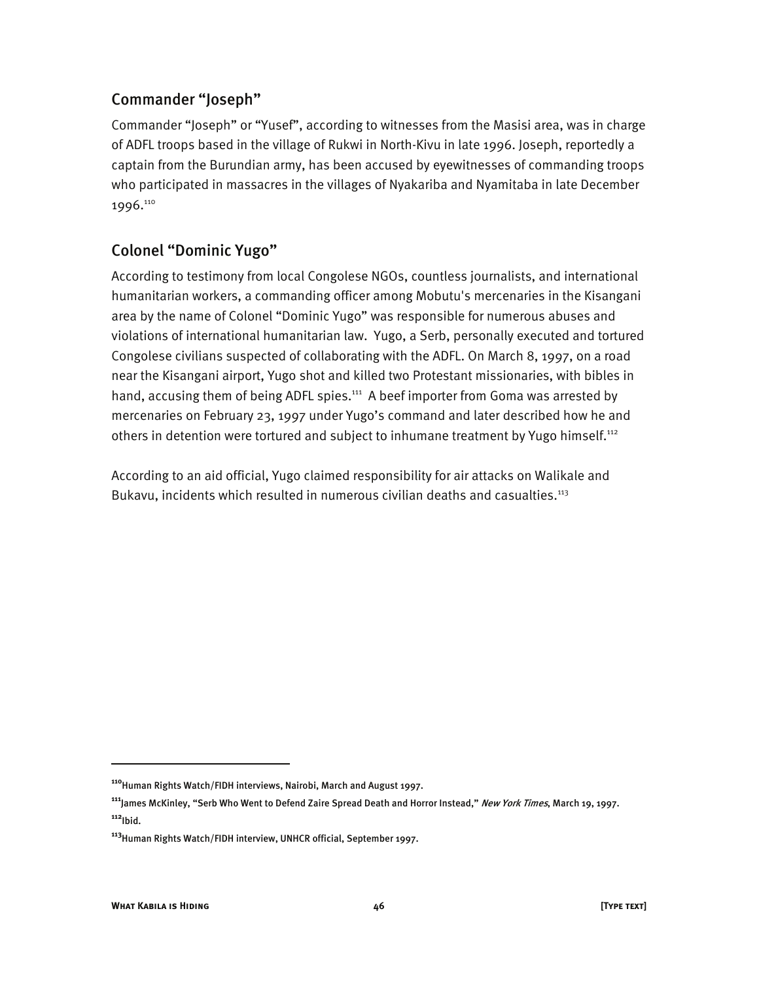#### Commander "Joseph"

Commander "Joseph" or "Yusef", according to witnesses from the Masisi area, was in charge of ADFL troops based in the village of Rukwi in North-Kivu in late 1996. Joseph, reportedly a captain from the Burundian army, has been accused by eyewitnesses of commanding troops who participated in massacres in the villages of Nyakariba and Nyamitaba in late December 1996.110

## Colonel "Dominic Yugo"

According to testimony from local Congolese NGOs, countless journalists, and international humanitarian workers, a commanding officer among Mobutu's mercenaries in the Kisangani area by the name of Colonel "Dominic Yugo" was responsible for numerous abuses and violations of international humanitarian law. Yugo, a Serb, personally executed and tortured Congolese civilians suspected of collaborating with the ADFL. On March 8, 1997, on a road near the Kisangani airport, Yugo shot and killed two Protestant missionaries, with bibles in hand, accusing them of being ADFL spies.<sup>111</sup> A beef importer from Goma was arrested by mercenaries on February 23, 1997 under Yugo's command and later described how he and others in detention were tortured and subject to inhumane treatment by Yugo himself.<sup>112</sup>

According to an aid official, Yugo claimed responsibility for air attacks on Walikale and Bukavu, incidents which resulted in numerous civilian deaths and casualties.<sup>113</sup>

1

**<sup>110</sup>**Human Rights Watch/FIDH interviews, Nairobi, March and August 1997.

**<sup>111</sup>**James McKinley, "Serb Who Went to Defend Zaire Spread Death and Horror Instead," New York Times, March 19, 1997. **<sup>112</sup>**Ibid.

**<sup>113</sup>**Human Rights Watch/FIDH interview, UNHCR official, September 1997.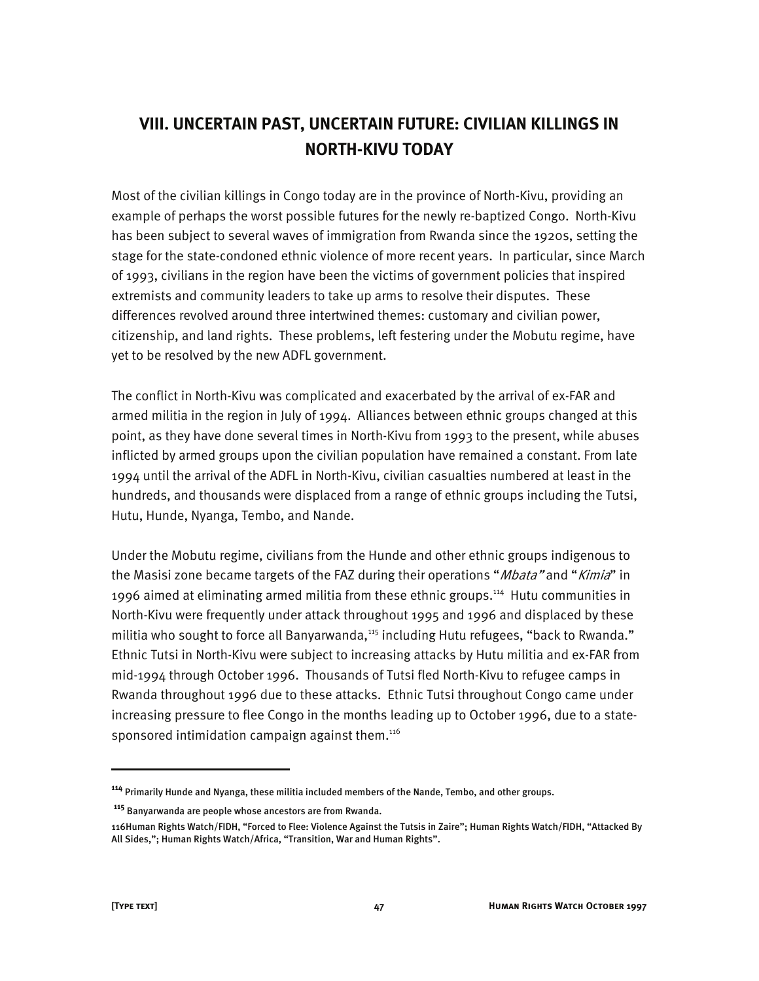## **VIII. UNCERTAIN PAST, UNCERTAIN FUTURE: CIVILIAN KILLINGS IN NORTH-KIVU TODAY**

Most of the civilian killings in Congo today are in the province of North-Kivu, providing an example of perhaps the worst possible futures for the newly re-baptized Congo. North-Kivu has been subject to several waves of immigration from Rwanda since the 1920s, setting the stage for the state-condoned ethnic violence of more recent years. In particular, since March of 1993, civilians in the region have been the victims of government policies that inspired extremists and community leaders to take up arms to resolve their disputes. These differences revolved around three intertwined themes: customary and civilian power, citizenship, and land rights. These problems, left festering under the Mobutu regime, have yet to be resolved by the new ADFL government.

The conflict in North-Kivu was complicated and exacerbated by the arrival of ex-FAR and armed militia in the region in July of 1994. Alliances between ethnic groups changed at this point, as they have done several times in North-Kivu from 1993 to the present, while abuses inflicted by armed groups upon the civilian population have remained a constant. From late 1994 until the arrival of the ADFL in North-Kivu, civilian casualties numbered at least in the hundreds, and thousands were displaced from a range of ethnic groups including the Tutsi, Hutu, Hunde, Nyanga, Tembo, and Nande.

Under the Mobutu regime, civilians from the Hunde and other ethnic groups indigenous to the Masisi zone became targets of the FAZ during their operations "*Mbata"* and "Kimia" in 1996 aimed at eliminating armed militia from these ethnic groups.114 Hutu communities in North-Kivu were frequently under attack throughout 1995 and 1996 and displaced by these militia who sought to force all Banyarwanda,<sup>115</sup> including Hutu refugees, "back to Rwanda." Ethnic Tutsi in North-Kivu were subject to increasing attacks by Hutu militia and ex-FAR from mid-1994 through October 1996. Thousands of Tutsi fled North-Kivu to refugee camps in Rwanda throughout 1996 due to these attacks. Ethnic Tutsi throughout Congo came under increasing pressure to flee Congo in the months leading up to October 1996, due to a statesponsored intimidation campaign against them.<sup>116</sup>

**<sup>114</sup>** Primarily Hunde and Nyanga, these militia included members of the Nande, Tembo, and other groups.

**<sup>115</sup>** Banyarwanda are people whose ancestors are from Rwanda.

<sup>116</sup>Human Rights Watch/FIDH, "Forced to Flee: Violence Against the Tutsis in Zaire"; Human Rights Watch/FIDH, "Attacked By All Sides,"; Human Rights Watch/Africa, "Transition, War and Human Rights".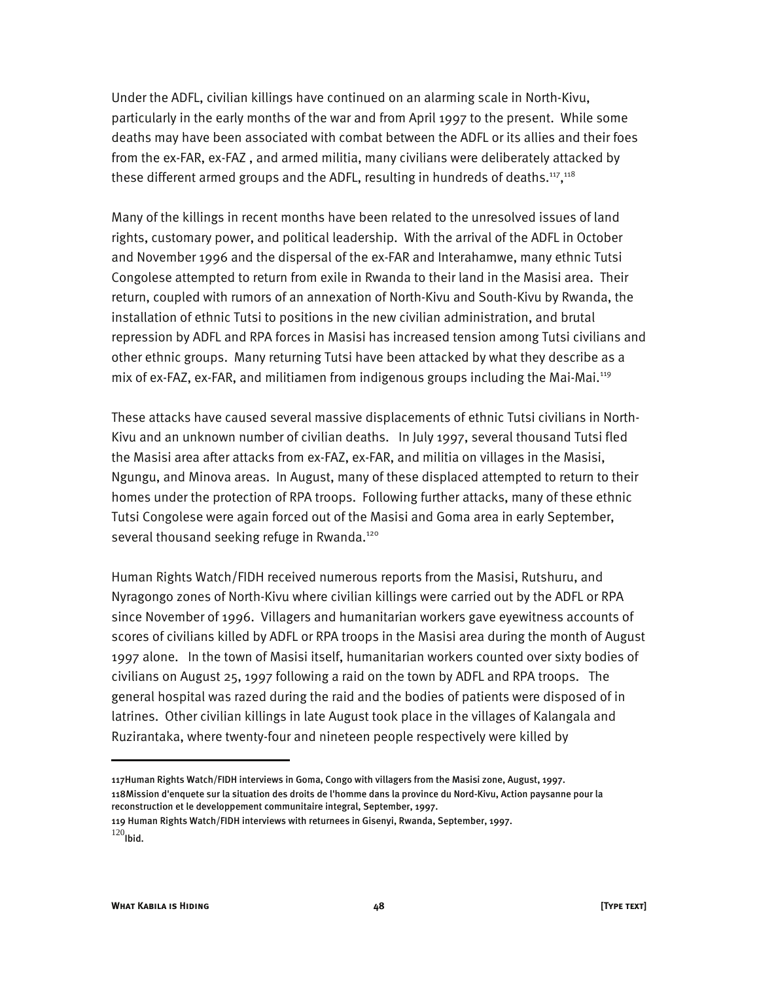Under the ADFL, civilian killings have continued on an alarming scale in North-Kivu, particularly in the early months of the war and from April 1997 to the present. While some deaths may have been associated with combat between the ADFL or its allies and their foes from the ex-FAR, ex-FAZ , and armed militia, many civilians were deliberately attacked by these different armed groups and the ADFL, resulting in hundreds of deaths.<sup>117</sup>,<sup>118</sup>

Many of the killings in recent months have been related to the unresolved issues of land rights, customary power, and political leadership. With the arrival of the ADFL in October and November 1996 and the dispersal of the ex-FAR and Interahamwe, many ethnic Tutsi Congolese attempted to return from exile in Rwanda to their land in the Masisi area. Their return, coupled with rumors of an annexation of North-Kivu and South-Kivu by Rwanda, the installation of ethnic Tutsi to positions in the new civilian administration, and brutal repression by ADFL and RPA forces in Masisi has increased tension among Tutsi civilians and other ethnic groups. Many returning Tutsi have been attacked by what they describe as a mix of ex-FAZ, ex-FAR, and militiamen from indigenous groups including the Mai-Mai.<sup>119</sup>

These attacks have caused several massive displacements of ethnic Tutsi civilians in North-Kivu and an unknown number of civilian deaths. In July 1997, several thousand Tutsi fled the Masisi area after attacks from ex-FAZ, ex-FAR, and militia on villages in the Masisi, Ngungu, and Minova areas. In August, many of these displaced attempted to return to their homes under the protection of RPA troops. Following further attacks, many of these ethnic Tutsi Congolese were again forced out of the Masisi and Goma area in early September, several thousand seeking refuge in Rwanda.<sup>120</sup>

Human Rights Watch/FIDH received numerous reports from the Masisi, Rutshuru, and Nyragongo zones of North-Kivu where civilian killings were carried out by the ADFL or RPA since November of 1996. Villagers and humanitarian workers gave eyewitness accounts of scores of civilians killed by ADFL or RPA troops in the Masisi area during the month of August 1997 alone. In the town of Masisi itself, humanitarian workers counted over sixty bodies of civilians on August 25, 1997 following a raid on the town by ADFL and RPA troops. The general hospital was razed during the raid and the bodies of patients were disposed of in latrines. Other civilian killings in late August took place in the villages of Kalangala and Ruzirantaka, where twenty-four and nineteen people respectively were killed by

:

<sup>117</sup>Human Rights Watch/FIDH interviews in Goma, Congo with villagers from the Masisi zone, August, 1997. 118Mission d'enquete sur la situation des droits de l'homme dans la province du Nord-Kivu, Action paysanne pour la reconstruction et le developpement communitaire integral, September, 1997.

<sup>119</sup> Human Rights Watch/FIDH interviews with returnees in Gisenyi, Rwanda, September, 1997.

 $120$ <sub>Ibid.</sub>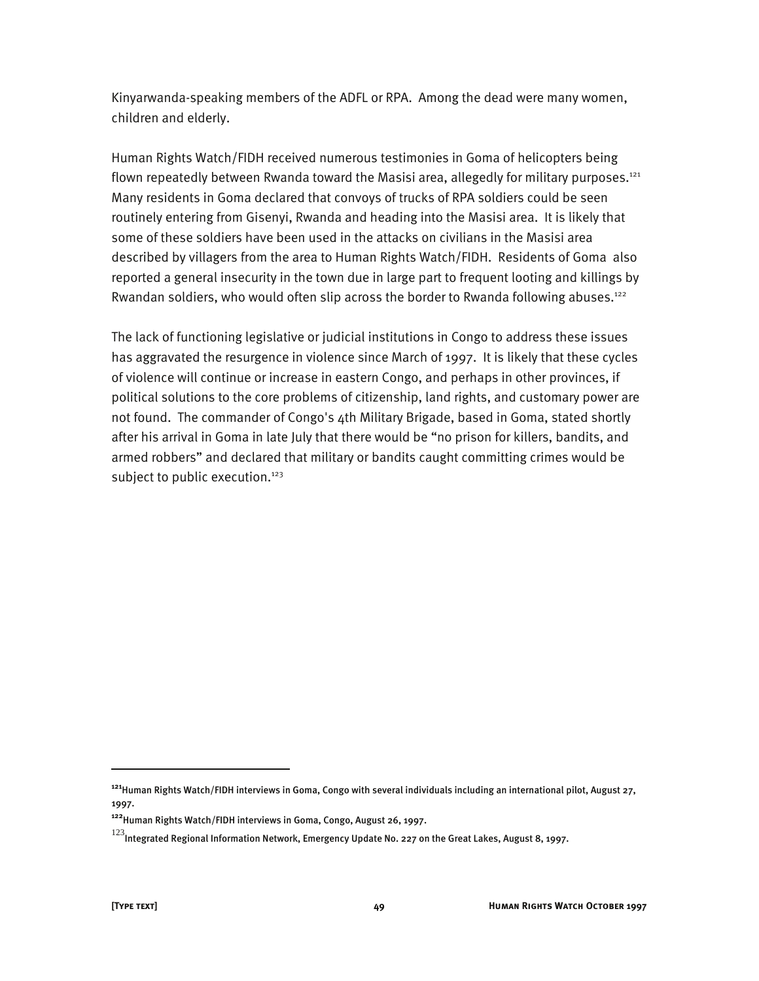Kinyarwanda-speaking members of the ADFL or RPA. Among the dead were many women, children and elderly.

Human Rights Watch/FIDH received numerous testimonies in Goma of helicopters being flown repeatedly between Rwanda toward the Masisi area, allegedly for military purposes.<sup>121</sup> Many residents in Goma declared that convoys of trucks of RPA soldiers could be seen routinely entering from Gisenyi, Rwanda and heading into the Masisi area. It is likely that some of these soldiers have been used in the attacks on civilians in the Masisi area described by villagers from the area to Human Rights Watch/FIDH. Residents of Goma also reported a general insecurity in the town due in large part to frequent looting and killings by Rwandan soldiers, who would often slip across the border to Rwanda following abuses.<sup>122</sup>

The lack of functioning legislative or judicial institutions in Congo to address these issues has aggravated the resurgence in violence since March of 1997. It is likely that these cycles of violence will continue or increase in eastern Congo, and perhaps in other provinces, if political solutions to the core problems of citizenship, land rights, and customary power are not found. The commander of Congo's 4th Military Brigade, based in Goma, stated shortly after his arrival in Goma in late July that there would be "no prison for killers, bandits, and armed robbers" and declared that military or bandits caught committing crimes would be subject to public execution.<sup>123</sup>

**<sup>121</sup>**Human Rights Watch/FIDH interviews in Goma, Congo with several individuals including an international pilot, August 27, 1997.

**<sup>122</sup>**Human Rights Watch/FIDH interviews in Goma, Congo, August 26, 1997.

 $^{123}$ Integrated Regional Information Network, Emergency Update No. 227 on the Great Lakes, August 8, 1997.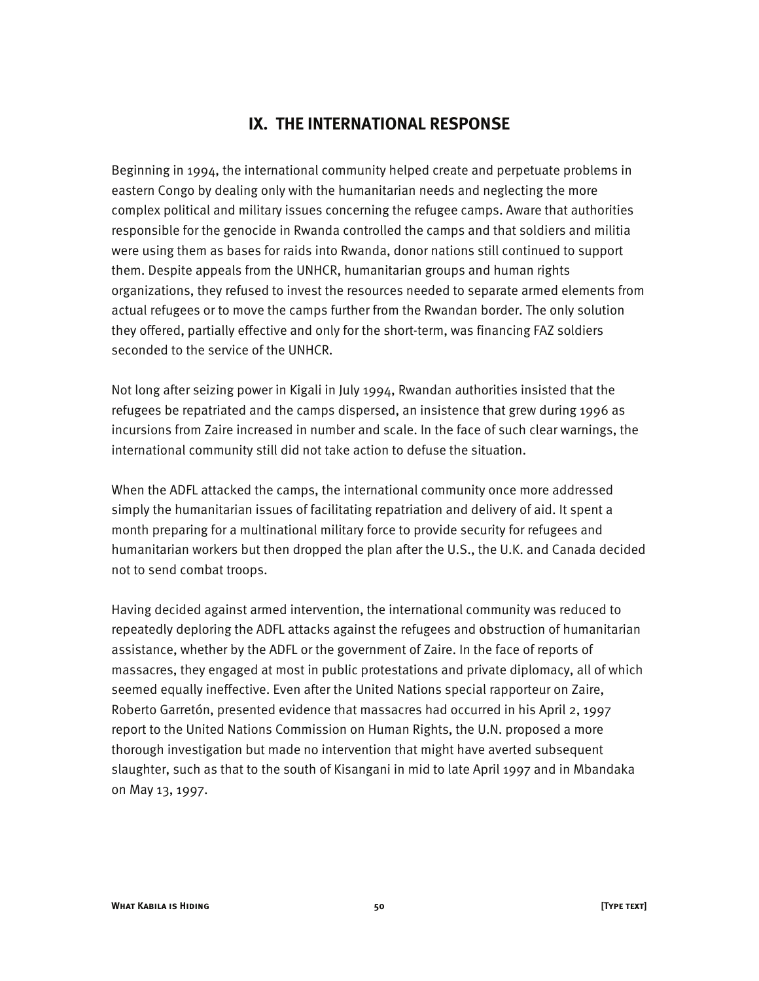### **IX. THE INTERNATIONAL RESPONSE**

Beginning in 1994, the international community helped create and perpetuate problems in eastern Congo by dealing only with the humanitarian needs and neglecting the more complex political and military issues concerning the refugee camps. Aware that authorities responsible for the genocide in Rwanda controlled the camps and that soldiers and militia were using them as bases for raids into Rwanda, donor nations still continued to support them. Despite appeals from the UNHCR, humanitarian groups and human rights organizations, they refused to invest the resources needed to separate armed elements from actual refugees or to move the camps further from the Rwandan border. The only solution they offered, partially effective and only for the short-term, was financing FAZ soldiers seconded to the service of the UNHCR.

Not long after seizing power in Kigali in July 1994, Rwandan authorities insisted that the refugees be repatriated and the camps dispersed, an insistence that grew during 1996 as incursions from Zaire increased in number and scale. In the face of such clear warnings, the international community still did not take action to defuse the situation.

When the ADFL attacked the camps, the international community once more addressed simply the humanitarian issues of facilitating repatriation and delivery of aid. It spent a month preparing for a multinational military force to provide security for refugees and humanitarian workers but then dropped the plan after the U.S., the U.K. and Canada decided not to send combat troops.

Having decided against armed intervention, the international community was reduced to repeatedly deploring the ADFL attacks against the refugees and obstruction of humanitarian assistance, whether by the ADFL or the government of Zaire. In the face of reports of massacres, they engaged at most in public protestations and private diplomacy, all of which seemed equally ineffective. Even after the United Nations special rapporteur on Zaire, Roberto Garretón, presented evidence that massacres had occurred in his April 2, 1997 report to the United Nations Commission on Human Rights, the U.N. proposed a more thorough investigation but made no intervention that might have averted subsequent slaughter, such as that to the south of Kisangani in mid to late April 1997 and in Mbandaka on May 13, 1997.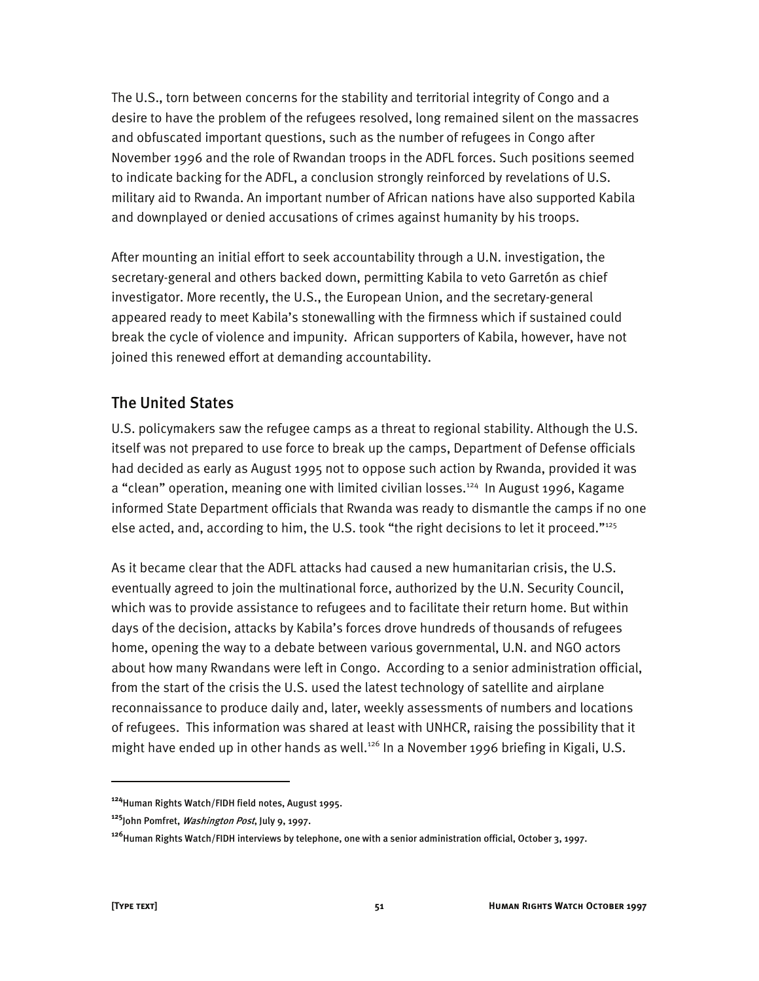The U.S., torn between concerns for the stability and territorial integrity of Congo and a desire to have the problem of the refugees resolved, long remained silent on the massacres and obfuscated important questions, such as the number of refugees in Congo after November 1996 and the role of Rwandan troops in the ADFL forces. Such positions seemed to indicate backing for the ADFL, a conclusion strongly reinforced by revelations of U.S. military aid to Rwanda. An important number of African nations have also supported Kabila and downplayed or denied accusations of crimes against humanity by his troops.

After mounting an initial effort to seek accountability through a U.N. investigation, the secretary-general and others backed down, permitting Kabila to veto Garretón as chief investigator. More recently, the U.S., the European Union, and the secretary-general appeared ready to meet Kabila's stonewalling with the firmness which if sustained could break the cycle of violence and impunity. African supporters of Kabila, however, have not joined this renewed effort at demanding accountability.

#### The United States

U.S. policymakers saw the refugee camps as a threat to regional stability. Although the U.S. itself was not prepared to use force to break up the camps, Department of Defense officials had decided as early as August 1995 not to oppose such action by Rwanda, provided it was a "clean" operation, meaning one with limited civilian losses.<sup>124</sup> In August 1996, Kagame informed State Department officials that Rwanda was ready to dismantle the camps if no one else acted, and, according to him, the U.S. took "the right decisions to let it proceed."125

As it became clear that the ADFL attacks had caused a new humanitarian crisis, the U.S. eventually agreed to join the multinational force, authorized by the U.N. Security Council, which was to provide assistance to refugees and to facilitate their return home. But within days of the decision, attacks by Kabila's forces drove hundreds of thousands of refugees home, opening the way to a debate between various governmental, U.N. and NGO actors about how many Rwandans were left in Congo. According to a senior administration official, from the start of the crisis the U.S. used the latest technology of satellite and airplane reconnaissance to produce daily and, later, weekly assessments of numbers and locations of refugees. This information was shared at least with UNHCR, raising the possibility that it might have ended up in other hands as well.<sup>126</sup> In a November 1996 briefing in Kigali, U.S.

**<sup>124</sup>**Human Rights Watch/FIDH field notes, August 1995.

**<sup>125</sup>**John Pomfret, Washington Post, July 9, 1997.

**<sup>126</sup>**Human Rights Watch/FIDH interviews by telephone, one with a senior administration official, October 3, 1997.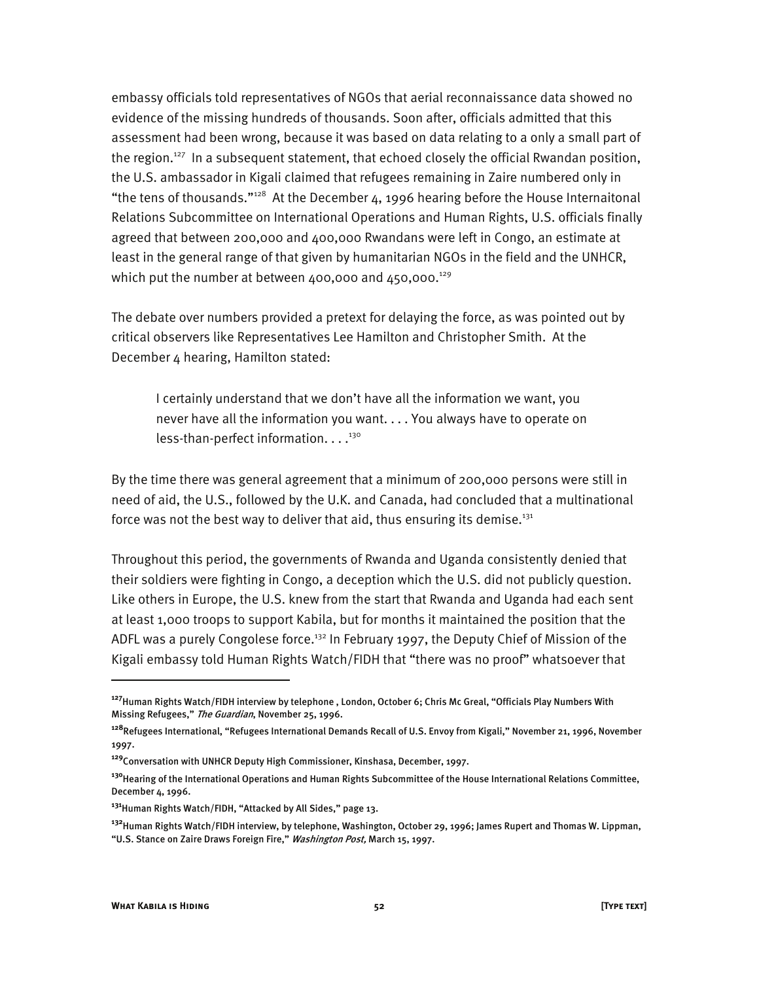embassy officials told representatives of NGOs that aerial reconnaissance data showed no evidence of the missing hundreds of thousands. Soon after, officials admitted that this assessment had been wrong, because it was based on data relating to a only a small part of the region.<sup>127</sup> In a subsequent statement, that echoed closely the official Rwandan position, the U.S. ambassador in Kigali claimed that refugees remaining in Zaire numbered only in "the tens of thousands."128 At the December 4, 1996 hearing before the House Internaitonal Relations Subcommittee on International Operations and Human Rights, U.S. officials finally agreed that between 200,000 and 400,000 Rwandans were left in Congo, an estimate at least in the general range of that given by humanitarian NGOs in the field and the UNHCR, which put the number at between 400,000 and 450,000.<sup>129</sup>

The debate over numbers provided a pretext for delaying the force, as was pointed out by critical observers like Representatives Lee Hamilton and Christopher Smith. At the December 4 hearing, Hamilton stated:

I certainly understand that we don't have all the information we want, you never have all the information you want. . . . You always have to operate on less-than-perfect information.  $\dots$ <sup>130</sup>

By the time there was general agreement that a minimum of 200,000 persons were still in need of aid, the U.S., followed by the U.K. and Canada, had concluded that a multinational force was not the best way to deliver that aid, thus ensuring its demise.<sup>131</sup>

Throughout this period, the governments of Rwanda and Uganda consistently denied that their soldiers were fighting in Congo, a deception which the U.S. did not publicly question. Like others in Europe, the U.S. knew from the start that Rwanda and Uganda had each sent at least 1,000 troops to support Kabila, but for months it maintained the position that the ADFL was a purely Congolese force.<sup>132</sup> In February 1997, the Deputy Chief of Mission of the Kigali embassy told Human Rights Watch/FIDH that "there was no proof" whatsoever that

1

**<sup>127</sup>**Human Rights Watch/FIDH interview by telephone , London, October 6; Chris Mc Greal, "Officials Play Numbers With Missing Refugees," The Guardian, November 25, 1996.

**<sup>128</sup>**Refugees International, "Refugees International Demands Recall of U.S. Envoy from Kigali," November 21, 1996, November 1997.

**<sup>129</sup>**Conversation with UNHCR Deputy High Commissioner, Kinshasa, December, 1997.

**<sup>130</sup>**Hearing of the International Operations and Human Rights Subcommittee of the House International Relations Committee, December 4, 1996.

**<sup>131</sup>**Human Rights Watch/FIDH, "Attacked by All Sides," page 13.

**<sup>132</sup>**Human Rights Watch/FIDH interview, by telephone, Washington, October 29, 1996; James Rupert and Thomas W. Lippman, "U.S. Stance on Zaire Draws Foreign Fire," Washington Post, March 15, 1997.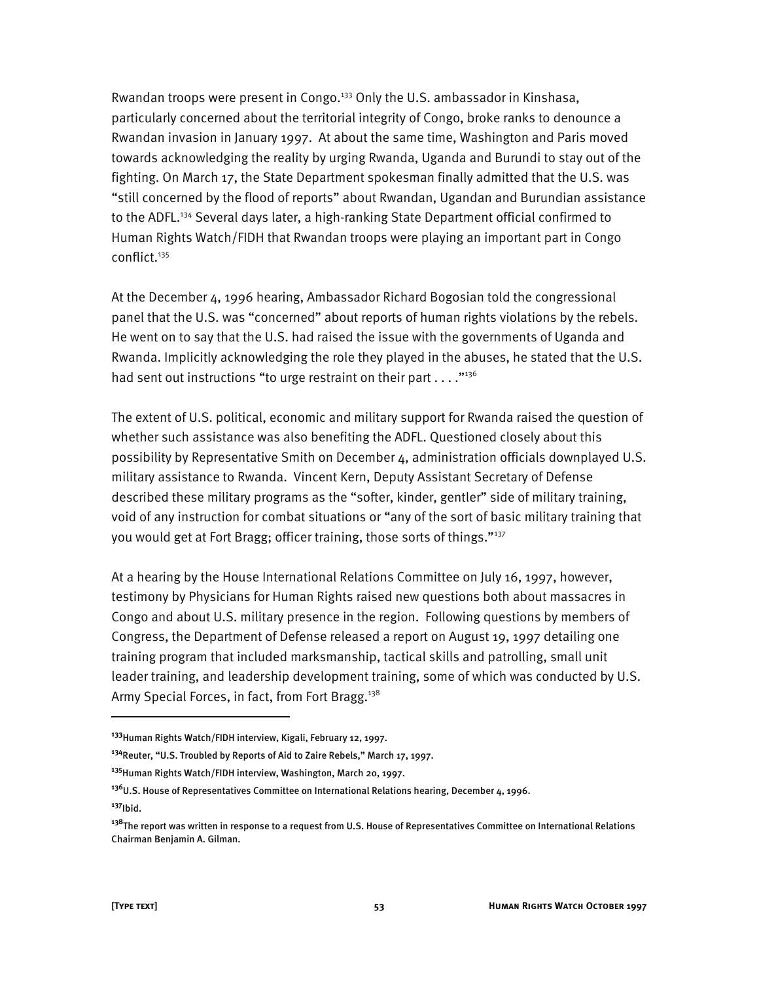Rwandan troops were present in Congo.133 Only the U.S. ambassador in Kinshasa, particularly concerned about the territorial integrity of Congo, broke ranks to denounce a Rwandan invasion in January 1997. At about the same time, Washington and Paris moved towards acknowledging the reality by urging Rwanda, Uganda and Burundi to stay out of the fighting. On March 17, the State Department spokesman finally admitted that the U.S. was "still concerned by the flood of reports" about Rwandan, Ugandan and Burundian assistance to the ADFL.<sup>134</sup> Several days later, a high-ranking State Department official confirmed to Human Rights Watch/FIDH that Rwandan troops were playing an important part in Congo conflict.<sup>135</sup>

At the December 4, 1996 hearing, Ambassador Richard Bogosian told the congressional panel that the U.S. was "concerned" about reports of human rights violations by the rebels. He went on to say that the U.S. had raised the issue with the governments of Uganda and Rwanda. Implicitly acknowledging the role they played in the abuses, he stated that the U.S. had sent out instructions "to urge restraint on their part  $\dots$ ."<sup>136</sup>

The extent of U.S. political, economic and military support for Rwanda raised the question of whether such assistance was also benefiting the ADFL. Questioned closely about this possibility by Representative Smith on December 4, administration officials downplayed U.S. military assistance to Rwanda. Vincent Kern, Deputy Assistant Secretary of Defense described these military programs as the "softer, kinder, gentler" side of military training, void of any instruction for combat situations or "any of the sort of basic military training that you would get at Fort Bragg; officer training, those sorts of things."137

At a hearing by the House International Relations Committee on July 16, 1997, however, testimony by Physicians for Human Rights raised new questions both about massacres in Congo and about U.S. military presence in the region. Following questions by members of Congress, the Department of Defense released a report on August 19, 1997 detailing one training program that included marksmanship, tactical skills and patrolling, small unit leader training, and leadership development training, some of which was conducted by U.S. Army Special Forces, in fact, from Fort Bragg.<sup>138</sup>

:

**<sup>133</sup>**Human Rights Watch/FIDH interview, Kigali, February 12, 1997.

**<sup>134</sup>**Reuter, "U.S. Troubled by Reports of Aid to Zaire Rebels," March 17, 1997.

**<sup>135</sup>**Human Rights Watch/FIDH interview, Washington, March 20, 1997.

**<sup>136</sup>**U.S. House of Representatives Committee on International Relations hearing, December 4, 1996.

**<sup>137</sup>**Ibid.

**<sup>138</sup>**The report was written in response to a request from U.S. House of Representatives Committee on International Relations Chairman Benjamin A. Gilman.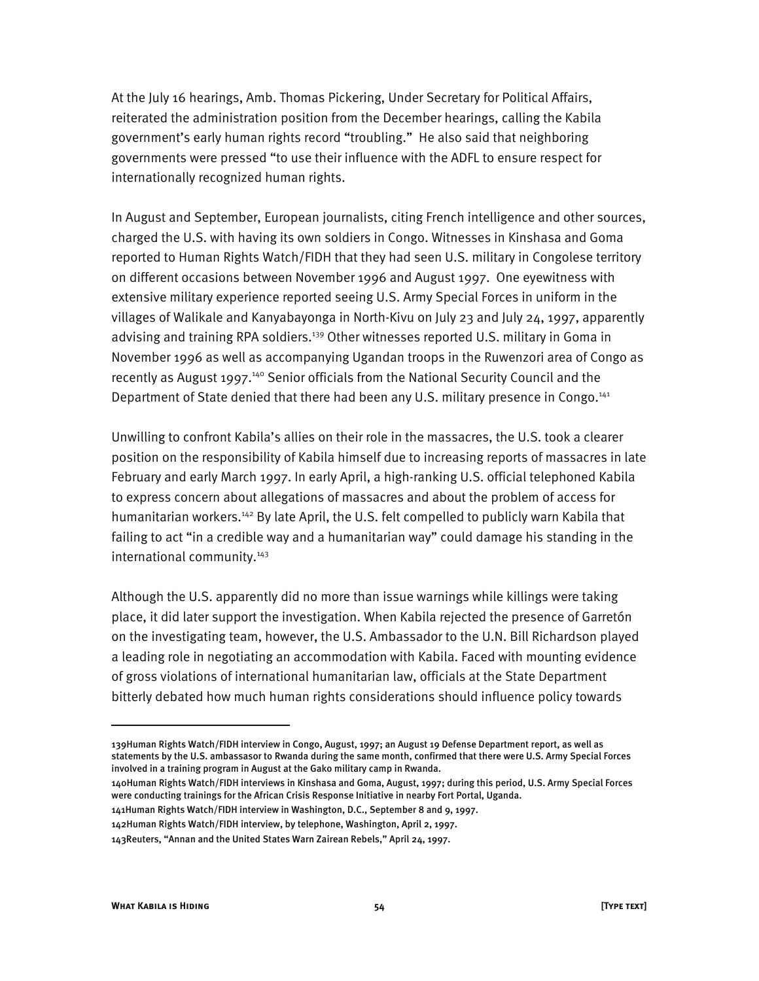At the July 16 hearings, Amb. Thomas Pickering, Under Secretary for Political Affairs, reiterated the administration position from the December hearings, calling the Kabila government's early human rights record "troubling." He also said that neighboring governments were pressed "to use their influence with the ADFL to ensure respect for internationally recognized human rights.

In August and September, European journalists, citing French intelligence and other sources, charged the U.S. with having its own soldiers in Congo. Witnesses in Kinshasa and Goma reported to Human Rights Watch/FIDH that they had seen U.S. military in Congolese territory on different occasions between November 1996 and August 1997. One eyewitness with extensive military experience reported seeing U.S. Army Special Forces in uniform in the villages of Walikale and Kanyabayonga in North-Kivu on July 23 and July 24, 1997, apparently advising and training RPA soldiers.<sup>139</sup> Other witnesses reported U.S. military in Goma in November 1996 as well as accompanying Ugandan troops in the Ruwenzori area of Congo as recently as August 1997.<sup>140</sup> Senior officials from the National Security Council and the Department of State denied that there had been any U.S. military presence in Congo.<sup>141</sup>

Unwilling to confront Kabila's allies on their role in the massacres, the U.S. took a clearer position on the responsibility of Kabila himself due to increasing reports of massacres in late February and early March 1997. In early April, a high-ranking U.S. official telephoned Kabila to express concern about allegations of massacres and about the problem of access for humanitarian workers.142 By late April, the U.S. felt compelled to publicly warn Kabila that failing to act "in a credible way and a humanitarian way" could damage his standing in the international community.<sup>143</sup>

Although the U.S. apparently did no more than issue warnings while killings were taking place, it did later support the investigation. When Kabila rejected the presence of Garretón on the investigating team, however, the U.S. Ambassador to the U.N. Bill Richardson played a leading role in negotiating an accommodation with Kabila. Faced with mounting evidence of gross violations of international humanitarian law, officials at the State Department bitterly debated how much human rights considerations should influence policy towards

<sup>139</sup>Human Rights Watch/FIDH interview in Congo, August, 1997; an August 19 Defense Department report, as well as statements by the U.S. ambassasor to Rwanda during the same month, confirmed that there were U.S. Army Special Forces involved in a training program in August at the Gako military camp in Rwanda.

<sup>140</sup>Human Rights Watch/FIDH interviews in Kinshasa and Goma, August, 1997; during this period, U.S. Army Special Forces were conducting trainings for the African Crisis Response Initiative in nearby Fort Portal, Uganda.

<sup>141</sup>Human Rights Watch/FIDH interview in Washington, D.C., September 8 and 9, 1997.

<sup>142</sup>Human Rights Watch/FIDH interview, by telephone, Washington, April 2, 1997.

<sup>143</sup>Reuters, "Annan and the United States Warn Zairean Rebels," April 24, 1997.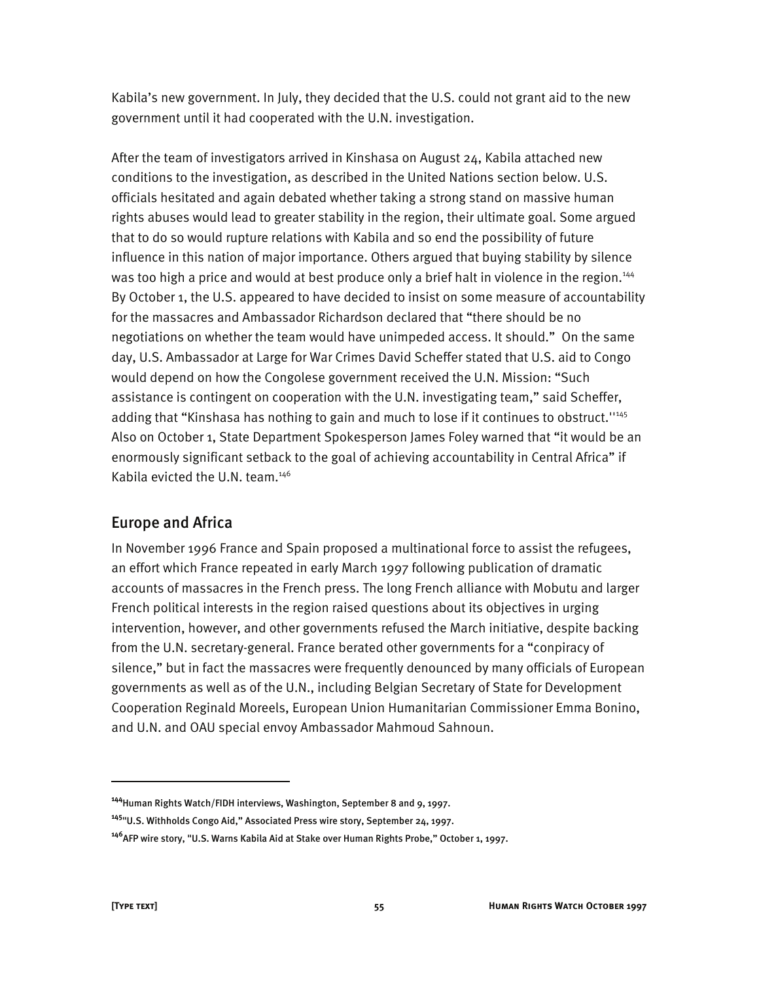Kabila's new government. In July, they decided that the U.S. could not grant aid to the new government until it had cooperated with the U.N. investigation.

After the team of investigators arrived in Kinshasa on August 24, Kabila attached new conditions to the investigation, as described in the United Nations section below. U.S. officials hesitated and again debated whether taking a strong stand on massive human rights abuses would lead to greater stability in the region, their ultimate goal. Some argued that to do so would rupture relations with Kabila and so end the possibility of future influence in this nation of major importance. Others argued that buying stability by silence was too high a price and would at best produce only a brief halt in violence in the region.<sup>144</sup> By October 1, the U.S. appeared to have decided to insist on some measure of accountability for the massacres and Ambassador Richardson declared that "there should be no negotiations on whether the team would have unimpeded access. It should." On the same day, U.S. Ambassador at Large for War Crimes David Scheffer stated that U.S. aid to Congo would depend on how the Congolese government received the U.N. Mission: "Such assistance is contingent on cooperation with the U.N. investigating team," said Scheffer, adding that "Kinshasa has nothing to gain and much to lose if it continues to obstruct.''145 Also on October 1, State Department Spokesperson James Foley warned that "it would be an enormously significant setback to the goal of achieving accountability in Central Africa" if Kabila evicted the U.N. team.<sup>146</sup>

#### Europe and Africa

In November 1996 France and Spain proposed a multinational force to assist the refugees, an effort which France repeated in early March 1997 following publication of dramatic accounts of massacres in the French press. The long French alliance with Mobutu and larger French political interests in the region raised questions about its objectives in urging intervention, however, and other governments refused the March initiative, despite backing from the U.N. secretary-general. France berated other governments for a "conpiracy of silence," but in fact the massacres were frequently denounced by many officials of European governments as well as of the U.N., including Belgian Secretary of State for Development Cooperation Reginald Moreels, European Union Humanitarian Commissioner Emma Bonino, and U.N. and OAU special envoy Ambassador Mahmoud Sahnoun.

**<sup>144</sup>**Human Rights Watch/FIDH interviews, Washington, September 8 and 9, 1997.

**<sup>145</sup>**"U.S. Withholds Congo Aid," Associated Press wire story, September 24, 1997.

**<sup>146</sup>**AFP wire story, "U.S. Warns Kabila Aid at Stake over Human Rights Probe," October 1, 1997.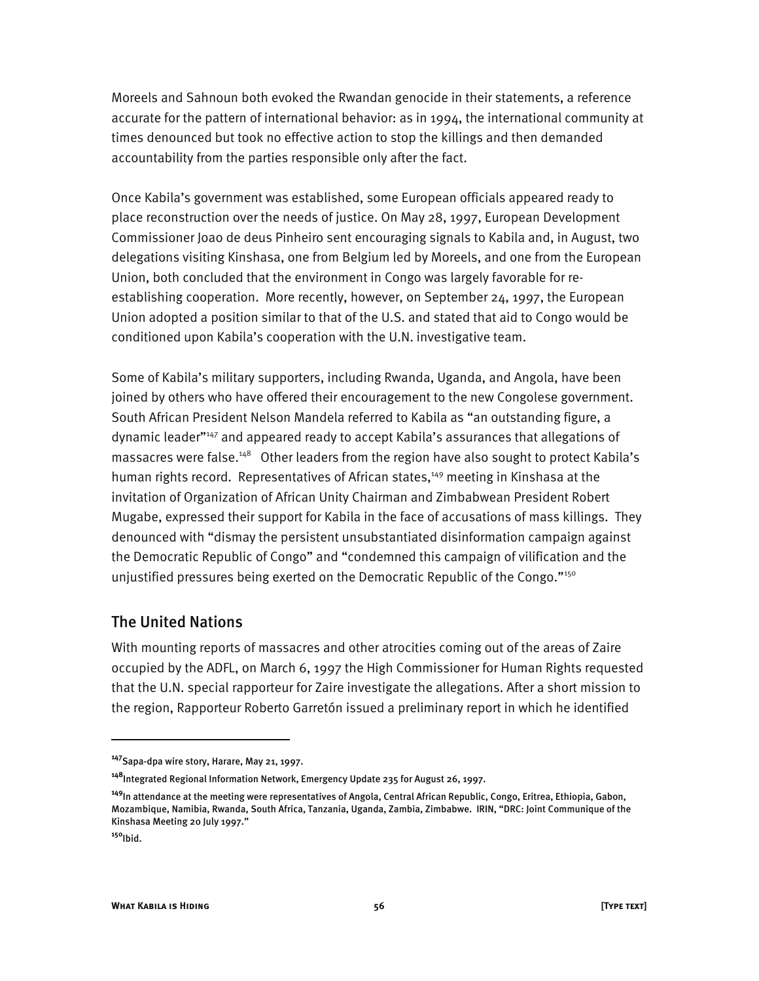Moreels and Sahnoun both evoked the Rwandan genocide in their statements, a reference accurate for the pattern of international behavior: as in 1994, the international community at times denounced but took no effective action to stop the killings and then demanded accountability from the parties responsible only after the fact.

Once Kabila's government was established, some European officials appeared ready to place reconstruction over the needs of justice. On May 28, 1997, European Development Commissioner Joao de deus Pinheiro sent encouraging signals to Kabila and, in August, two delegations visiting Kinshasa, one from Belgium led by Moreels, and one from the European Union, both concluded that the environment in Congo was largely favorable for reestablishing cooperation. More recently, however, on September 24, 1997, the European Union adopted a position similar to that of the U.S. and stated that aid to Congo would be conditioned upon Kabila's cooperation with the U.N. investigative team.

Some of Kabila's military supporters, including Rwanda, Uganda, and Angola, have been joined by others who have offered their encouragement to the new Congolese government. South African President Nelson Mandela referred to Kabila as "an outstanding figure, a dynamic leader"147 and appeared ready to accept Kabila's assurances that allegations of massacres were false.<sup>148</sup> Other leaders from the region have also sought to protect Kabila's human rights record. Representatives of African states,<sup>149</sup> meeting in Kinshasa at the invitation of Organization of African Unity Chairman and Zimbabwean President Robert Mugabe, expressed their support for Kabila in the face of accusations of mass killings. They denounced with "dismay the persistent unsubstantiated disinformation campaign against the Democratic Republic of Congo" and "condemned this campaign of vilification and the unjustified pressures being exerted on the Democratic Republic of the Congo."<sup>150</sup>

#### The United Nations

With mounting reports of massacres and other atrocities coming out of the areas of Zaire occupied by the ADFL, on March 6, 1997 the High Commissioner for Human Rights requested that the U.N. special rapporteur for Zaire investigate the allegations. After a short mission to the region, Rapporteur Roberto Garretón issued a preliminary report in which he identified

**<sup>147</sup>**Sapa-dpa wire story, Harare, May 21, 1997.

**<sup>148</sup>**Integrated Regional Information Network, Emergency Update 235 for August 26, 1997.

**<sup>149</sup>**In attendance at the meeting were representatives of Angola, Central African Republic, Congo, Eritrea, Ethiopia, Gabon, Mozambique, Namibia, Rwanda, South Africa, Tanzania, Uganda, Zambia, Zimbabwe. IRIN, "DRC: Joint Communique of the Kinshasa Meeting 20 July 1997."

**<sup>150</sup>**Ibid.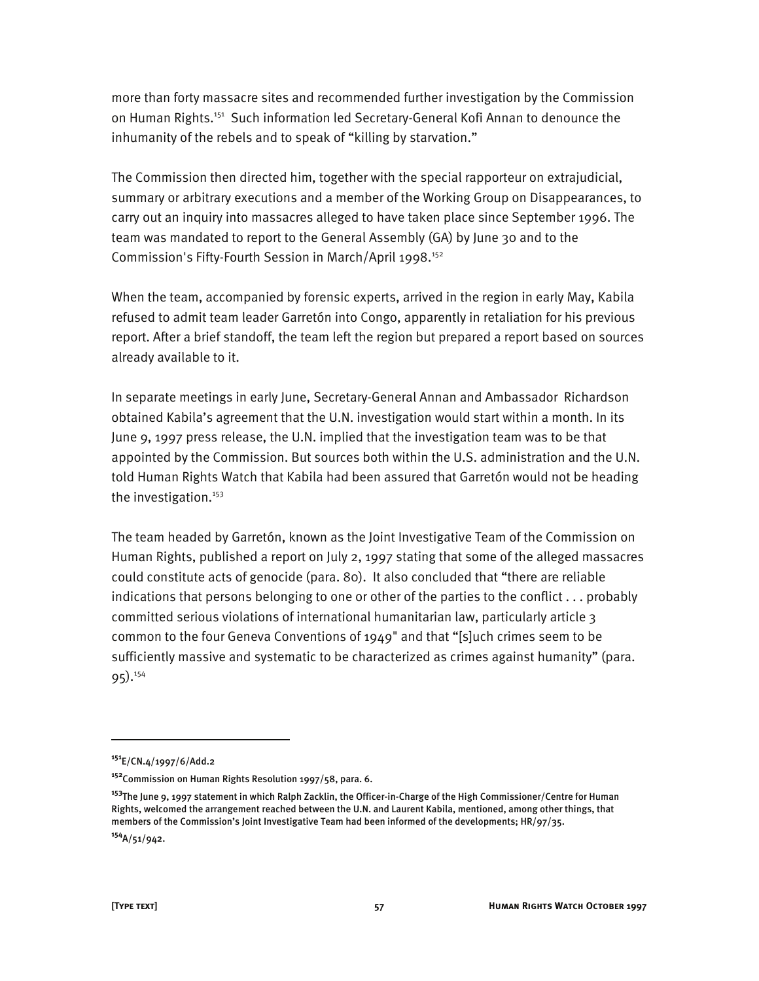more than forty massacre sites and recommended further investigation by the Commission on Human Rights.151 Such information led Secretary-General Kofi Annan to denounce the inhumanity of the rebels and to speak of "killing by starvation."

The Commission then directed him, together with the special rapporteur on extrajudicial, summary or arbitrary executions and a member of the Working Group on Disappearances, to carry out an inquiry into massacres alleged to have taken place since September 1996. The team was mandated to report to the General Assembly (GA) by June 30 and to the Commission's Fifty-Fourth Session in March/April 1998.<sup>152</sup>

When the team, accompanied by forensic experts, arrived in the region in early May, Kabila refused to admit team leader Garretón into Congo, apparently in retaliation for his previous report. After a brief standoff, the team left the region but prepared a report based on sources already available to it.

In separate meetings in early June, Secretary-General Annan and Ambassador Richardson obtained Kabila's agreement that the U.N. investigation would start within a month. In its June 9, 1997 press release, the U.N. implied that the investigation team was to be that appointed by the Commission. But sources both within the U.S. administration and the U.N. told Human Rights Watch that Kabila had been assured that Garretón would not be heading the investigation.<sup>153</sup>

The team headed by Garretón, known as the Joint Investigative Team of the Commission on Human Rights, published a report on July 2, 1997 stating that some of the alleged massacres could constitute acts of genocide (para. 80). It also concluded that "there are reliable indications that persons belonging to one or other of the parties to the conflict . . . probably committed serious violations of international humanitarian law, particularly article 3 common to the four Geneva Conventions of 1949" and that "[s]uch crimes seem to be sufficiently massive and systematic to be characterized as crimes against humanity" (para. 95).154

**<sup>151</sup>**E/CN.4/1997/6/Add.2

**<sup>152</sup>**Commission on Human Rights Resolution 1997/58, para. 6.

**<sup>153</sup>**The June 9, 1997 statement in which Ralph Zacklin, the Officer-in-Charge of the High Commissioner/Centre for Human Rights, welcomed the arrangement reached between the U.N. and Laurent Kabila, mentioned, among other things, that members of the Commission's Joint Investigative Team had been informed of the developments; HR/97/35. **<sup>154</sup>**A/51/942.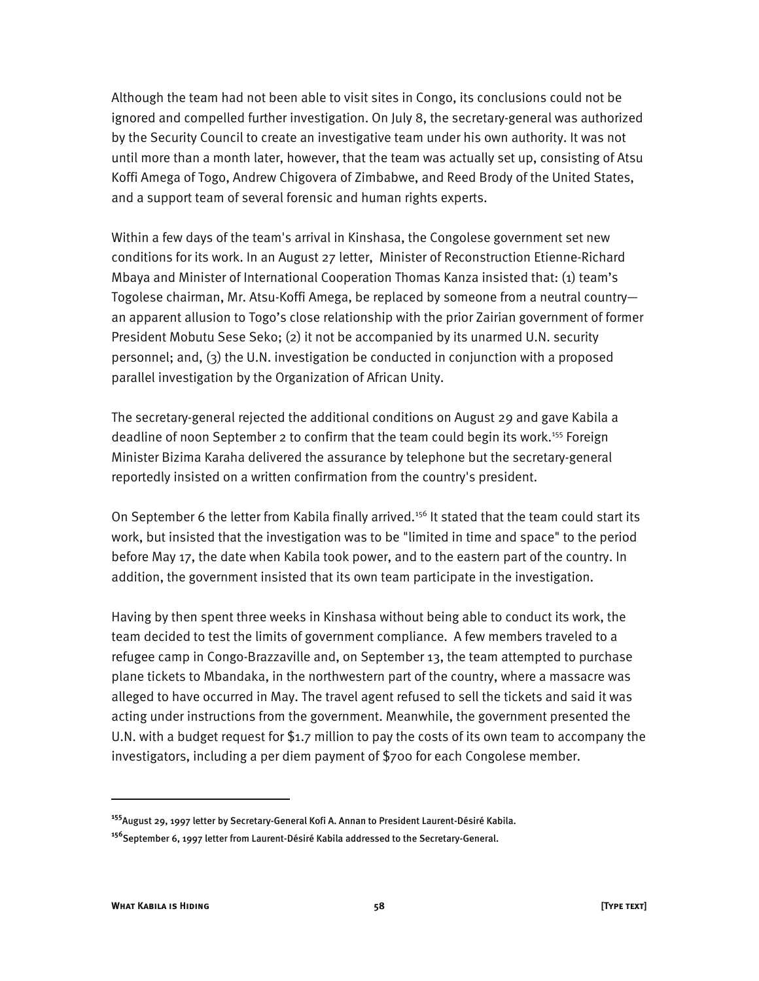Although the team had not been able to visit sites in Congo, its conclusions could not be ignored and compelled further investigation. On July 8, the secretary-general was authorized by the Security Council to create an investigative team under his own authority. It was not until more than a month later, however, that the team was actually set up, consisting of Atsu Koffi Amega of Togo, Andrew Chigovera of Zimbabwe, and Reed Brody of the United States, and a support team of several forensic and human rights experts.

Within a few days of the team's arrival in Kinshasa, the Congolese government set new conditions for its work. In an August 27 letter, Minister of Reconstruction Etienne-Richard Mbaya and Minister of International Cooperation Thomas Kanza insisted that: (1) team's Togolese chairman, Mr. Atsu-Koffi Amega, be replaced by someone from a neutral country an apparent allusion to Togo's close relationship with the prior Zairian government of former President Mobutu Sese Seko; (2) it not be accompanied by its unarmed U.N. security personnel; and, (3) the U.N. investigation be conducted in conjunction with a proposed parallel investigation by the Organization of African Unity.

The secretary-general rejected the additional conditions on August 29 and gave Kabila a deadline of noon September 2 to confirm that the team could begin its work.<sup>155</sup> Foreign Minister Bizima Karaha delivered the assurance by telephone but the secretary-general reportedly insisted on a written confirmation from the country's president.

On September 6 the letter from Kabila finally arrived.<sup>156</sup> It stated that the team could start its work, but insisted that the investigation was to be "limited in time and space" to the period before May 17, the date when Kabila took power, and to the eastern part of the country. In addition, the government insisted that its own team participate in the investigation.

Having by then spent three weeks in Kinshasa without being able to conduct its work, the team decided to test the limits of government compliance. A few members traveled to a refugee camp in Congo-Brazzaville and, on September 13, the team attempted to purchase plane tickets to Mbandaka, in the northwestern part of the country, where a massacre was alleged to have occurred in May. The travel agent refused to sell the tickets and said it was acting under instructions from the government. Meanwhile, the government presented the U.N. with a budget request for \$1.7 million to pay the costs of its own team to accompany the investigators, including a per diem payment of \$700 for each Congolese member.

**<sup>155</sup>**August 29, 1997 letter by Secretary-General Kofi A. Annan to President Laurent-Désiré Kabila.

**<sup>156</sup>**September 6, 1997 letter from Laurent-Désiré Kabila addressed to the Secretary-General.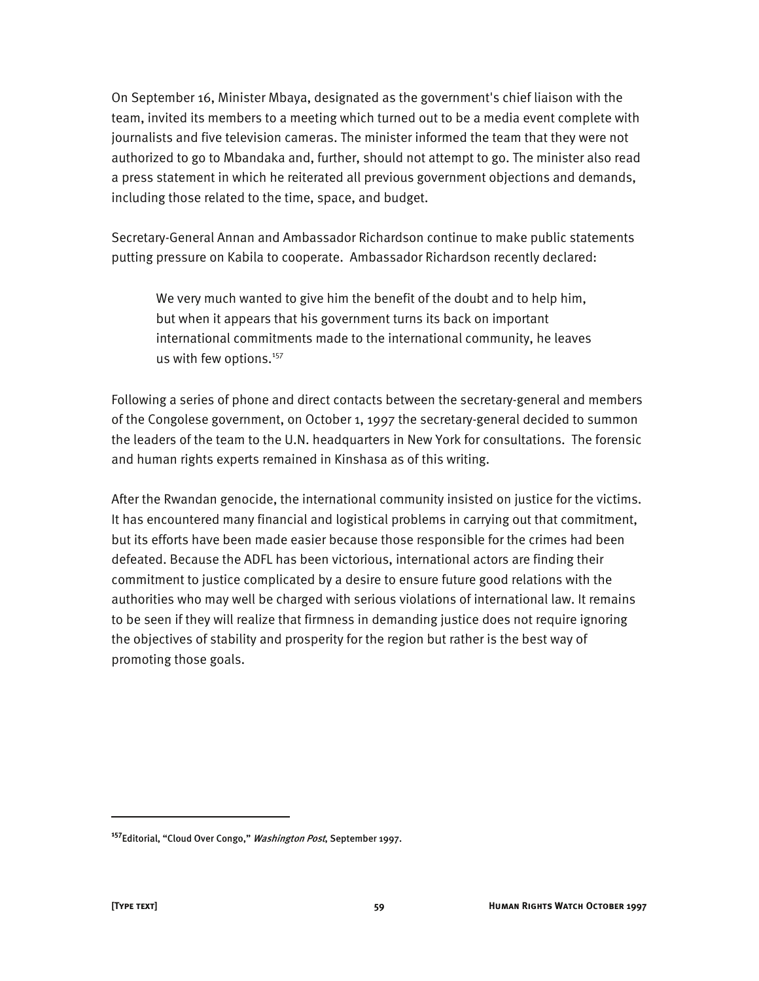On September 16, Minister Mbaya, designated as the government's chief liaison with the team, invited its members to a meeting which turned out to be a media event complete with journalists and five television cameras. The minister informed the team that they were not authorized to go to Mbandaka and, further, should not attempt to go. The minister also read a press statement in which he reiterated all previous government objections and demands, including those related to the time, space, and budget.

Secretary-General Annan and Ambassador Richardson continue to make public statements putting pressure on Kabila to cooperate. Ambassador Richardson recently declared:

We very much wanted to give him the benefit of the doubt and to help him, but when it appears that his government turns its back on important international commitments made to the international community, he leaves us with few options.<sup>157</sup>

Following a series of phone and direct contacts between the secretary-general and members of the Congolese government, on October 1, 1997 the secretary-general decided to summon the leaders of the team to the U.N. headquarters in New York for consultations. The forensic and human rights experts remained in Kinshasa as of this writing.

After the Rwandan genocide, the international community insisted on justice for the victims. It has encountered many financial and logistical problems in carrying out that commitment, but its efforts have been made easier because those responsible for the crimes had been defeated. Because the ADFL has been victorious, international actors are finding their commitment to justice complicated by a desire to ensure future good relations with the authorities who may well be charged with serious violations of international law. It remains to be seen if they will realize that firmness in demanding justice does not require ignoring the objectives of stability and prosperity for the region but rather is the best way of promoting those goals.

**<sup>157</sup>**Editorial, "Cloud Over Congo," Washington Post, September 1997.